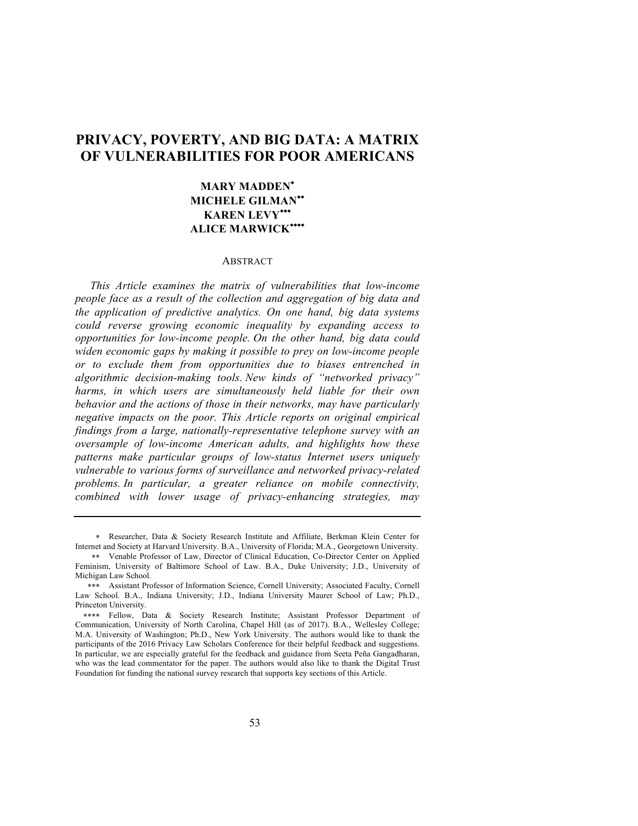# **PRIVACY, POVERTY, AND BIG DATA: A MATRIX OF VULNERABILITIES FOR POOR AMERICANS**

## **MARY MADDEN**\* **MICHELE GILMAN**\*\* **KAREN LEVY**\*\*\* **ALICE MARWICK**\*\*\*\*

### ABSTRACT

*This Article examines the matrix of vulnerabilities that low-income people face as a result of the collection and aggregation of big data and the application of predictive analytics. On one hand, big data systems could reverse growing economic inequality by expanding access to opportunities for low-income people. On the other hand, big data could widen economic gaps by making it possible to prey on low-income people or to exclude them from opportunities due to biases entrenched in algorithmic decision-making tools. New kinds of "networked privacy" harms, in which users are simultaneously held liable for their own behavior and the actions of those in their networks, may have particularly negative impacts on the poor. This Article reports on original empirical findings from a large, nationally-representative telephone survey with an oversample of low-income American adults, and highlights how these patterns make particular groups of low-status Internet users uniquely vulnerable to various forms of surveillance and networked privacy-related problems. In particular, a greater reliance on mobile connectivity, combined with lower usage of privacy-enhancing strategies, may* 

<sup>\*</sup> Researcher, Data & Society Research Institute and Affiliate, Berkman Klein Center for Internet and Society at Harvard University. B.A., University of Florida; M.A., Georgetown University.

<sup>\*\*</sup> Venable Professor of Law, Director of Clinical Education, Co-Director Center on Applied Feminism, University of Baltimore School of Law. B.A., Duke University; J.D., University of Michigan Law School.

<sup>\*\*\*</sup> Assistant Professor of Information Science, Cornell University; Associated Faculty, Cornell Law School. B.A., Indiana University; J.D., Indiana University Maurer School of Law; Ph.D., Princeton University.

<sup>\*\*\*\*</sup> Fellow, Data & Society Research Institute; Assistant Professor Department of Communication, University of North Carolina, Chapel Hill (as of 2017). B.A., Wellesley College; M.A. University of Washington; Ph.D., New York University. The authors would like to thank the participants of the 2016 Privacy Law Scholars Conference for their helpful feedback and suggestions. In particular, we are especially grateful for the feedback and guidance from Seeta Peña Gangadharan, who was the lead commentator for the paper. The authors would also like to thank the Digital Trust Foundation for funding the national survey research that supports key sections of this Article.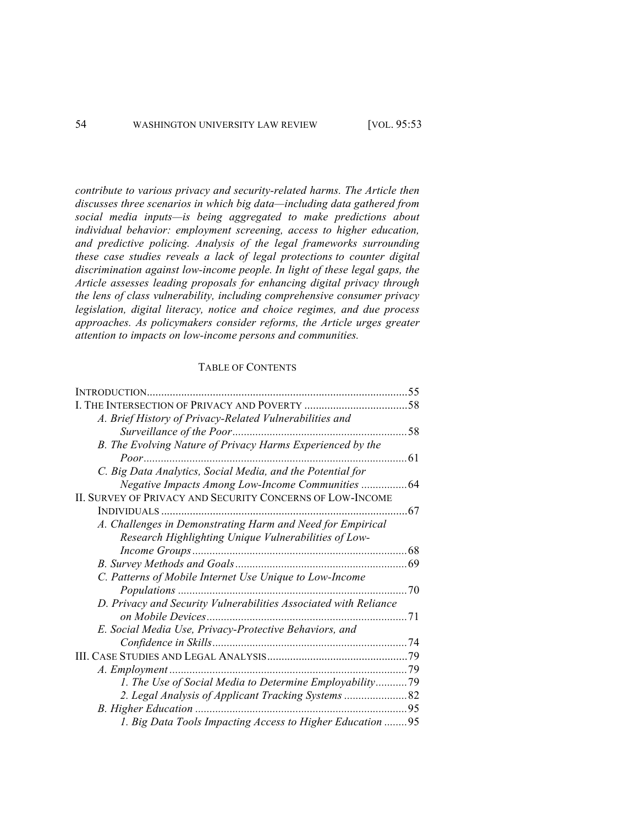*contribute to various privacy and security-related harms. The Article then discusses three scenarios in which big data—including data gathered from social media inputs—is being aggregated to make predictions about individual behavior: employment screening, access to higher education, and predictive policing. Analysis of the legal frameworks surrounding these case studies reveals a lack of legal protections to counter digital discrimination against low-income people. In light of these legal gaps, the Article assesses leading proposals for enhancing digital privacy through the lens of class vulnerability, including comprehensive consumer privacy legislation, digital literacy, notice and choice regimes, and due process approaches. As policymakers consider reforms, the Article urges greater attention to impacts on low-income persons and communities.*

### TABLE OF CONTENTS

| <b>INTRODUCTION</b>                                              | 55  |
|------------------------------------------------------------------|-----|
|                                                                  |     |
| A. Brief History of Privacy-Related Vulnerabilities and          |     |
|                                                                  | 58  |
| B. The Evolving Nature of Privacy Harms Experienced by the       |     |
|                                                                  | 61  |
| C. Big Data Analytics, Social Media, and the Potential for       |     |
|                                                                  |     |
| II. SURVEY OF PRIVACY AND SECURITY CONCERNS OF LOW-INCOME        |     |
|                                                                  | 67  |
| A. Challenges in Demonstrating Harm and Need for Empirical       |     |
| Research Highlighting Unique Vulnerabilities of Low-             |     |
|                                                                  | 68  |
|                                                                  |     |
| C. Patterns of Mobile Internet Use Unique to Low-Income          |     |
| Populations                                                      | .70 |
| D. Privacy and Security Vulnerabilities Associated with Reliance |     |
| on Mobile Devices                                                | 71  |
| E. Social Media Use, Privacy-Protective Behaviors, and           |     |
|                                                                  |     |
|                                                                  |     |
|                                                                  |     |
| 1. The Use of Social Media to Determine Employability79          |     |
|                                                                  |     |
|                                                                  |     |
| 1. Big Data Tools Impacting Access to Higher Education  95       |     |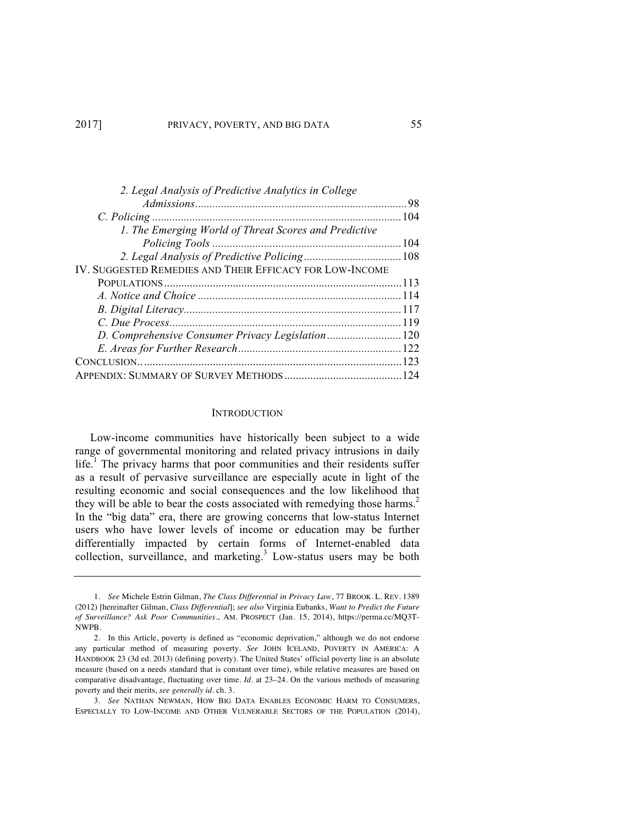| 2. Legal Analysis of Predictive Analytics in College     |  |
|----------------------------------------------------------|--|
|                                                          |  |
|                                                          |  |
| 1. The Emerging World of Threat Scores and Predictive    |  |
|                                                          |  |
|                                                          |  |
| IV. SUGGESTED REMEDIES AND THEIR EFFICACY FOR LOW-INCOME |  |
|                                                          |  |
|                                                          |  |
|                                                          |  |
|                                                          |  |
|                                                          |  |
|                                                          |  |
|                                                          |  |
|                                                          |  |

#### **INTRODUCTION**

Low-income communities have historically been subject to a wide range of governmental monitoring and related privacy intrusions in daily life.<sup>1</sup> The privacy harms that poor communities and their residents suffer as a result of pervasive surveillance are especially acute in light of the resulting economic and social consequences and the low likelihood that they will be able to bear the costs associated with remedying those harms.<sup>2</sup> In the "big data" era, there are growing concerns that low-status Internet users who have lower levels of income or education may be further differentially impacted by certain forms of Internet-enabled data collection, surveillance, and marketing.<sup>3</sup> Low-status users may be both

<sup>1.</sup> *See* Michele Estrin Gilman, *The Class Differential in Privacy Law*, 77 BROOK. L. REV. 1389 (2012) [hereinafter Gilman, *Class Differential*]; *see also* Virginia Eubanks, *Want to Predict the Future of Surveillance? Ask Poor Communities*., AM. PROSPECT (Jan. 15, 2014), https://perma.cc/MQ3T-NWPB.

<sup>2.</sup> In this Article, poverty is defined as "economic deprivation," although we do not endorse any particular method of measuring poverty. *See* JOHN ICELAND, POVERTY IN AMERICA: A HANDBOOK 23 (3d ed. 2013) (defining poverty). The United States' official poverty line is an absolute measure (based on a needs standard that is constant over time), while relative measures are based on comparative disadvantage, fluctuating over time. *Id.* at 23–24. On the various methods of measuring poverty and their merits, *see generally id.* ch. 3.

<sup>3.</sup> *See* NATHAN NEWMAN, HOW BIG DATA ENABLES ECONOMIC HARM TO CONSUMERS, ESPECIALLY TO LOW-INCOME AND OTHER VULNERABLE SECTORS OF THE POPULATION (2014),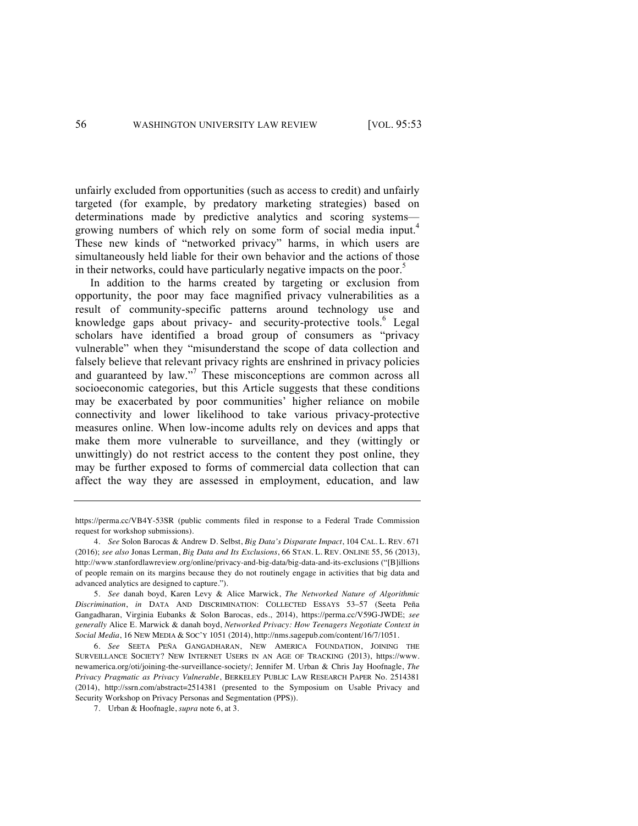unfairly excluded from opportunities (such as access to credit) and unfairly targeted (for example, by predatory marketing strategies) based on determinations made by predictive analytics and scoring systems growing numbers of which rely on some form of social media input.<sup>4</sup> These new kinds of "networked privacy" harms, in which users are simultaneously held liable for their own behavior and the actions of those in their networks, could have particularly negative impacts on the poor.<sup>5</sup>

In addition to the harms created by targeting or exclusion from opportunity, the poor may face magnified privacy vulnerabilities as a result of community-specific patterns around technology use and knowledge gaps about privacy- and security-protective tools.<sup>6</sup> Legal scholars have identified a broad group of consumers as "privacy vulnerable" when they "misunderstand the scope of data collection and falsely believe that relevant privacy rights are enshrined in privacy policies and guaranteed by law."<sup>7</sup> These misconceptions are common across all socioeconomic categories, but this Article suggests that these conditions may be exacerbated by poor communities' higher reliance on mobile connectivity and lower likelihood to take various privacy-protective measures online. When low-income adults rely on devices and apps that make them more vulnerable to surveillance, and they (wittingly or unwittingly) do not restrict access to the content they post online, they may be further exposed to forms of commercial data collection that can affect the way they are assessed in employment, education, and law

https://perma.cc/VB4Y-53SR (public comments filed in response to a Federal Trade Commission request for workshop submissions).

<sup>4.</sup> *See* Solon Barocas & Andrew D. Selbst, *Big Data's Disparate Impact*, 104 CAL. L. REV. 671 (2016); *see also* Jonas Lerman, *Big Data and Its Exclusions*, 66 STAN. L. REV. ONLINE 55, 56 (2013), http://www.stanfordlawreview.org/online/privacy-and-big-data/big-data-and-its-exclusions ("[B]illions of people remain on its margins because they do not routinely engage in activities that big data and advanced analytics are designed to capture.").

<sup>5.</sup> *See* danah boyd, Karen Levy & Alice Marwick, *The Networked Nature of Algorithmic Discrimination*, *in* DATA AND DISCRIMINATION: COLLECTED ESSAYS 53–57 (Seeta Peña Gangadharan, Virginia Eubanks & Solon Barocas, eds., 2014), https://perma.cc/V59G-JWDE; *see generally* Alice E. Marwick & danah boyd, *Networked Privacy: How Teenagers Negotiate Context in Social Media*, 16 NEW MEDIA & SOC'Y 1051 (2014), http://nms.sagepub.com/content/16/7/1051.

<sup>6.</sup> *See* SEETA PEÑA GANGADHARAN, NEW AMERICA FOUNDATION, JOINING THE SURVEILLANCE SOCIETY? NEW INTERNET USERS IN AN AGE OF TRACKING (2013), https://www. newamerica.org/oti/joining-the-surveillance-society/; Jennifer M. Urban & Chris Jay Hoofnagle, *The Privacy Pragmatic as Privacy Vulnerable*, BERKELEY PUBLIC LAW RESEARCH PAPER No. 2514381 (2014), http://ssrn.com/abstract=2514381 (presented to the Symposium on Usable Privacy and Security Workshop on Privacy Personas and Segmentation (PPS)).

<sup>7.</sup> Urban & Hoofnagle, *supra* note 6, at 3.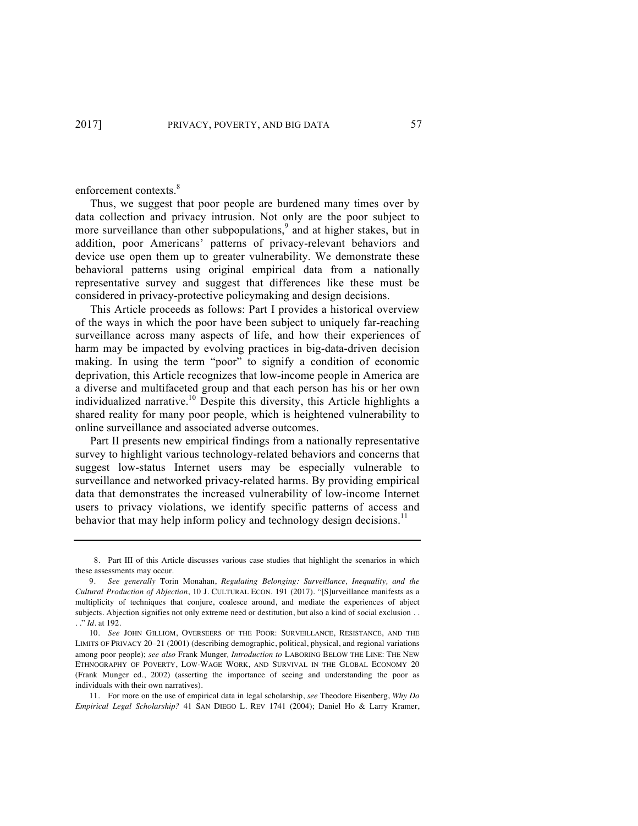enforcement contexts.<sup>8</sup>

Thus, we suggest that poor people are burdened many times over by data collection and privacy intrusion. Not only are the poor subject to more surveillance than other subpopulations,<sup>9</sup> and at higher stakes, but in addition, poor Americans' patterns of privacy-relevant behaviors and device use open them up to greater vulnerability. We demonstrate these behavioral patterns using original empirical data from a nationally representative survey and suggest that differences like these must be considered in privacy-protective policymaking and design decisions.

This Article proceeds as follows: Part I provides a historical overview of the ways in which the poor have been subject to uniquely far-reaching surveillance across many aspects of life, and how their experiences of harm may be impacted by evolving practices in big-data-driven decision making. In using the term "poor" to signify a condition of economic deprivation, this Article recognizes that low-income people in America are a diverse and multifaceted group and that each person has his or her own individualized narrative.<sup>10</sup> Despite this diversity, this Article highlights a shared reality for many poor people, which is heightened vulnerability to online surveillance and associated adverse outcomes.

Part II presents new empirical findings from a nationally representative survey to highlight various technology-related behaviors and concerns that suggest low-status Internet users may be especially vulnerable to surveillance and networked privacy-related harms. By providing empirical data that demonstrates the increased vulnerability of low-income Internet users to privacy violations, we identify specific patterns of access and behavior that may help inform policy and technology design decisions.<sup>11</sup>

<sup>8.</sup> Part III of this Article discusses various case studies that highlight the scenarios in which these assessments may occur.

<sup>9.</sup> *See generally* Torin Monahan, *Regulating Belonging: Surveillance, Inequality, and the Cultural Production of Abjection*, 10 J. CULTURAL ECON. 191 (2017). "[S]urveillance manifests as a multiplicity of techniques that conjure, coalesce around, and mediate the experiences of abject subjects. Abjection signifies not only extreme need or destitution, but also a kind of social exclusion . . . ." *Id.* at 192.

<sup>10.</sup> *See* JOHN GILLIOM, OVERSEERS OF THE POOR: SURVEILLANCE, RESISTANCE, AND THE LIMITS OF PRIVACY 20–21 (2001) (describing demographic, political, physical, and regional variations among poor people); *see also* Frank Munger*, Introduction to* LABORING BELOW THE LINE: THE NEW ETHNOGRAPHY OF POVERTY, LOW-WAGE WORK, AND SURVIVAL IN THE GLOBAL ECONOMY 20 (Frank Munger ed., 2002) (asserting the importance of seeing and understanding the poor as individuals with their own narratives).

<sup>11.</sup> For more on the use of empirical data in legal scholarship, *see* Theodore Eisenberg, *Why Do Empirical Legal Scholarship?* 41 SAN DIEGO L. REV 1741 (2004); Daniel Ho & Larry Kramer,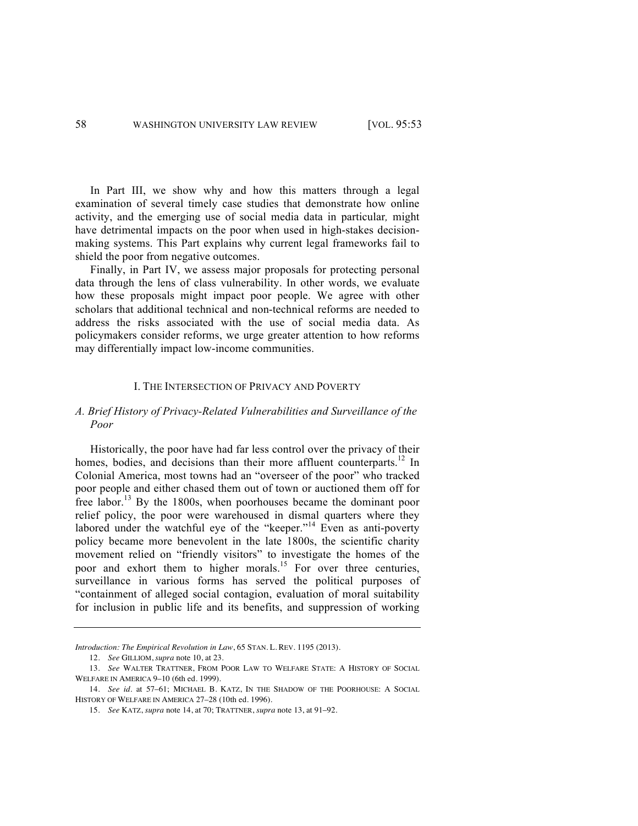In Part III, we show why and how this matters through a legal examination of several timely case studies that demonstrate how online activity, and the emerging use of social media data in particular*,* might have detrimental impacts on the poor when used in high-stakes decisionmaking systems. This Part explains why current legal frameworks fail to shield the poor from negative outcomes.

Finally, in Part IV, we assess major proposals for protecting personal data through the lens of class vulnerability. In other words, we evaluate how these proposals might impact poor people. We agree with other scholars that additional technical and non-technical reforms are needed to address the risks associated with the use of social media data. As policymakers consider reforms, we urge greater attention to how reforms may differentially impact low-income communities.

### I. THE INTERSECTION OF PRIVACY AND POVERTY

### *A. Brief History of Privacy-Related Vulnerabilities and Surveillance of the Poor*

Historically, the poor have had far less control over the privacy of their homes, bodies, and decisions than their more affluent counterparts.<sup>12</sup> In Colonial America, most towns had an "overseer of the poor" who tracked poor people and either chased them out of town or auctioned them off for free labor.<sup>13</sup> By the 1800s, when poorhouses became the dominant poor relief policy, the poor were warehoused in dismal quarters where they labored under the watchful eye of the "keeper."<sup>14</sup> Even as anti-poverty policy became more benevolent in the late 1800s, the scientific charity movement relied on "friendly visitors" to investigate the homes of the poor and exhort them to higher morals.<sup>15</sup> For over three centuries, surveillance in various forms has served the political purposes of "containment of alleged social contagion, evaluation of moral suitability for inclusion in public life and its benefits, and suppression of working

*Introduction: The Empirical Revolution in Law*, 65 STAN. L. REV. 1195 (2013).

<sup>12.</sup> *See* GILLIOM, *supra* note 10, at 23.

<sup>13.</sup> *See* WALTER TRATTNER, FROM POOR LAW TO WELFARE STATE: A HISTORY OF SOCIAL WELFARE IN AMERICA 9–10 (6th ed. 1999).

<sup>14.</sup> *See id.* at 57–61; MICHAEL B. KATZ, IN THE SHADOW OF THE POORHOUSE: A SOCIAL HISTORY OF WELFARE IN AMERICA 27–28 (10th ed. 1996).

<sup>15.</sup> *See* KATZ, *supra* note 14, at 70; TRATTNER, *supra* note 13, at 91–92.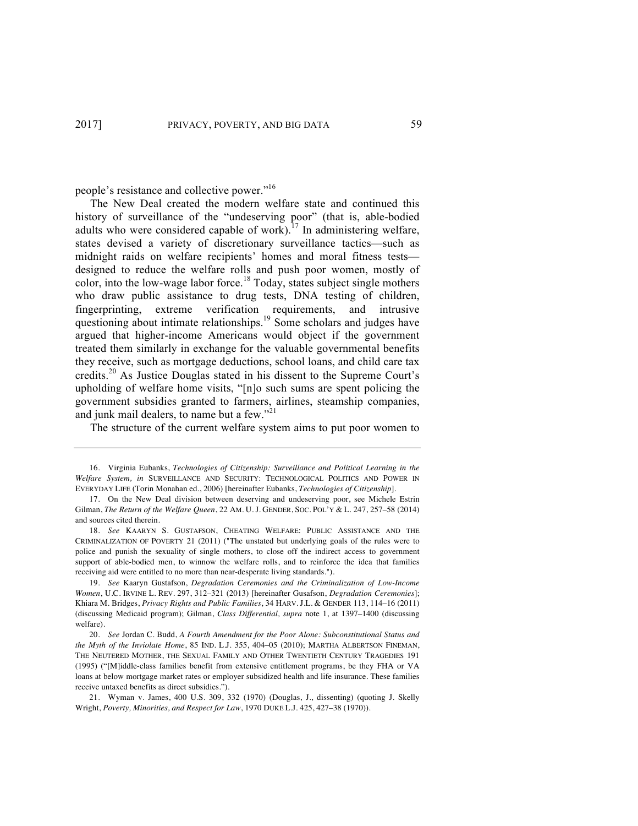people's resistance and collective power."16

The New Deal created the modern welfare state and continued this history of surveillance of the "undeserving poor" (that is, able-bodied adults who were considered capable of work).<sup>17</sup> In administering welfare, states devised a variety of discretionary surveillance tactics—such as midnight raids on welfare recipients' homes and moral fitness tests designed to reduce the welfare rolls and push poor women, mostly of color, into the low-wage labor force.<sup>18</sup> Today, states subject single mothers who draw public assistance to drug tests, DNA testing of children, fingerprinting, extreme verification requirements, and intrusive questioning about intimate relationships.<sup>19</sup> Some scholars and judges have argued that higher-income Americans would object if the government treated them similarly in exchange for the valuable governmental benefits they receive, such as mortgage deductions, school loans, and child care tax credits.<sup>20</sup> As Justice Douglas stated in his dissent to the Supreme Court's upholding of welfare home visits, "[n]o such sums are spent policing the government subsidies granted to farmers, airlines, steamship companies, and junk mail dealers, to name but a few." $21$ 

The structure of the current welfare system aims to put poor women to

<sup>16.</sup> Virginia Eubanks, *Technologies of Citizenship: Surveillance and Political Learning in the Welfare System, in* SURVEILLANCE AND SECURITY: TECHNOLOGICAL POLITICS AND POWER IN EVERYDAY LIFE (Torin Monahan ed., 2006) [hereinafter Eubanks, *Technologies of Citizenship*].

<sup>17.</sup> On the New Deal division between deserving and undeserving poor, see Michele Estrin Gilman, *The Return of the Welfare Queen*, 22 AM. U. J. GENDER, SOC. POL'Y & L. 247, 257–58 (2014) and sources cited therein.

<sup>18.</sup> *See* KAARYN S. GUSTAFSON, CHEATING WELFARE: PUBLIC ASSISTANCE AND THE CRIMINALIZATION OF POVERTY 21 (2011) ("The unstated but underlying goals of the rules were to police and punish the sexuality of single mothers, to close off the indirect access to government support of able-bodied men, to winnow the welfare rolls, and to reinforce the idea that families receiving aid were entitled to no more than near-desperate living standards.").

<sup>19.</sup> *See* Kaaryn Gustafson, *Degradation Ceremonies and the Criminalization of Low-Income Women*, U.C. IRVINE L. REV. 297, 312–321 (2013) [hereinafter Gusafson, *Degradation Ceremonies*]; Khiara M. Bridges, *Privacy Rights and Public Families*, 34 HARV. J.L. & GENDER 113, 114–16 (2011) (discussing Medicaid program); Gilman, *Class Differential, supra* note 1, at 1397–1400 (discussing welfare).

<sup>20.</sup> *See* Jordan C. Budd, *A Fourth Amendment for the Poor Alone: Subconstitutional Status and the Myth of the Inviolate Home*, 85 IND. L.J. 355, 404–05 (2010); MARTHA ALBERTSON FINEMAN, THE NEUTERED MOTHER, THE SEXUAL FAMILY AND OTHER TWENTIETH CENTURY TRAGEDIES 191 (1995) ("[M]iddle-class families benefit from extensive entitlement programs, be they FHA or VA loans at below mortgage market rates or employer subsidized health and life insurance. These families receive untaxed benefits as direct subsidies.").

<sup>21.</sup> Wyman v. James, 400 U.S. 309, 332 (1970) (Douglas, J., dissenting) (quoting J. Skelly Wright, *Poverty, Minorities, and Respect for Law*, 1970 DUKE L.J. 425, 427–38 (1970)).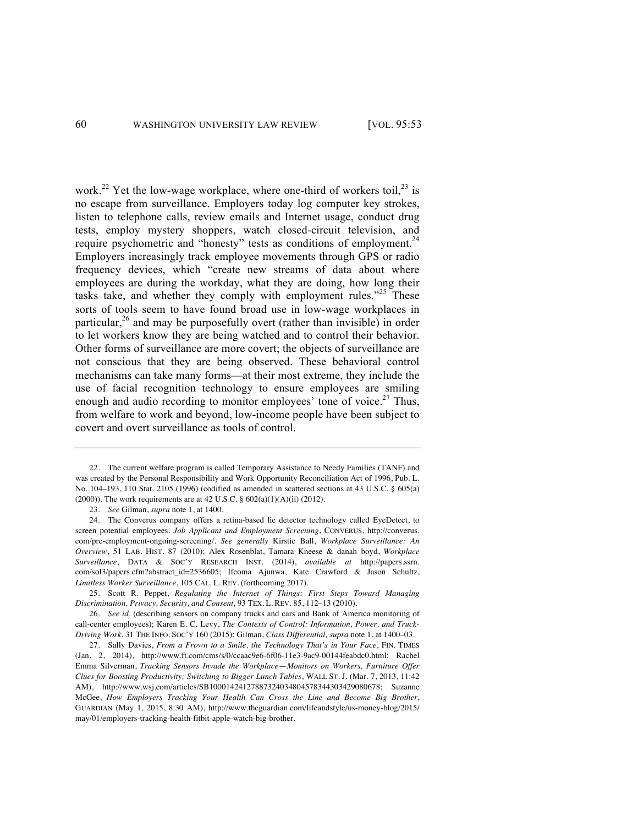work.<sup>22</sup> Yet the low-wage workplace, where one-third of workers toil,<sup>23</sup> is no escape from surveillance. Employers today log computer key strokes, listen to telephone calls, review emails and Internet usage, conduct drug tests, employ mystery shoppers, watch closed-circuit television, and require psychometric and "honesty" tests as conditions of employment. $24$ Employers increasingly track employee movements through GPS or radio frequency devices, which "create new streams of data about where employees are during the workday, what they are doing, how long their tasks take, and whether they comply with employment rules."<sup>25</sup> These sorts of tools seem to have found broad use in low-wage workplaces in particular, $26$  and may be purposefully overt (rather than invisible) in order to let workers know they are being watched and to control their behavior. Other forms of surveillance are more covert; the objects of surveillance are not conscious that they are being observed. These behavioral control mechanisms can take many forms—at their most extreme, they include the use of facial recognition technology to ensure employees are smiling enough and audio recording to monitor employees' tone of voice.<sup>27</sup> Thus, from welfare to work and beyond, low-income people have been subject to covert and overt surveillance as tools of control.

<sup>22.</sup> The current welfare program is called Temporary Assistance to Needy Families (TANF) and was created by the Personal Responsibility and Work Opportunity Reconciliation Act of 1996, Pub. L. No. 104–193, 110 Stat. 2105 (1996) (codified as amended in scattered sections at 43 U.S.C. § 605(a) (2000)). The work requirements are at 42 U.S.C.  $\S$  602(a)(1)(A)(ii) (2012).

<sup>23.</sup> *See* Gilman, *supra* note 1, at 1400.

<sup>24.</sup> The Converus company offers a retina-based lie detector technology called EyeDetect, to screen potential employees. *Job Applicant and Employment Screening*, CONVERUS, http://converus. com/pre-employment-ongoing-screening/. *See generally* Kirstie Ball, *Workplace Surveillance: An Overview*, 51 LAB. HIST. 87 (2010); Alex Rosenblat, Tamara Kneese & danah boyd, *Workplace Surveillance*, DATA & SOC'Y RESEARCH INST. (2014), *available at* http://papers.ssrn. com/sol3/papers.cfm?abstract\_id=2536605; Ifeoma Ajunwa, Kate Crawford & Jason Schultz, *Limitless Worker Surveillance*, 105 CAL. L. REV. (forthcoming 2017).

<sup>25.</sup> Scott R. Peppet, *Regulating the Internet of Things: First Steps Toward Managing Discrimination, Privacy, Security, and Consent*, 93 TEX. L. REV. 85, 112–13 (2010).

<sup>26.</sup> *See id.* (describing sensors on company trucks and cars and Bank of America monitoring of call-center employees); Karen E. C. Levy, *The Contexts of Control: Information, Power, and Truck-Driving Work*, 31 THE INFO. SOC'Y 160 (2015); Gilman, *Class Differential, supra* note 1, at 1400–03.

<sup>27.</sup> Sally Davies, *From a Frown to a Smile, the Technology That's in Your Face*, FIN. TIMES (Jan. 2, 2014), http://www.ft.com/cms/s/0/ccaac9e6-6f06-11e3-9ac9-00144feabdc0.html; Rachel Emma Silverman, *Tracking Sensors Invade the Workplace*—*Monitors on Workers, Furniture Offer Clues for Boosting Productivity; Switching to Bigger Lunch Tables*, WALL ST. J. (Mar. 7, 2013, 11:42 AM), http://www.wsj.com/articles/SB10001424127887324034804578344303429080678; Suzanne McGee, *How Employers Tracking Your Health Can Cross the Line and Become Big Brother*, GUARDIAN (May 1, 2015, 8:30 AM), http://www.theguardian.com/lifeandstyle/us-money-blog/2015/ may/01/employers-tracking-health-fitbit-apple-watch-big-brother.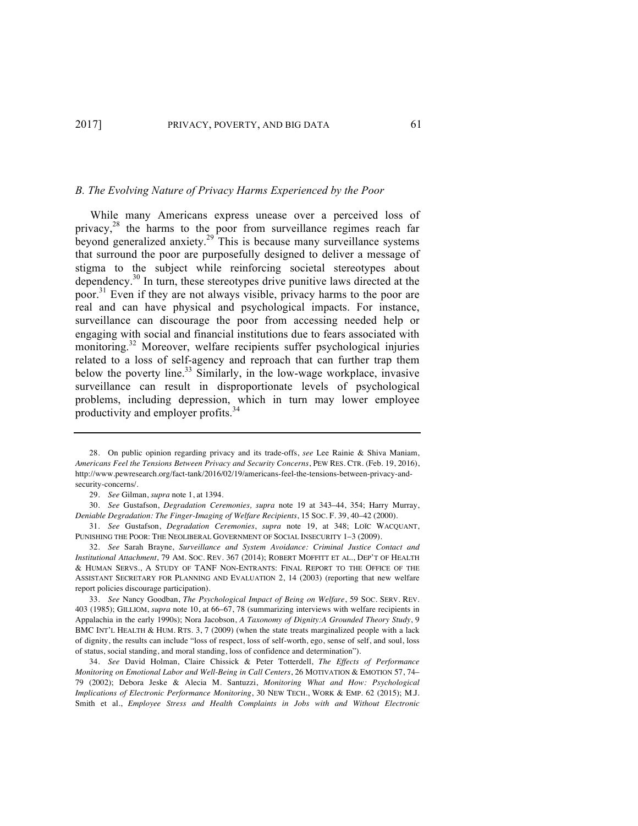#### *B. The Evolving Nature of Privacy Harms Experienced by the Poor*

While many Americans express unease over a perceived loss of privacy, $28$  the harms to the poor from surveillance regimes reach far beyond generalized anxiety.<sup>29</sup> This is because many surveillance systems that surround the poor are purposefully designed to deliver a message of stigma to the subject while reinforcing societal stereotypes about dependency.30 In turn, these stereotypes drive punitive laws directed at the poor.31 Even if they are not always visible, privacy harms to the poor are real and can have physical and psychological impacts. For instance, surveillance can discourage the poor from accessing needed help or engaging with social and financial institutions due to fears associated with monitoring.<sup>32</sup> Moreover, welfare recipients suffer psychological injuries related to a loss of self-agency and reproach that can further trap them below the poverty line.<sup>33</sup> Similarly, in the low-wage workplace, invasive surveillance can result in disproportionate levels of psychological problems, including depression, which in turn may lower employee productivity and employer profits.<sup>34</sup>

<sup>28.</sup> On public opinion regarding privacy and its trade-offs, *see* Lee Rainie & Shiva Maniam, *Americans Feel the Tensions Between Privacy and Security Concerns*, PEW RES. CTR. (Feb. 19, 2016), http://www.pewresearch.org/fact-tank/2016/02/19/americans-feel-the-tensions-between-privacy-andsecurity-concerns/.

<sup>29.</sup> *See* Gilman, *supra* note 1, at 1394.

<sup>30.</sup> *See* Gustafson, *Degradation Ceremonies, supra* note 19 at 343–44, 354; Harry Murray, *Deniable Degradation: The Finger-Imaging of Welfare Recipients*, 15 SOC. F. 39, 40–42 (2000).

<sup>31.</sup> *See* Gustafson, *Degradation Ceremonies*, *supra* note 19, at 348; LOЇC WACQUANT, PUNISHING THE POOR: THE NEOLIBERAL GOVERNMENT OF SOCIAL INSECURITY 1–3 (2009).

<sup>32.</sup> *See* Sarah Brayne, *Surveillance and System Avoidance: Criminal Justice Contact and Institutional Attachment*, 79 AM. SOC. REV. 367 (2014); ROBERT MOFFITT ET AL., DEP'T OF HEALTH & HUMAN SERVS., A STUDY OF TANF NON-ENTRANTS: FINAL REPORT TO THE OFFICE OF THE ASSISTANT SECRETARY FOR PLANNING AND EVALUATION 2, 14 (2003) (reporting that new welfare report policies discourage participation).

<sup>33.</sup> *See* Nancy Goodban, *The Psychological Impact of Being on Welfare*, 59 SOC. SERV. REV. 403 (1985); GILLIOM, *supra* note 10, at 66–67, 78 (summarizing interviews with welfare recipients in Appalachia in the early 1990s); Nora Jacobson, *A Taxonomy of Dignity:A Grounded Theory Study*, 9 BMC INT'L HEALTH & HUM. RTS. 3, 7 (2009) (when the state treats marginalized people with a lack of dignity, the results can include "loss of respect, loss of self-worth, ego, sense of self, and soul, loss of status, social standing, and moral standing, loss of confidence and determination").

<sup>34.</sup> *See* David Holman, Claire Chissick & Peter Totterdell, *The Effects of Performance Monitoring on Emotional Labor and Well-Being in Call Centers*, 26 MOTIVATION & EMOTION 57, 74– 79 (2002); Debora Jeske & Alecia M. Santuzzi, *Monitoring What and How: Psychological Implications of Electronic Performance Monitoring*, 30 NEW TECH., WORK & EMP. 62 (2015); M.J. Smith et al., *Employee Stress and Health Complaints in Jobs with and Without Electronic*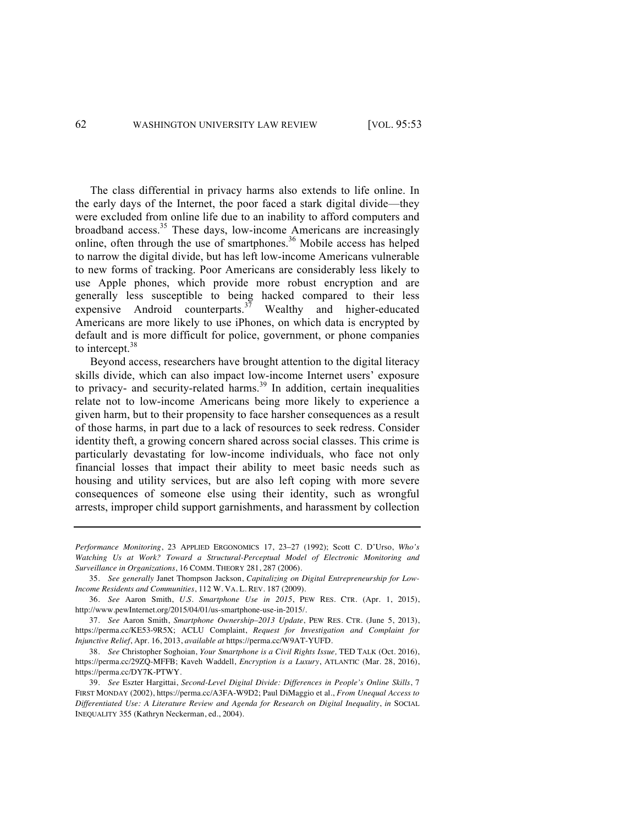The class differential in privacy harms also extends to life online. In the early days of the Internet, the poor faced a stark digital divide—they were excluded from online life due to an inability to afford computers and broadband access.<sup>35</sup> These days, low-income Americans are increasingly online, often through the use of smartphones.<sup>36</sup> Mobile access has helped to narrow the digital divide, but has left low-income Americans vulnerable to new forms of tracking. Poor Americans are considerably less likely to use Apple phones, which provide more robust encryption and are generally less susceptible to being hacked compared to their less expensive Android counterparts.<sup>37</sup> Wealthy and higher-educated Americans are more likely to use iPhones, on which data is encrypted by default and is more difficult for police, government, or phone companies to intercept.<sup>38</sup>

Beyond access, researchers have brought attention to the digital literacy skills divide, which can also impact low-income Internet users' exposure to privacy- and security-related harms.<sup>39</sup> In addition, certain inequalities relate not to low-income Americans being more likely to experience a given harm, but to their propensity to face harsher consequences as a result of those harms, in part due to a lack of resources to seek redress. Consider identity theft, a growing concern shared across social classes. This crime is particularly devastating for low-income individuals, who face not only financial losses that impact their ability to meet basic needs such as housing and utility services, but are also left coping with more severe consequences of someone else using their identity, such as wrongful arrests, improper child support garnishments, and harassment by collection

*Performance Monitoring*, 23 APPLIED ERGONOMICS 17, 23–27 (1992); Scott C. D'Urso, *Who's Watching Us at Work? Toward a Structural-Perceptual Model of Electronic Monitoring and Surveillance in Organizations*, 16 COMM. THEORY 281, 287 (2006).

35. *See generally* Janet Thompson Jackson, *Capitalizing on Digital Entrepreneurship for Low-Income Residents and Communities*, 112 W. VA. L. REV. 187 (2009).

36. *See* Aaron Smith, *U.S. Smartphone Use in 2015*, PEW RES. CTR. (Apr. 1, 2015), http://www.pewInternet.org/2015/04/01/us-smartphone-use-in-2015/.

37. *See* Aaron Smith, *Smartphone Ownership–2013 Update*, PEW RES. CTR. (June 5, 2013), https://perma.cc/KE53-9R5X; ACLU Complaint, *Request for Investigation and Complaint for Injunctive Relief*, Apr. 16, 2013, *available at* https://perma.cc/W9AT-YUFD.

38. *See* Christopher Soghoian, *Your Smartphone is a Civil Rights Issue,* TED TALK (Oct. 2016), https://perma.cc/29ZQ-MFFB; Kaveh Waddell, *Encryption is a Luxury*, ATLANTIC (Mar. 28, 2016), https://perma.cc/DY7K-PTWY.

39. *See* Eszter Hargittai, *Second-Level Digital Divide: Differences in People's Online Skills*, 7 FIRST MONDAY (2002), https://perma.cc/A3FA-W9D2; Paul DiMaggio et al., *From Unequal Access to Differentiated Use: A Literature Review and Agenda for Research on Digital Inequality*, *in* SOCIAL INEQUALITY 355 (Kathryn Neckerman, ed., 2004).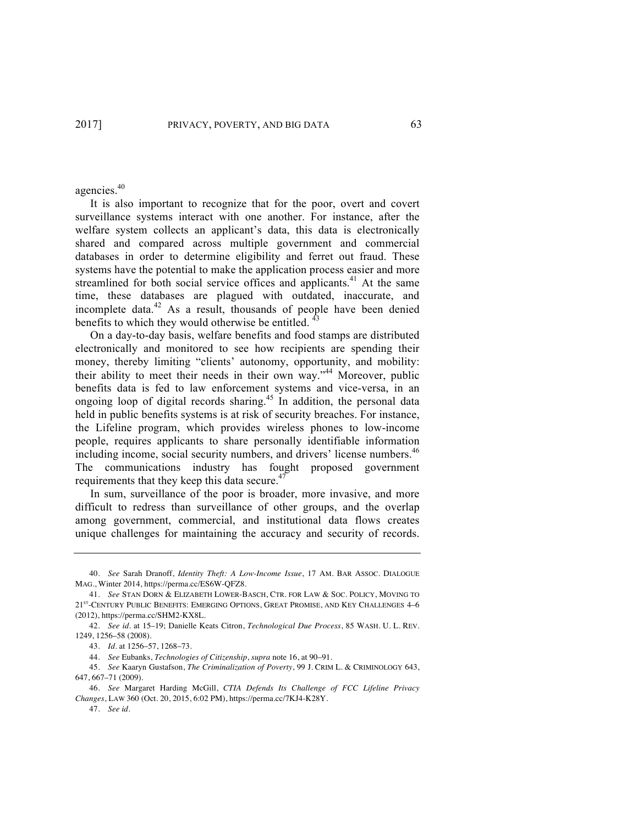agencies.40

It is also important to recognize that for the poor, overt and covert surveillance systems interact with one another. For instance, after the welfare system collects an applicant's data, this data is electronically shared and compared across multiple government and commercial databases in order to determine eligibility and ferret out fraud. These systems have the potential to make the application process easier and more streamlined for both social service offices and applicants.<sup>41</sup> At the same time, these databases are plagued with outdated, inaccurate, and incomplete data. $42$  As a result, thousands of people have been denied benefits to which they would otherwise be entitled.

On a day-to-day basis, welfare benefits and food stamps are distributed electronically and monitored to see how recipients are spending their money, thereby limiting "clients' autonomy, opportunity, and mobility: their ability to meet their needs in their own way.<sup> $344$ </sup> Moreover, public benefits data is fed to law enforcement systems and vice-versa, in an ongoing loop of digital records sharing.<sup>45</sup> In addition, the personal data held in public benefits systems is at risk of security breaches. For instance, the Lifeline program, which provides wireless phones to low-income people, requires applicants to share personally identifiable information including income, social security numbers, and drivers' license numbers.<sup>46</sup> The communications industry has fought proposed government requirements that they keep this data secure. $47$ 

In sum, surveillance of the poor is broader, more invasive, and more difficult to redress than surveillance of other groups, and the overlap among government, commercial, and institutional data flows creates unique challenges for maintaining the accuracy and security of records.

47. *See id*.

<sup>40.</sup> *See* Sarah Dranoff, *Identity Theft: A Low-Income Issue*, 17 AM. BAR ASSOC. DIALOGUE MAG., Winter 2014, https://perma.cc/ES6W-QFZ8.

<sup>41.</sup> *See* STAN DORN & ELIZABETH LOWER-BASCH, CTR. FOR LAW & SOC. POLICY, MOVING TO  $21^{\mathrm{st}}$  -Century Public Benefits: Emerging Options, Great Promise, and Key Challenges  $4\text{--}6$ (2012), https://perma.cc/SHM2-KX8L.

<sup>42.</sup> *See id.* at 15–19; Danielle Keats Citron, *Technological Due Process*, 85 WASH. U. L. REV. 1249, 1256–58 (2008).

<sup>43.</sup> *Id*. at 1256–57, 1268–73.

<sup>44.</sup> *See* Eubanks, *Technologies of Citizenship*, *supra* note 16, at 90–91.

<sup>45.</sup> *See* Kaaryn Gustafson, *The Criminalization of Poverty*, 99 J. CRIM L. & CRIMINOLOGY 643, 647, 667–71 (2009).

<sup>46.</sup> *See* Margaret Harding McGill, *CTIA Defends Its Challenge of FCC Lifeline Privacy Changes*, LAW 360 (Oct. 20, 2015, 6:02 PM), https://perma.cc/7KJ4-K28Y.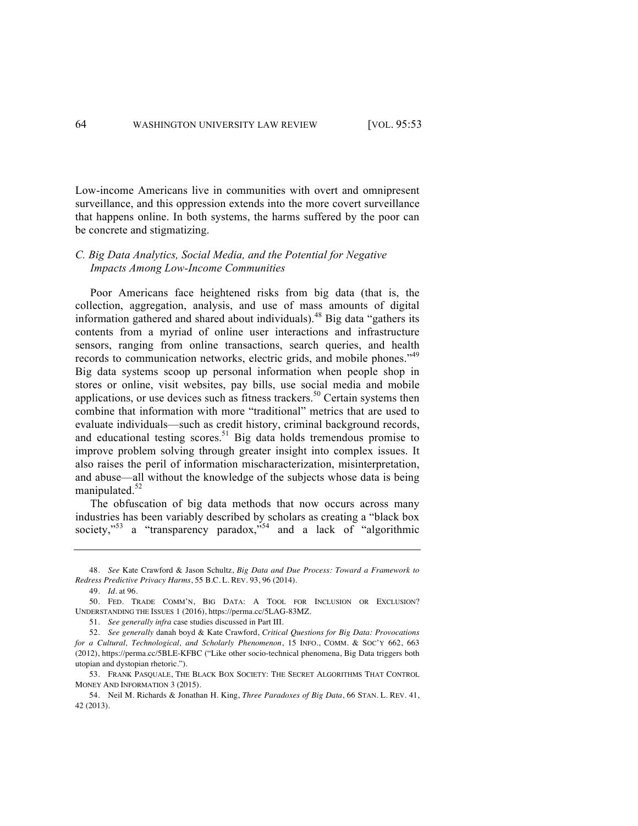Low-income Americans live in communities with overt and omnipresent surveillance, and this oppression extends into the more covert surveillance that happens online. In both systems, the harms suffered by the poor can be concrete and stigmatizing.

### *C. Big Data Analytics, Social Media, and the Potential for Negative Impacts Among Low-Income Communities*

Poor Americans face heightened risks from big data (that is, the collection, aggregation, analysis, and use of mass amounts of digital information gathered and shared about individuals).<sup>48</sup> Big data "gathers its contents from a myriad of online user interactions and infrastructure sensors, ranging from online transactions, search queries, and health records to communication networks, electric grids, and mobile phones."<sup>49</sup> Big data systems scoop up personal information when people shop in stores or online, visit websites, pay bills, use social media and mobile applications, or use devices such as fitness trackers.<sup>50</sup> Certain systems then combine that information with more "traditional" metrics that are used to evaluate individuals—such as credit history, criminal background records, and educational testing scores.<sup>51</sup> Big data holds tremendous promise to improve problem solving through greater insight into complex issues. It also raises the peril of information mischaracterization, misinterpretation, and abuse—all without the knowledge of the subjects whose data is being manipulated.<sup>52</sup>

The obfuscation of big data methods that now occurs across many industries has been variably described by scholars as creating a "black box society,"<sup>53</sup> a "transparency paradox,"<sup>54</sup> and a lack of "algorithmic

<sup>48.</sup> *See* Kate Crawford & Jason Schultz, *Big Data and Due Process: Toward a Framework to Redress Predictive Privacy Harms*, 55 B.C. L. REV. 93, 96 (2014).

<sup>49.</sup> *Id*. at 96.

<sup>50.</sup> FED. TRADE COMM'N, BIG DATA: A TOOL FOR INCLUSION OR EXCLUSION? UNDERSTANDING THE ISSUES 1 (2016), https://perma.cc/5LAG-83MZ.

<sup>51.</sup> *See generally infra* case studies discussed in Part III*.*

<sup>52.</sup> *See generally* danah boyd & Kate Crawford, *Critical Questions for Big Data: Provocations for a Cultural, Technological, and Scholarly Phenomenon*, 15 INFO., COMM. & SOC'Y 662, 663 (2012), https://perma.cc/5BLE-KFBC ("Like other socio-technical phenomena, Big Data triggers both utopian and dystopian rhetoric.").

<sup>53.</sup> FRANK PASQUALE, THE BLACK BOX SOCIETY: THE SECRET ALGORITHMS THAT CONTROL MONEY AND INFORMATION 3 (2015).

<sup>54.</sup> Neil M. Richards & Jonathan H. King, *Three Paradoxes of Big Data*, 66 STAN. L. REV. 41, 42 (2013).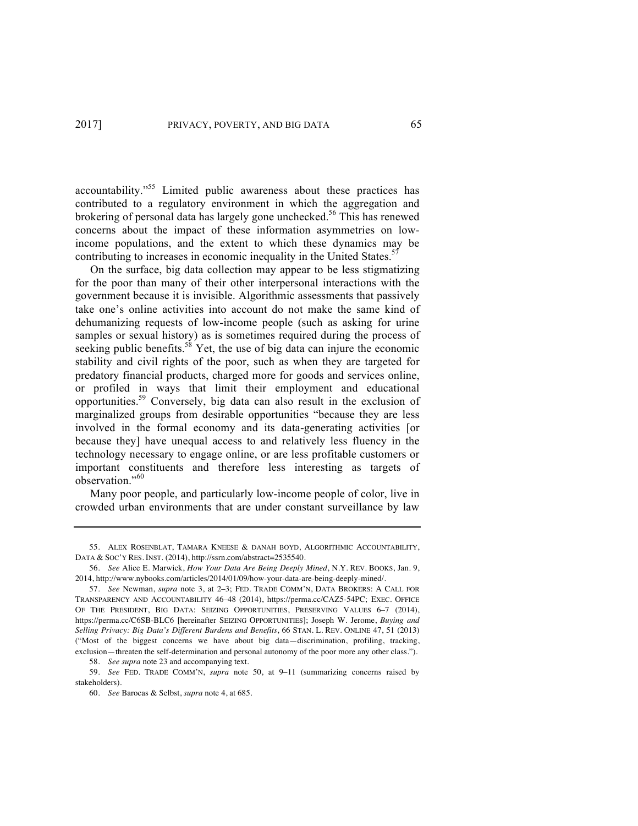accountability."55 Limited public awareness about these practices has contributed to a regulatory environment in which the aggregation and brokering of personal data has largely gone unchecked.<sup>56</sup> This has renewed concerns about the impact of these information asymmetries on lowincome populations, and the extent to which these dynamics may be contributing to increases in economic inequality in the United States.<sup>57</sup>

On the surface, big data collection may appear to be less stigmatizing for the poor than many of their other interpersonal interactions with the government because it is invisible. Algorithmic assessments that passively take one's online activities into account do not make the same kind of dehumanizing requests of low-income people (such as asking for urine samples or sexual history) as is sometimes required during the process of seeking public benefits.<sup>58</sup> Yet, the use of big data can injure the economic stability and civil rights of the poor, such as when they are targeted for predatory financial products, charged more for goods and services online, or profiled in ways that limit their employment and educational opportunities.59 Conversely, big data can also result in the exclusion of marginalized groups from desirable opportunities "because they are less involved in the formal economy and its data-generating activities [or because they] have unequal access to and relatively less fluency in the technology necessary to engage online, or are less profitable customers or important constituents and therefore less interesting as targets of observation."60

Many poor people, and particularly low-income people of color, live in crowded urban environments that are under constant surveillance by law

<sup>55.</sup> ALEX ROSENBLAT, TAMARA KNEESE & DANAH BOYD, ALGORITHMIC ACCOUNTABILITY, DATA & SOC'Y RES. INST. (2014), http://ssrn.com/abstract=2535540.

<sup>56.</sup> *See* Alice E. Marwick, *How Your Data Are Being Deeply Mined*, N.Y. REV. BOOKS, Jan. 9, 2014, http://www.nybooks.com/articles/2014/01/09/how-your-data-are-being-deeply-mined/.

<sup>57.</sup> *See* Newman, *supra* note 3, at 2–3; FED. TRADE COMM'N, DATA BROKERS: A CALL FOR TRANSPARENCY AND ACCOUNTABILITY 46–48 (2014), https://perma.cc/CAZ5-54PC; EXEC. OFFICE OF THE PRESIDENT, BIG DATA: SEIZING OPPORTUNITIES, PRESERVING VALUES 6–7 (2014), https://perma.cc/C6SB-BLC6 [hereinafter SEIZING OPPORTUNITIES]; Joseph W. Jerome, *Buying and Selling Privacy: Big Data's Different Burdens and Benefits*, 66 STAN. L. REV. ONLINE 47, 51 (2013) ("Most of the biggest concerns we have about big data—discrimination, profiling, tracking, exclusion—threaten the self-determination and personal autonomy of the poor more any other class.").

<sup>58.</sup> *See supra* note 23 and accompanying text.

<sup>59.</sup> *See* FED. TRADE COMM'N, *supra* note 50, at 9–11 (summarizing concerns raised by stakeholders).

<sup>60.</sup> *See* Barocas & Selbst, *supra* note 4, at 685.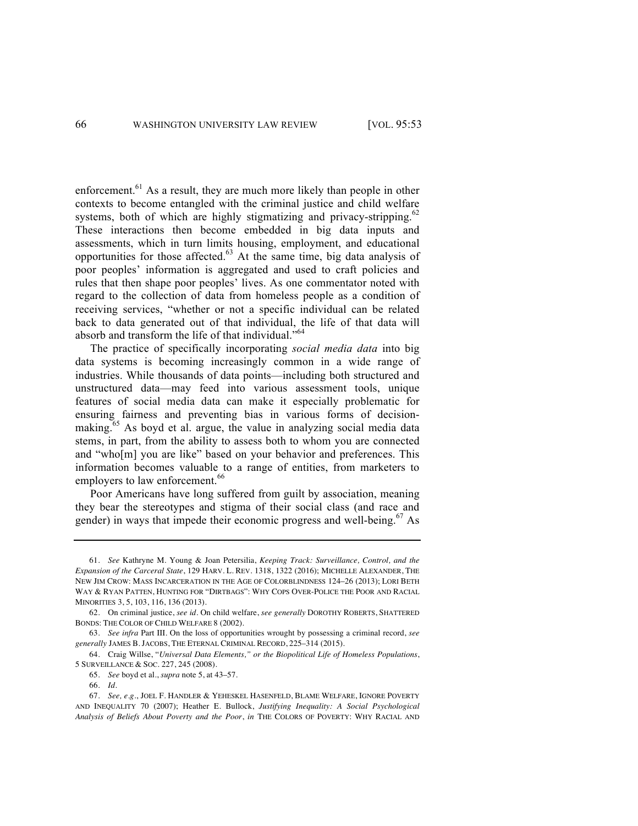enforcement.<sup>61</sup> As a result, they are much more likely than people in other contexts to become entangled with the criminal justice and child welfare systems, both of which are highly stigmatizing and privacy-stripping.<sup>62</sup> These interactions then become embedded in big data inputs and assessments, which in turn limits housing, employment, and educational opportunities for those affected.<sup>63</sup> At the same time, big data analysis of poor peoples' information is aggregated and used to craft policies and rules that then shape poor peoples' lives. As one commentator noted with regard to the collection of data from homeless people as a condition of receiving services, "whether or not a specific individual can be related back to data generated out of that individual, the life of that data will absorb and transform the life of that individual."<sup>64</sup>

The practice of specifically incorporating *social media data* into big data systems is becoming increasingly common in a wide range of industries. While thousands of data points—including both structured and unstructured data—may feed into various assessment tools, unique features of social media data can make it especially problematic for ensuring fairness and preventing bias in various forms of decisionmaking.<sup>65</sup> As boyd et al. argue, the value in analyzing social media data stems, in part, from the ability to assess both to whom you are connected and "who[m] you are like" based on your behavior and preferences. This information becomes valuable to a range of entities, from marketers to employers to law enforcement.<sup>66</sup>

Poor Americans have long suffered from guilt by association, meaning they bear the stereotypes and stigma of their social class (and race and gender) in ways that impede their economic progress and well-being.<sup>67</sup> As

<sup>61.</sup> *See* Kathryne M. Young & Joan Petersilia, *Keeping Track: Surveillance, Control, and the Expansion of the Carceral State*, 129 HARV. L. REV. 1318, 1322 (2016); MICHELLE ALEXANDER, THE NEW JIM CROW: MASS INCARCERATION IN THE AGE OF COLORBLINDNESS 124–26 (2013); LORI BETH WAY & RYAN PATTEN, HUNTING FOR "DIRTBAGS": WHY COPS OVER-POLICE THE POOR AND RACIAL MINORITIES 3, 5, 103, 116, 136 (2013).

<sup>62.</sup> On criminal justice, *see id*. On child welfare, *see generally* DOROTHY ROBERTS, SHATTERED BONDS: THE COLOR OF CHILD WELFARE 8 (2002).

<sup>63.</sup> *See infra* Part III. On the loss of opportunities wrought by possessing a criminal record, *see generally* JAMES B. JACOBS, THE ETERNAL CRIMINAL RECORD, 225–314 (2015).

<sup>64.</sup> Craig Willse, "*Universal Data Elements," or the Biopolitical Life of Homeless Populations*, 5 SURVEILLANCE & SOC. 227, 245 (2008).

<sup>65.</sup> *See* boyd et al., *supra* note 5, at 43–57.

<sup>66.</sup> *Id.*

<sup>67.</sup> *See, e.g.*, JOEL F. HANDLER & YEHESKEL HASENFELD, BLAME WELFARE, IGNORE POVERTY AND INEQUALITY 70 (2007); Heather E. Bullock, *Justifying Inequality: A Social Psychological Analysis of Beliefs About Poverty and the Poor*, *in* THE COLORS OF POVERTY: WHY RACIAL AND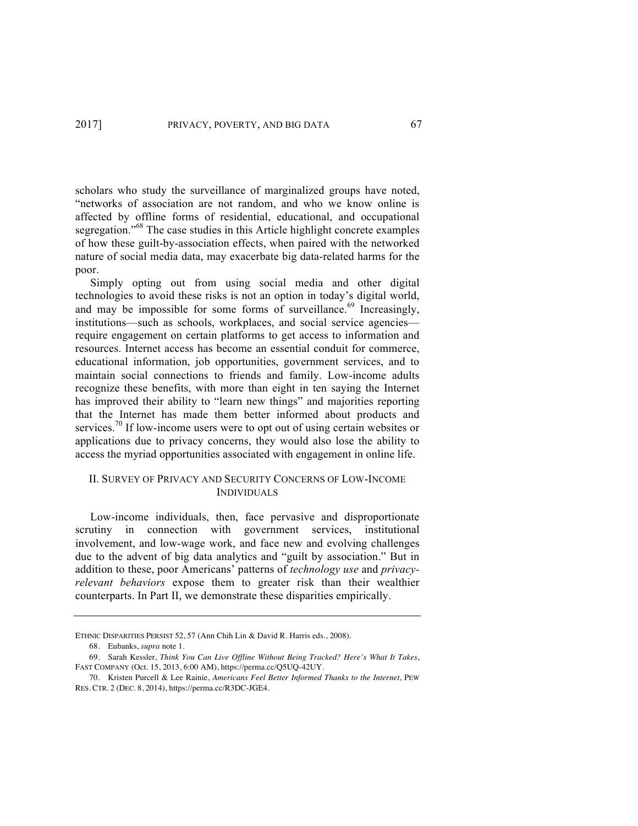scholars who study the surveillance of marginalized groups have noted, "networks of association are not random, and who we know online is affected by offline forms of residential, educational, and occupational segregation."<sup>68</sup> The case studies in this Article highlight concrete examples of how these guilt-by-association effects, when paired with the networked nature of social media data, may exacerbate big data-related harms for the poor.

Simply opting out from using social media and other digital technologies to avoid these risks is not an option in today's digital world, and may be impossible for some forms of surveillance.<sup>69</sup> Increasingly, institutions—such as schools, workplaces, and social service agencies require engagement on certain platforms to get access to information and resources. Internet access has become an essential conduit for commerce, educational information, job opportunities, government services, and to maintain social connections to friends and family. Low-income adults recognize these benefits, with more than eight in ten saying the Internet has improved their ability to "learn new things" and majorities reporting that the Internet has made them better informed about products and services.<sup>70</sup> If low-income users were to opt out of using certain websites or applications due to privacy concerns, they would also lose the ability to access the myriad opportunities associated with engagement in online life.

### II. SURVEY OF PRIVACY AND SECURITY CONCERNS OF LOW-INCOME INDIVIDUALS

Low-income individuals, then, face pervasive and disproportionate scrutiny in connection with government services, institutional involvement, and low-wage work, and face new and evolving challenges due to the advent of big data analytics and "guilt by association." But in addition to these, poor Americans' patterns of *technology use* and *privacyrelevant behaviors* expose them to greater risk than their wealthier counterparts. In Part II, we demonstrate these disparities empirically.

ETHNIC DISPARITIES PERSIST 52, 57 (Ann Chih Lin & David R. Harris eds., 2008).

<sup>68.</sup> Eubanks, *supra* note 1.

<sup>69.</sup> Sarah Kessler, *Think You Can Live Offline Without Being Tracked? Here's What It Takes*, FAST COMPANY (Oct. 15, 2013, 6:00 AM), https://perma.cc/Q5UQ-42UY.

<sup>70.</sup> Kristen Purcell & Lee Rainie, *Americans Feel Better Informed Thanks to the Internet*, PEW RES. CTR. 2 (DEC. 8, 2014), https://perma.cc/R3DC-JGE4.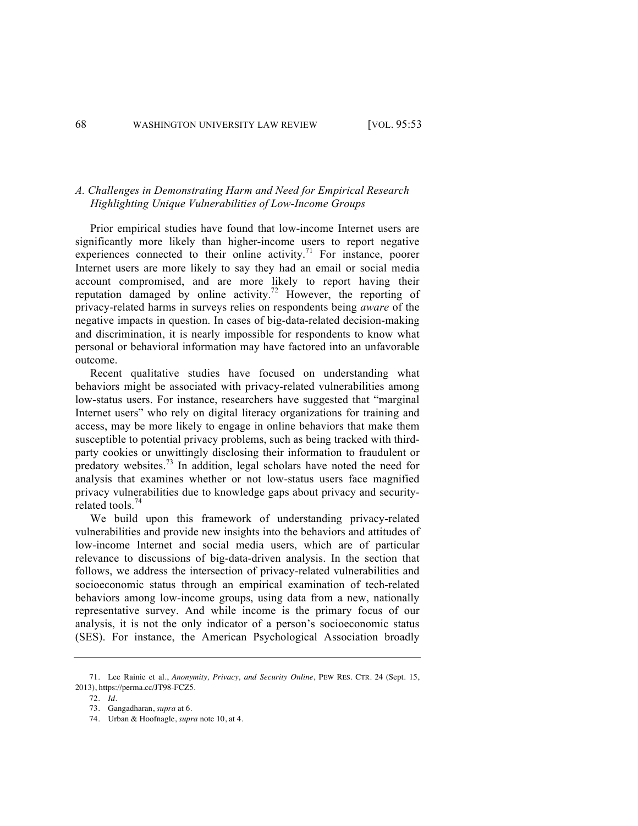### *A. Challenges in Demonstrating Harm and Need for Empirical Research Highlighting Unique Vulnerabilities of Low-Income Groups*

Prior empirical studies have found that low-income Internet users are significantly more likely than higher-income users to report negative experiences connected to their online activity.<sup>71</sup> For instance, poorer Internet users are more likely to say they had an email or social media account compromised, and are more likely to report having their reputation damaged by online activity.<sup>72</sup> However, the reporting of privacy-related harms in surveys relies on respondents being *aware* of the negative impacts in question. In cases of big-data-related decision-making and discrimination, it is nearly impossible for respondents to know what personal or behavioral information may have factored into an unfavorable outcome.

Recent qualitative studies have focused on understanding what behaviors might be associated with privacy-related vulnerabilities among low-status users. For instance, researchers have suggested that "marginal Internet users" who rely on digital literacy organizations for training and access, may be more likely to engage in online behaviors that make them susceptible to potential privacy problems, such as being tracked with thirdparty cookies or unwittingly disclosing their information to fraudulent or predatory websites.<sup>73</sup> In addition, legal scholars have noted the need for analysis that examines whether or not low-status users face magnified privacy vulnerabilities due to knowledge gaps about privacy and securityrelated tools.<sup>74</sup>

We build upon this framework of understanding privacy-related vulnerabilities and provide new insights into the behaviors and attitudes of low-income Internet and social media users, which are of particular relevance to discussions of big-data-driven analysis. In the section that follows, we address the intersection of privacy-related vulnerabilities and socioeconomic status through an empirical examination of tech-related behaviors among low-income groups, using data from a new, nationally representative survey. And while income is the primary focus of our analysis, it is not the only indicator of a person's socioeconomic status (SES). For instance, the American Psychological Association broadly

<sup>71.</sup> Lee Rainie et al., *Anonymity, Privacy, and Security Online*, PEW RES. CTR. 24 (Sept. 15, 2013), https://perma.cc/JT98-FCZ5.

<sup>72.</sup> *Id.*

<sup>73.</sup> Gangadharan, *supra* at 6.

<sup>74.</sup> Urban & Hoofnagle, *supra* note 10, at 4.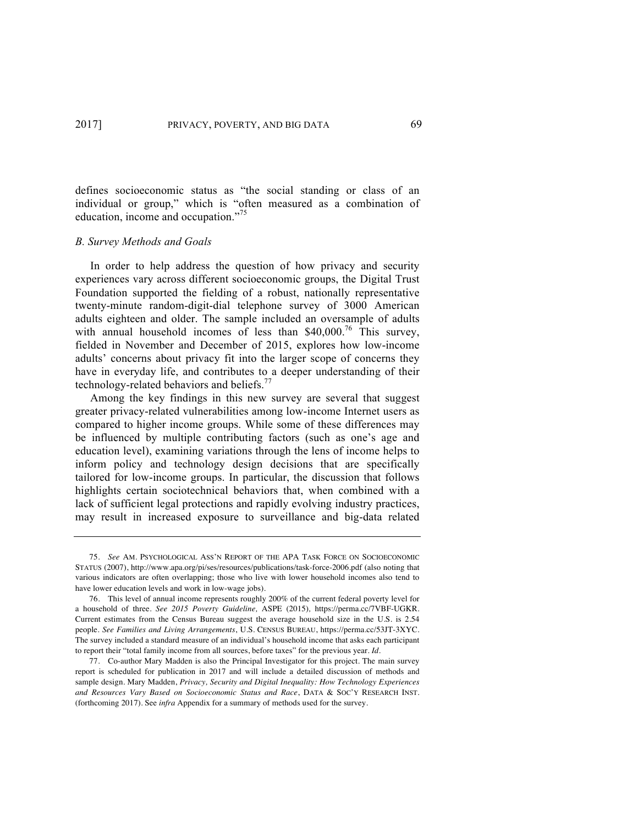defines socioeconomic status as "the social standing or class of an individual or group," which is "often measured as a combination of education, income and occupation."<sup>75</sup>

#### *B. Survey Methods and Goals*

In order to help address the question of how privacy and security experiences vary across different socioeconomic groups, the Digital Trust Foundation supported the fielding of a robust, nationally representative twenty-minute random-digit-dial telephone survey of 3000 American adults eighteen and older. The sample included an oversample of adults with annual household incomes of less than  $$40,000$ .<sup>76</sup> This survey, fielded in November and December of 2015, explores how low-income adults' concerns about privacy fit into the larger scope of concerns they have in everyday life, and contributes to a deeper understanding of their technology-related behaviors and beliefs.<sup>77</sup>

Among the key findings in this new survey are several that suggest greater privacy-related vulnerabilities among low-income Internet users as compared to higher income groups. While some of these differences may be influenced by multiple contributing factors (such as one's age and education level), examining variations through the lens of income helps to inform policy and technology design decisions that are specifically tailored for low-income groups. In particular, the discussion that follows highlights certain sociotechnical behaviors that, when combined with a lack of sufficient legal protections and rapidly evolving industry practices, may result in increased exposure to surveillance and big-data related

<sup>75.</sup> *See* AM. PSYCHOLOGICAL ASS'N REPORT OF THE APA TASK FORCE ON SOCIOECONOMIC STATUS (2007), http://www.apa.org/pi/ses/resources/publications/task-force-2006.pdf (also noting that various indicators are often overlapping; those who live with lower household incomes also tend to have lower education levels and work in low-wage jobs).

<sup>76.</sup> This level of annual income represents roughly 200% of the current federal poverty level for a household of three. *See 2015 Poverty Guideline,* ASPE (2015)*,* https://perma.cc/7VBF-UGKR. Current estimates from the Census Bureau suggest the average household size in the U.S. is 2.54 people. *See Families and Living Arrangements*, U.S. CENSUS BUREAU, https://perma.cc/53JT-3XYC. The survey included a standard measure of an individual's household income that asks each participant to report their "total family income from all sources, before taxes" for the previous year. *Id.*

<sup>77.</sup> Co-author Mary Madden is also the Principal Investigator for this project. The main survey report is scheduled for publication in 2017 and will include a detailed discussion of methods and sample design. Mary Madden, *Privacy, Security and Digital Inequality: How Technology Experiences and Resources Vary Based on Socioeconomic Status and Race*, DATA & SOC'Y RESEARCH INST. (forthcoming 2017). See *infra* Appendix for a summary of methods used for the survey.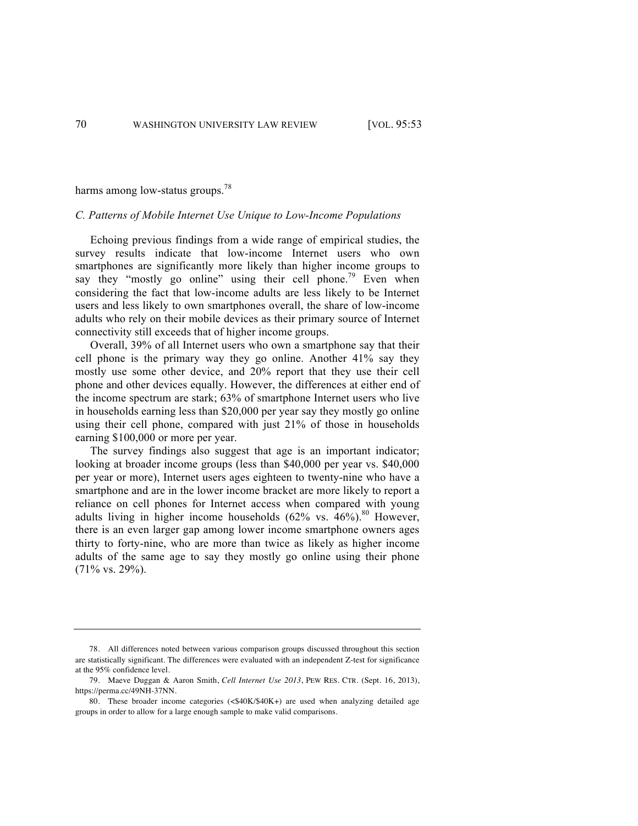harms among low-status groups.<sup>78</sup>

#### *C. Patterns of Mobile Internet Use Unique to Low-Income Populations*

Echoing previous findings from a wide range of empirical studies, the survey results indicate that low-income Internet users who own smartphones are significantly more likely than higher income groups to say they "mostly go online" using their cell phone.<sup>79</sup> Even when considering the fact that low-income adults are less likely to be Internet users and less likely to own smartphones overall, the share of low-income adults who rely on their mobile devices as their primary source of Internet connectivity still exceeds that of higher income groups.

Overall, 39% of all Internet users who own a smartphone say that their cell phone is the primary way they go online. Another 41% say they mostly use some other device, and 20% report that they use their cell phone and other devices equally. However, the differences at either end of the income spectrum are stark; 63% of smartphone Internet users who live in households earning less than \$20,000 per year say they mostly go online using their cell phone, compared with just 21% of those in households earning \$100,000 or more per year.

The survey findings also suggest that age is an important indicator; looking at broader income groups (less than \$40,000 per year vs. \$40,000 per year or more), Internet users ages eighteen to twenty-nine who have a smartphone and are in the lower income bracket are more likely to report a reliance on cell phones for Internet access when compared with young adults living in higher income households  $(62\% \text{ vs. } 46\%)$ .<sup>80</sup> However, there is an even larger gap among lower income smartphone owners ages thirty to forty-nine, who are more than twice as likely as higher income adults of the same age to say they mostly go online using their phone (71% vs. 29%).

<sup>78.</sup> All differences noted between various comparison groups discussed throughout this section are statistically significant. The differences were evaluated with an independent Z-test for significance at the 95% confidence level.

<sup>79.</sup> Maeve Duggan & Aaron Smith, *Cell Internet Use 2013*, PEW RES. CTR. (Sept. 16, 2013), https://perma.cc/49NH-37NN.

<sup>80.</sup> These broader income categories (<\$40K/\$40K+) are used when analyzing detailed age groups in order to allow for a large enough sample to make valid comparisons.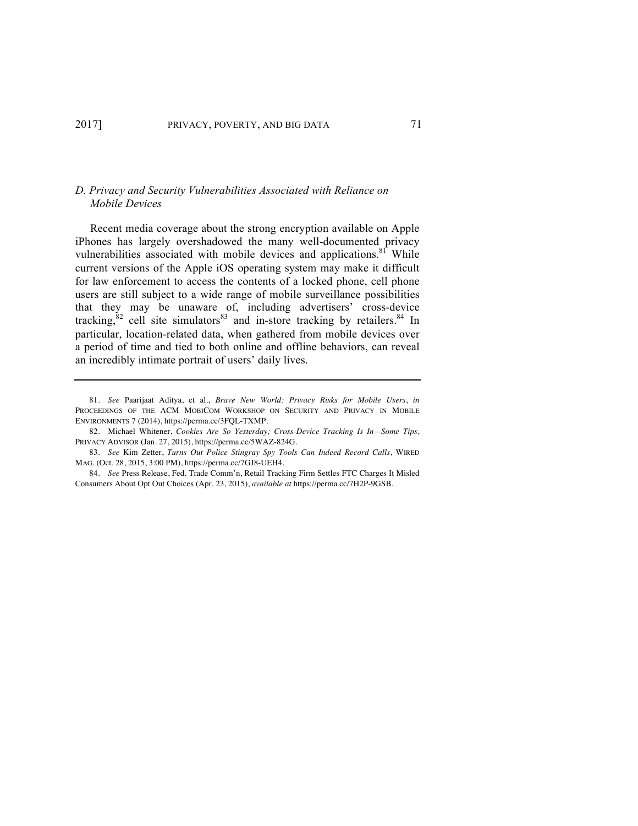### *D. Privacy and Security Vulnerabilities Associated with Reliance on Mobile Devices*

Recent media coverage about the strong encryption available on Apple iPhones has largely overshadowed the many well-documented privacy vulnerabilities associated with mobile devices and applications.<sup>81</sup> While current versions of the Apple iOS operating system may make it difficult for law enforcement to access the contents of a locked phone, cell phone users are still subject to a wide range of mobile surveillance possibilities that they may be unaware of, including advertisers' cross-device tracking, $82$  cell site simulators and in-store tracking by retailers. <sup>84</sup> In particular, location-related data, when gathered from mobile devices over a period of time and tied to both online and offline behaviors, can reveal an incredibly intimate portrait of users' daily lives.

<sup>81.</sup> *See* Paarijaat Aditya, et al., *Brave New World: Privacy Risks for Mobile Users*, *in*  PROCEEDINGS OF THE ACM MOBICOM WORKSHOP ON SECURITY AND PRIVACY IN MOBILE ENVIRONMENTS 7 (2014), https://perma.cc/3FQL-TXMP.

<sup>82.</sup> Michael Whitener, *Cookies Are So Yesterday; Cross-Device Tracking Is In—Some Tips*, PRIVACY ADVISOR (Jan. 27, 2015), https://perma.cc/5WAZ-824G.

<sup>83.</sup> *See* Kim Zetter, *Turns Out Police Stingray Spy Tools Can Indeed Record Calls*, WIRED MAG. (Oct. 28, 2015, 3:00 PM), https://perma.cc/7GJ8-UEH4.

<sup>84.</sup> *See* Press Release, Fed. Trade Comm'n, Retail Tracking Firm Settles FTC Charges It Misled Consumers About Opt Out Choices (Apr. 23, 2015), *available at* https://perma.cc/7H2P-9GSB.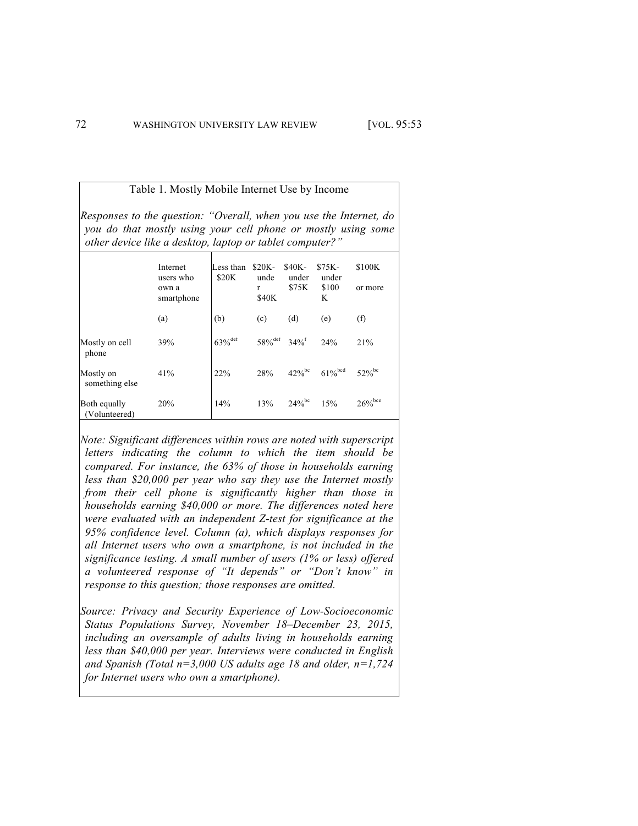Table 1. Mostly Mobile Internet Use by Income

*Responses to the question: "Overall, when you use the Internet, do you do that mostly using your cell phone or mostly using some other device like a desktop, laptop or tablet computer?"*

|                               | Internet<br>users who<br>own a<br>smartphone | Less than<br>\$20K | $$20K-$<br>unde<br>$\mathbf{r}$<br>\$40K | \$40K-<br>under<br>\$75K | $$75K-$<br>under<br>\$100<br>K             | \$100K<br>or more    |
|-------------------------------|----------------------------------------------|--------------------|------------------------------------------|--------------------------|--------------------------------------------|----------------------|
|                               | (a)                                          | (b)                | (c)                                      | (d)                      | (e)                                        | $\rm(f)$             |
| Mostly on cell<br>phone       | 39%                                          | $63\%^\text{def}$  | $58\%^{\text{def}}$ 34% <sup>f</sup>     |                          | 24%                                        | 21%                  |
| Mostly on<br>something else   | 41%                                          | 22%                | 28%                                      |                          | $42\%$ <sup>bc</sup> $61\%$ <sup>bcd</sup> | $52\%$ <sup>bc</sup> |
| Both equally<br>(Volunteered) | 20%                                          | 14%                | 13%                                      | $24\%$ <sup>bc</sup>     | 15%                                        | $26\%^\mathrm{bce}$  |

*Note: Significant differences within rows are noted with superscript letters indicating the column to which the item should be compared. For instance, the 63% of those in households earning less than \$20,000 per year who say they use the Internet mostly from their cell phone is significantly higher than those in households earning \$40,000 or more. The differences noted here were evaluated with an independent Z-test for significance at the 95% confidence level. Column (a), which displays responses for all Internet users who own a smartphone, is not included in the significance testing. A small number of users (1% or less) offered a volunteered response of "It depends" or "Don't know" in response to this question; those responses are omitted.*

*Source: Privacy and Security Experience of Low-Socioeconomic Status Populations Survey, November 18–December 23, 2015, including an oversample of adults living in households earning less than \$40,000 per year. Interviews were conducted in English and Spanish (Total n=3,000 US adults age 18 and older, n=1,724 for Internet users who own a smartphone).*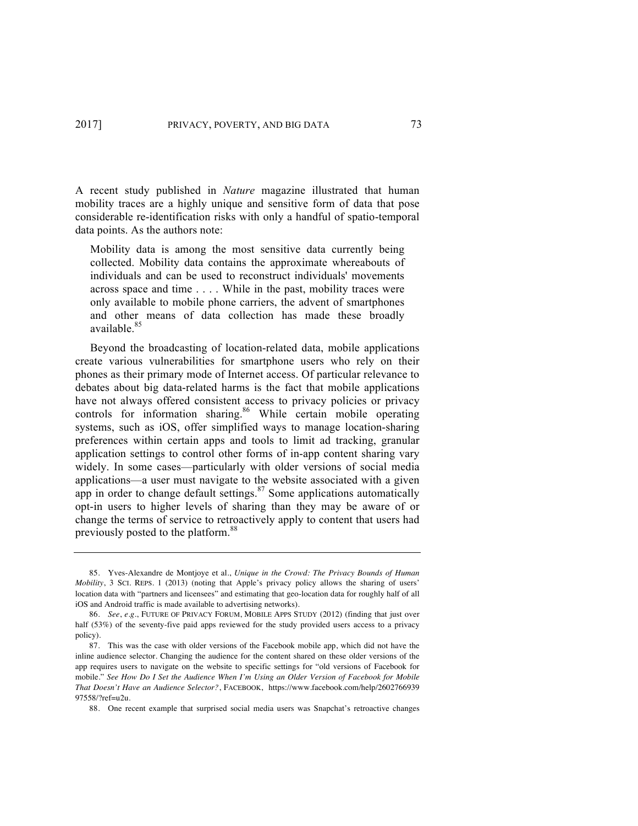A recent study published in *Nature* magazine illustrated that human mobility traces are a highly unique and sensitive form of data that pose considerable re-identification risks with only a handful of spatio-temporal data points. As the authors note:

Mobility data is among the most sensitive data currently being collected. Mobility data contains the approximate whereabouts of individuals and can be used to reconstruct individuals' movements across space and time . . . . While in the past, mobility traces were only available to mobile phone carriers, the advent of smartphones and other means of data collection has made these broadly available.<sup>85</sup>

Beyond the broadcasting of location-related data, mobile applications create various vulnerabilities for smartphone users who rely on their phones as their primary mode of Internet access. Of particular relevance to debates about big data-related harms is the fact that mobile applications have not always offered consistent access to privacy policies or privacy controls for information sharing.<sup>86</sup> While certain mobile operating systems, such as iOS, offer simplified ways to manage location-sharing preferences within certain apps and tools to limit ad tracking, granular application settings to control other forms of in-app content sharing vary widely. In some cases—particularly with older versions of social media applications—a user must navigate to the website associated with a given app in order to change default settings.<sup>87</sup> Some applications automatically opt-in users to higher levels of sharing than they may be aware of or change the terms of service to retroactively apply to content that users had previously posted to the platform.<sup>88</sup>

<sup>85.</sup> Yves-Alexandre de Montjoye et al., *Unique in the Crowd: The Privacy Bounds of Human Mobility*, 3 SCI. REPS. 1 (2013) (noting that Apple's privacy policy allows the sharing of users' location data with "partners and licensees" and estimating that geo-location data for roughly half of all iOS and Android traffic is made available to advertising networks).

<sup>86.</sup> *See*, *e.g.*, FUTURE OF PRIVACY FORUM, MOBILE APPS STUDY (2012) (finding that just over half (53%) of the seventy-five paid apps reviewed for the study provided users access to a privacy policy).

<sup>87.</sup> This was the case with older versions of the Facebook mobile app, which did not have the inline audience selector. Changing the audience for the content shared on these older versions of the app requires users to navigate on the website to specific settings for "old versions of Facebook for mobile." *See How Do I Set the Audience When I'm Using an Older Version of Facebook for Mobile That Doesn't Have an Audience Selector?*, FACEBOOK, https://www.facebook.com/help/2602766939  $97558/2ref-u2u$ 

<sup>88.</sup> One recent example that surprised social media users was Snapchat's retroactive changes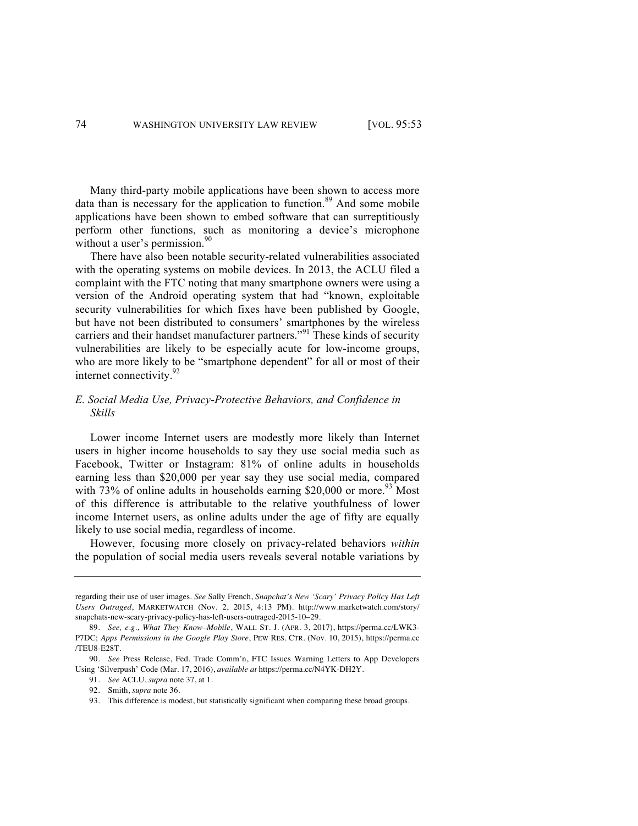Many third-party mobile applications have been shown to access more data than is necessary for the application to function. $89$  And some mobile applications have been shown to embed software that can surreptitiously perform other functions, such as monitoring a device's microphone without a user's permission. $90$ 

There have also been notable security-related vulnerabilities associated with the operating systems on mobile devices. In 2013, the ACLU filed a complaint with the FTC noting that many smartphone owners were using a version of the Android operating system that had "known, exploitable security vulnerabilities for which fixes have been published by Google, but have not been distributed to consumers' smartphones by the wireless carriers and their handset manufacturer partners."<sup>91</sup> These kinds of security vulnerabilities are likely to be especially acute for low-income groups, who are more likely to be "smartphone dependent" for all or most of their internet connectivity. $92$ 

### *E. Social Media Use, Privacy-Protective Behaviors, and Confidence in Skills*

Lower income Internet users are modestly more likely than Internet users in higher income households to say they use social media such as Facebook, Twitter or Instagram: 81% of online adults in households earning less than \$20,000 per year say they use social media, compared with 73% of online adults in households earning  $$20,000$  or more.<sup>93</sup> Most of this difference is attributable to the relative youthfulness of lower income Internet users, as online adults under the age of fifty are equally likely to use social media, regardless of income.

However, focusing more closely on privacy-related behaviors *within* the population of social media users reveals several notable variations by

regarding their use of user images. *See* Sally French, *Snapchat's New 'Scary' Privacy Policy Has Left Users Outraged*, MARKETWATCH (Nov. 2, 2015, 4:13 PM). http://www.marketwatch.com/story/ snapchats-new-scary-privacy-policy-has-left-users-outraged-2015-10–29.

<sup>89.</sup> *See, e.g.*, *What They Know–Mobile*, WALL ST. J. (APR. 3, 2017), https://perma.cc/LWK3- P7DC; *Apps Permissions in the Google Play Store*, PEW RES. CTR. (Nov. 10, 2015), https://perma.cc /TEU8-E28T.

<sup>90.</sup> *See* Press Release, Fed. Trade Comm'n, FTC Issues Warning Letters to App Developers Using 'Silverpush' Code (Mar. 17, 2016), *available at* https://perma.cc/N4YK-DH2Y.

<sup>91.</sup> *See* ACLU, *supra* note 37, at 1.

<sup>92.</sup> Smith, *supra* note 36.

<sup>93.</sup> This difference is modest, but statistically significant when comparing these broad groups.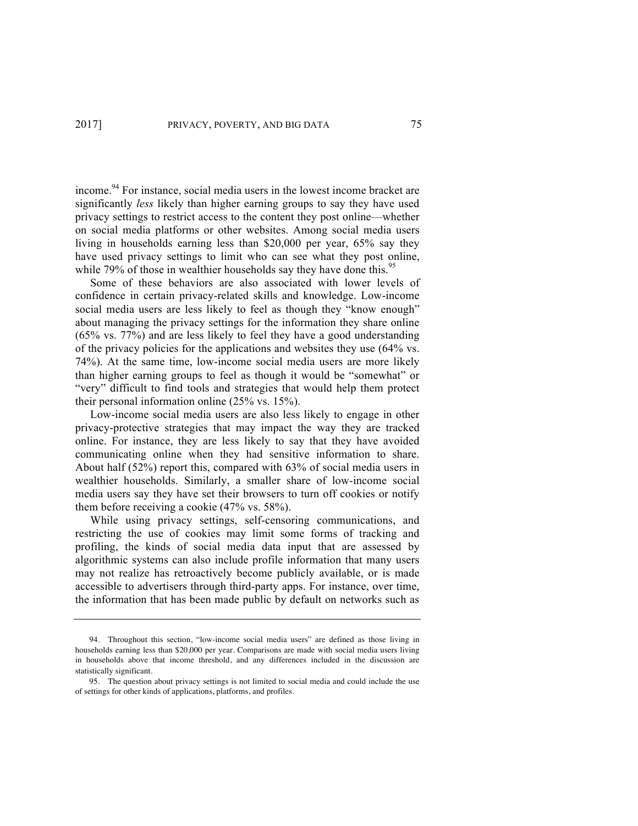income.94 For instance, social media users in the lowest income bracket are significantly *less* likely than higher earning groups to say they have used privacy settings to restrict access to the content they post online—whether on social media platforms or other websites. Among social media users living in households earning less than \$20,000 per year, 65% say they have used privacy settings to limit who can see what they post online, while 79% of those in wealthier households say they have done this.<sup>95</sup>

Some of these behaviors are also associated with lower levels of confidence in certain privacy-related skills and knowledge. Low-income social media users are less likely to feel as though they "know enough" about managing the privacy settings for the information they share online (65% vs. 77%) and are less likely to feel they have a good understanding of the privacy policies for the applications and websites they use (64% vs. 74%). At the same time, low-income social media users are more likely than higher earning groups to feel as though it would be "somewhat" or "very" difficult to find tools and strategies that would help them protect their personal information online (25% vs. 15%).

Low-income social media users are also less likely to engage in other privacy-protective strategies that may impact the way they are tracked online. For instance, they are less likely to say that they have avoided communicating online when they had sensitive information to share. About half (52%) report this, compared with 63% of social media users in wealthier households. Similarly, a smaller share of low-income social media users say they have set their browsers to turn off cookies or notify them before receiving a cookie (47% vs. 58%).

While using privacy settings, self-censoring communications, and restricting the use of cookies may limit some forms of tracking and profiling, the kinds of social media data input that are assessed by algorithmic systems can also include profile information that many users may not realize has retroactively become publicly available, or is made accessible to advertisers through third-party apps. For instance, over time, the information that has been made public by default on networks such as

<sup>94.</sup> Throughout this section, "low-income social media users" are defined as those living in households earning less than \$20,000 per year. Comparisons are made with social media users living in households above that income threshold, and any differences included in the discussion are statistically significant.

<sup>95.</sup> The question about privacy settings is not limited to social media and could include the use of settings for other kinds of applications, platforms, and profiles.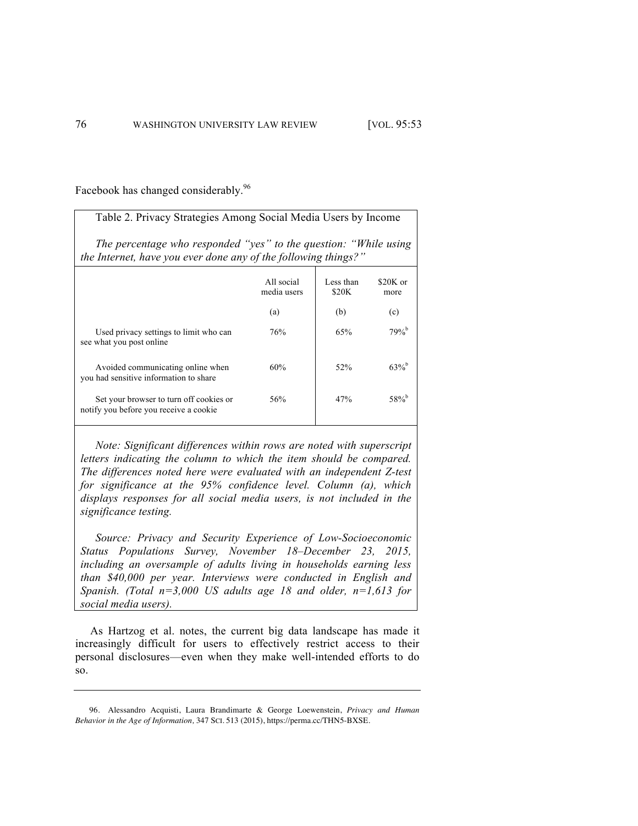Facebook has changed considerably.<sup>96</sup>

| Table 2. Privacy Strategies Among Social Media Users by Income                                                                     |                           |                    |                     |  |  |  |  |
|------------------------------------------------------------------------------------------------------------------------------------|---------------------------|--------------------|---------------------|--|--|--|--|
| The percentage who responded "yes" to the question: "While using<br>the Internet, have you ever done any of the following things?" |                           |                    |                     |  |  |  |  |
|                                                                                                                                    | All social<br>media users | Less than<br>\$20K | $$20K$ or<br>more   |  |  |  |  |
|                                                                                                                                    | (a)                       | (b)                | (c)                 |  |  |  |  |
| Used privacy settings to limit who can<br>see what you post online                                                                 | 76%                       | 65%                | $79%^{b}$           |  |  |  |  |
| Avoided communicating online when<br>you had sensitive information to share                                                        | 60%                       | 52%                | $63\%$ <sup>b</sup> |  |  |  |  |
| Set your browser to turn off cookies or<br>notify you before you receive a cookie                                                  | 56%                       | 47%                | $58\%$ <sup>b</sup> |  |  |  |  |

*Note: Significant differences within rows are noted with superscript letters indicating the column to which the item should be compared. The differences noted here were evaluated with an independent Z-test for significance at the 95% confidence level. Column (a), which displays responses for all social media users, is not included in the significance testing.*

*Source: Privacy and Security Experience of Low-Socioeconomic Status Populations Survey, November 18–December 23, 2015, including an oversample of adults living in households earning less than \$40,000 per year. Interviews were conducted in English and Spanish. (Total n=3,000 US adults age 18 and older, n=1,613 for social media users).*

As Hartzog et al. notes, the current big data landscape has made it increasingly difficult for users to effectively restrict access to their personal disclosures—even when they make well-intended efforts to do so.

<sup>96.</sup> Alessandro Acquisti, Laura Brandimarte & George Loewenstein, *Privacy and Human Behavior in the Age of Information,* 347 SCI. 513 (2015), https://perma.cc/THN5-BXSE.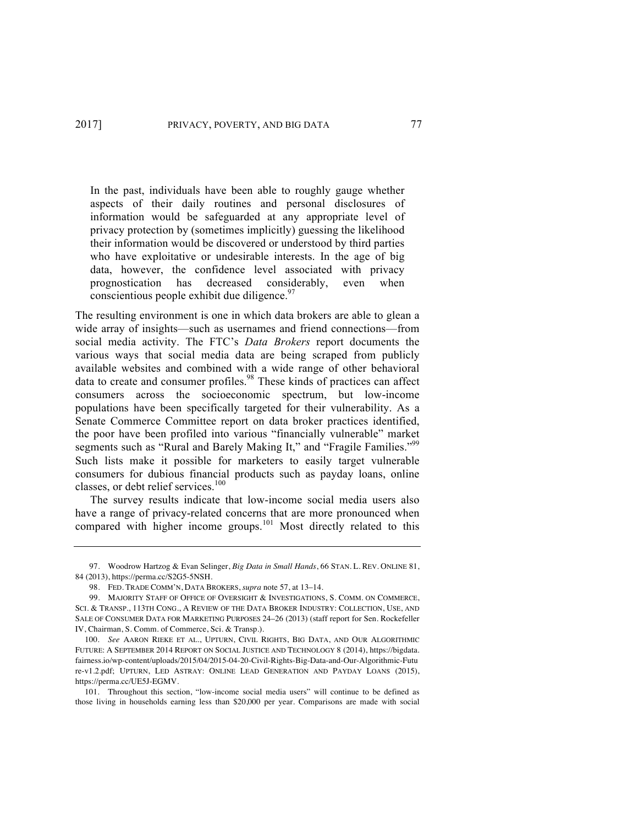In the past, individuals have been able to roughly gauge whether aspects of their daily routines and personal disclosures of information would be safeguarded at any appropriate level of privacy protection by (sometimes implicitly) guessing the likelihood their information would be discovered or understood by third parties who have exploitative or undesirable interests. In the age of big data, however, the confidence level associated with privacy prognostication has decreased considerably, even when conscientious people exhibit due diligence.  $97$ 

The resulting environment is one in which data brokers are able to glean a wide array of insights—such as usernames and friend connections—from social media activity. The FTC's *Data Brokers* report documents the various ways that social media data are being scraped from publicly available websites and combined with a wide range of other behavioral data to create and consumer profiles.<sup>98</sup> These kinds of practices can affect consumers across the socioeconomic spectrum, but low-income populations have been specifically targeted for their vulnerability. As a Senate Commerce Committee report on data broker practices identified, the poor have been profiled into various "financially vulnerable" market segments such as "Rural and Barely Making It," and "Fragile Families."<sup>99</sup> Such lists make it possible for marketers to easily target vulnerable consumers for dubious financial products such as payday loans, online classes, or debt relief services.<sup>100</sup>

The survey results indicate that low-income social media users also have a range of privacy-related concerns that are more pronounced when compared with higher income groups.<sup>101</sup> Most directly related to this

<sup>97.</sup> Woodrow Hartzog & Evan Selinger, *Big Data in Small Hands*, 66 STAN. L. REV. ONLINE 81, 84 (2013), https://perma.cc/S2G5-5NSH.

<sup>98.</sup> FED. TRADE COMM'N, DATA BROKERS, *supra* note 57, at 13–14.

<sup>99.</sup> MAJORITY STAFF OF OFFICE OF OVERSIGHT & INVESTIGATIONS, S. COMM. ON COMMERCE, SCI. & TRANSP., 113TH CONG., A REVIEW OF THE DATA BROKER INDUSTRY: COLLECTION, USE, AND SALE OF CONSUMER DATA FOR MARKETING PURPOSES 24–26 (2013) (staff report for Sen. Rockefeller IV, Chairman, S. Comm. of Commerce, Sci. & Transp.).

<sup>100.</sup> *See* AARON RIEKE ET AL., UPTURN, CIVIL RIGHTS, BIG DATA, AND OUR ALGORITHMIC FUTURE: A SEPTEMBER 2014 REPORT ON SOCIAL JUSTICE AND TECHNOLOGY 8 (2014), https://bigdata. fairness.io/wp-content/uploads/2015/04/2015-04-20-Civil-Rights-Big-Data-and-Our-Algorithmic-Futu re-v1.2.pdf; UPTURN, LED ASTRAY: ONLINE LEAD GENERATION AND PAYDAY LOANS (2015), https://perma.cc/UE5J-EGMV.

<sup>101.</sup> Throughout this section, "low-income social media users" will continue to be defined as those living in households earning less than \$20,000 per year. Comparisons are made with social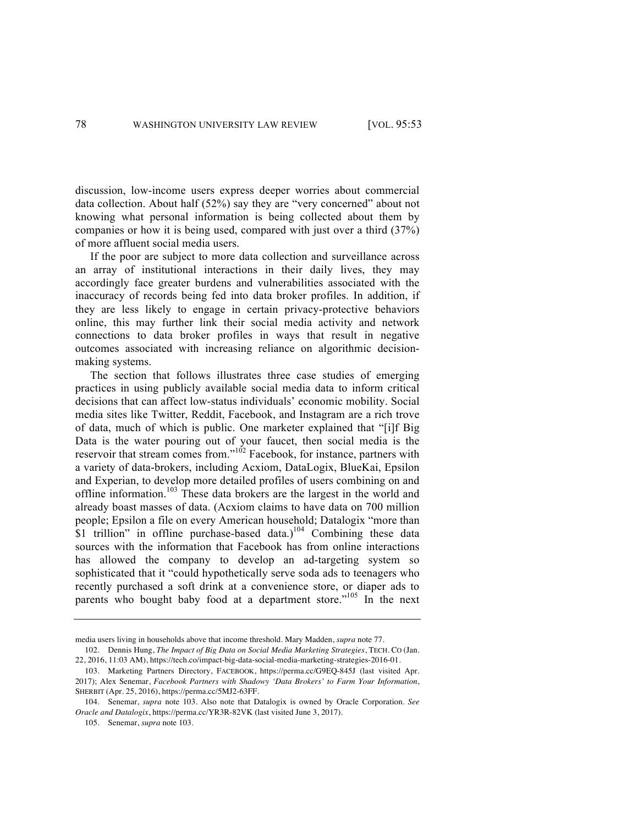discussion, low-income users express deeper worries about commercial data collection. About half (52%) say they are "very concerned" about not knowing what personal information is being collected about them by companies or how it is being used, compared with just over a third (37%) of more affluent social media users.

If the poor are subject to more data collection and surveillance across an array of institutional interactions in their daily lives, they may accordingly face greater burdens and vulnerabilities associated with the inaccuracy of records being fed into data broker profiles. In addition, if they are less likely to engage in certain privacy-protective behaviors online, this may further link their social media activity and network connections to data broker profiles in ways that result in negative outcomes associated with increasing reliance on algorithmic decisionmaking systems.

The section that follows illustrates three case studies of emerging practices in using publicly available social media data to inform critical decisions that can affect low-status individuals' economic mobility. Social media sites like Twitter, Reddit, Facebook, and Instagram are a rich trove of data, much of which is public. One marketer explained that "[i]f Big Data is the water pouring out of your faucet, then social media is the reservoir that stream comes from."<sup>102</sup> Facebook, for instance, partners with a variety of data-brokers, including Acxiom, DataLogix, BlueKai, Epsilon and Experian, to develop more detailed profiles of users combining on and offline information.<sup>103</sup> These data brokers are the largest in the world and already boast masses of data. (Acxiom claims to have data on 700 million people; Epsilon a file on every American household; Datalogix "more than  $$1$  trillion" in offline purchase-based data.)<sup>104</sup> Combining these data sources with the information that Facebook has from online interactions has allowed the company to develop an ad-targeting system so sophisticated that it "could hypothetically serve soda ads to teenagers who recently purchased a soft drink at a convenience store, or diaper ads to parents who bought baby food at a department store."<sup>105</sup> In the next

media users living in households above that income threshold. Mary Madden, *supra* note 77.

<sup>102.</sup> Dennis Hung, *The Impact of Big Data on Social Media Marketing Strategies*, TECH. CO (Jan. 22, 2016, 11:03 AM), https://tech.co/impact-big-data-social-media-marketing-strategies-2016-01.

<sup>103.</sup> Marketing Partners Directory, FACEBOOK, https://perma.cc/G9EQ-845J (last visited Apr. 2017); Alex Senemar, *Facebook Partners with Shadowy 'Data Brokers' to Farm Your Information*, SHERBIT (Apr. 25, 2016), https://perma.cc/5MJ2-63FF.

<sup>104.</sup> Senemar, *supra* note 103. Also note that Datalogix is owned by Oracle Corporation. *See Oracle and Datalogix*, https://perma.cc/YR3R-82VK (last visited June 3, 2017).

<sup>105.</sup> Senemar, *supra* note 103.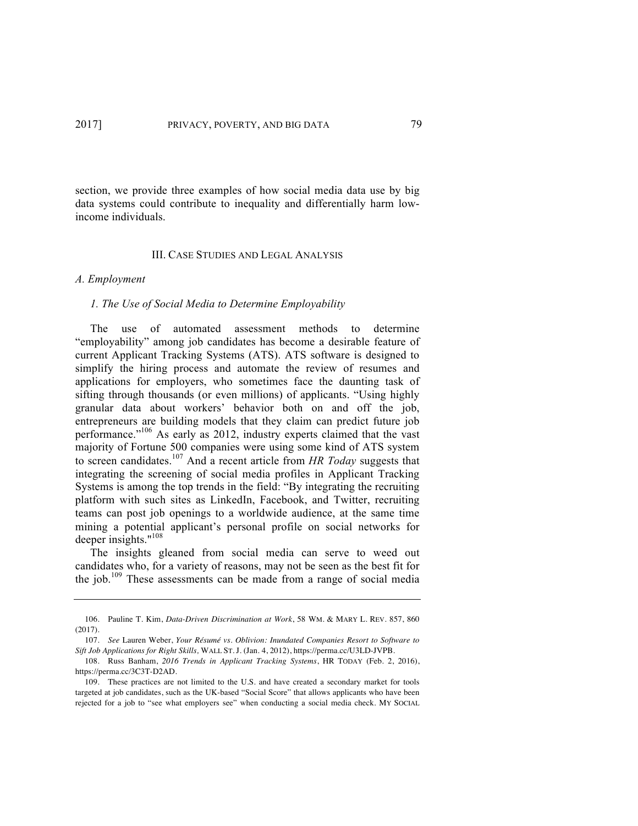section, we provide three examples of how social media data use by big data systems could contribute to inequality and differentially harm lowincome individuals.

#### III. CASE STUDIES AND LEGAL ANALYSIS

#### *A. Employment*

#### *1. The Use of Social Media to Determine Employability*

The use of automated assessment methods to determine "employability" among job candidates has become a desirable feature of current Applicant Tracking Systems (ATS). ATS software is designed to simplify the hiring process and automate the review of resumes and applications for employers, who sometimes face the daunting task of sifting through thousands (or even millions) of applicants. "Using highly granular data about workers' behavior both on and off the job, entrepreneurs are building models that they claim can predict future job performance."<sup>106</sup> As early as 2012, industry experts claimed that the vast majority of Fortune 500 companies were using some kind of ATS system to screen candidates.<sup>107</sup> And a recent article from *HR Today* suggests that integrating the screening of social media profiles in Applicant Tracking Systems is among the top trends in the field: "By integrating the recruiting platform with such sites as LinkedIn, Facebook, and Twitter, recruiting teams can post job openings to a worldwide audience, at the same time mining a potential applicant's personal profile on social networks for deeper insights."<sup>108</sup>

The insights gleaned from social media can serve to weed out candidates who, for a variety of reasons, may not be seen as the best fit for the job.<sup>109</sup> These assessments can be made from a range of social media

<sup>106.</sup> Pauline T. Kim, *Data-Driven Discrimination at Work*, 58 WM. & MARY L. REV. 857, 860 (2017).

<sup>107.</sup> *See* Lauren Weber, *Your Résumé vs. Oblivion: Inundated Companies Resort to Software to Sift Job Applications for Right Skills,* WALL ST. J. (Jan. 4, 2012), https://perma.cc/U3LD-JVPB.

<sup>108.</sup> Russ Banham, *2016 Trends in Applicant Tracking Systems*, HR TODAY (Feb. 2, 2016), https://perma.cc/3C3T-D2AD.

<sup>109.</sup> These practices are not limited to the U.S. and have created a secondary market for tools targeted at job candidates, such as the UK-based "Social Score" that allows applicants who have been rejected for a job to "see what employers see" when conducting a social media check. MY SOCIAL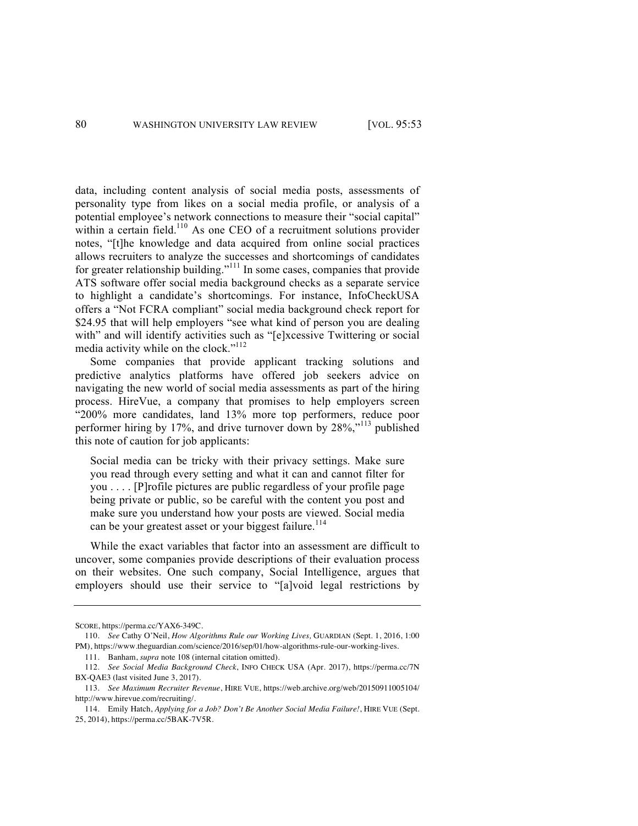data, including content analysis of social media posts, assessments of personality type from likes on a social media profile, or analysis of a potential employee's network connections to measure their "social capital" within a certain field.<sup>110</sup> As one CEO of a recruitment solutions provider notes, "[t]he knowledge and data acquired from online social practices allows recruiters to analyze the successes and shortcomings of candidates for greater relationship building."<sup>111</sup> In some cases, companies that provide ATS software offer social media background checks as a separate service to highlight a candidate's shortcomings. For instance, InfoCheckUSA offers a "Not FCRA compliant" social media background check report for \$24.95 that will help employers "see what kind of person you are dealing with" and will identify activities such as "[e]xcessive Twittering or social media activity while on the clock."<sup>112</sup>

Some companies that provide applicant tracking solutions and predictive analytics platforms have offered job seekers advice on navigating the new world of social media assessments as part of the hiring process. HireVue, a company that promises to help employers screen "200% more candidates, land 13% more top performers, reduce poor performer hiring by 17%, and drive turnover down by 28%,"<sup>113</sup> published this note of caution for job applicants:

Social media can be tricky with their privacy settings. Make sure you read through every setting and what it can and cannot filter for you . . . . [P]rofile pictures are public regardless of your profile page being private or public, so be careful with the content you post and make sure you understand how your posts are viewed. Social media can be your greatest asset or your biggest failure.<sup>114</sup>

While the exact variables that factor into an assessment are difficult to uncover, some companies provide descriptions of their evaluation process on their websites. One such company, Social Intelligence, argues that employers should use their service to "[a]void legal restrictions by

SCORE, https://perma.cc/YAX6-349C.

<sup>110.</sup> *See* Cathy O'Neil, *How Algorithms Rule our Working Lives,* GUARDIAN (Sept. 1, 2016, 1:00 PM), https://www.theguardian.com/science/2016/sep/01/how-algorithms-rule-our-working-lives.

<sup>111.</sup> Banham, *supra* note 108 (internal citation omitted).

<sup>112.</sup> *See Social Media Background Check*, INFO CHECK USA (Apr. 2017), https://perma.cc/7N BX-QAE3 (last visited June 3, 2017).

<sup>113.</sup> *See Maximum Recruiter Revenue*, HIRE VUE, https://web.archive.org/web/20150911005104/ http://www.hirevue.com/recruiting/.

<sup>114.</sup> Emily Hatch, *Applying for a Job? Don't Be Another Social Media Failure!*, HIRE VUE (Sept. 25, 2014), https://perma.cc/5BAK-7V5R.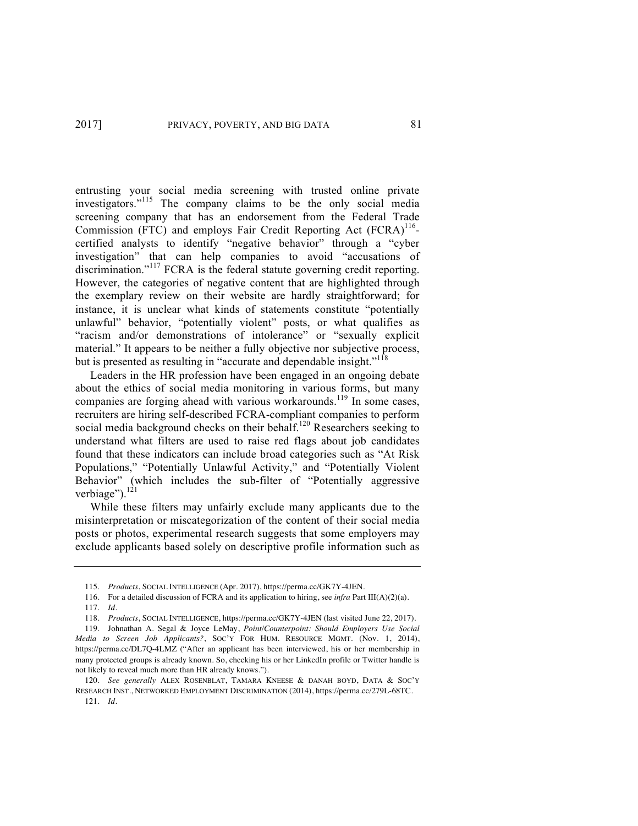entrusting your social media screening with trusted online private investigators." <sup>115</sup> The company claims to be the only social media screening company that has an endorsement from the Federal Trade Commission (FTC) and employs Fair Credit Reporting Act  $(FCRA)^{116}$ certified analysts to identify "negative behavior" through a "cyber investigation" that can help companies to avoid "accusations of discrimination."<sup>117</sup> FCRA is the federal statute governing credit reporting. However, the categories of negative content that are highlighted through the exemplary review on their website are hardly straightforward; for instance, it is unclear what kinds of statements constitute "potentially unlawful" behavior, "potentially violent" posts, or what qualifies as "racism and/or demonstrations of intolerance" or "sexually explicit material." It appears to be neither a fully objective nor subjective process, but is presented as resulting in "accurate and dependable insight."<sup>118</sup>

Leaders in the HR profession have been engaged in an ongoing debate about the ethics of social media monitoring in various forms, but many companies are forging ahead with various workarounds.<sup>119</sup> In some cases, recruiters are hiring self-described FCRA-compliant companies to perform social media background checks on their behalf.<sup>120</sup> Researchers seeking to understand what filters are used to raise red flags about job candidates found that these indicators can include broad categories such as "At Risk Populations," "Potentially Unlawful Activity," and "Potentially Violent Behavior" (which includes the sub-filter of "Potentially aggressive verbiage").<sup>121</sup>

While these filters may unfairly exclude many applicants due to the misinterpretation or miscategorization of the content of their social media posts or photos, experimental research suggests that some employers may exclude applicants based solely on descriptive profile information such as

<sup>115.</sup> *Products*, SOCIAL INTELLIGENCE (Apr. 2017), https://perma.cc/GK7Y-4JEN.

<sup>116.</sup> For a detailed discussion of FCRA and its application to hiring, see *infra* Part III(A)(2)(a). 117. *Id*.

<sup>118.</sup> *Products*, SOCIAL INTELLIGENCE, https://perma.cc/GK7Y-4JEN (last visited June 22, 2017).

<sup>119.</sup> Johnathan A. Segal & Joyce LeMay, *Point/Counterpoint: Should Employers Use Social Media to Screen Job Applicants?*, SOC'Y FOR HUM. RESOURCE MGMT. (Nov. 1, 2014),

https://perma.cc/DL7Q-4LMZ ("After an applicant has been interviewed, his or her membership in many protected groups is already known. So, checking his or her LinkedIn profile or Twitter handle is not likely to reveal much more than HR already knows.").

<sup>120.</sup> *See generally* ALEX ROSENBLAT, TAMARA KNEESE & DANAH BOYD, DATA & SOC'Y RESEARCH INST., NETWORKED EMPLOYMENT DISCRIMINATION (2014), https://perma.cc/279L-68TC. 121. *Id.*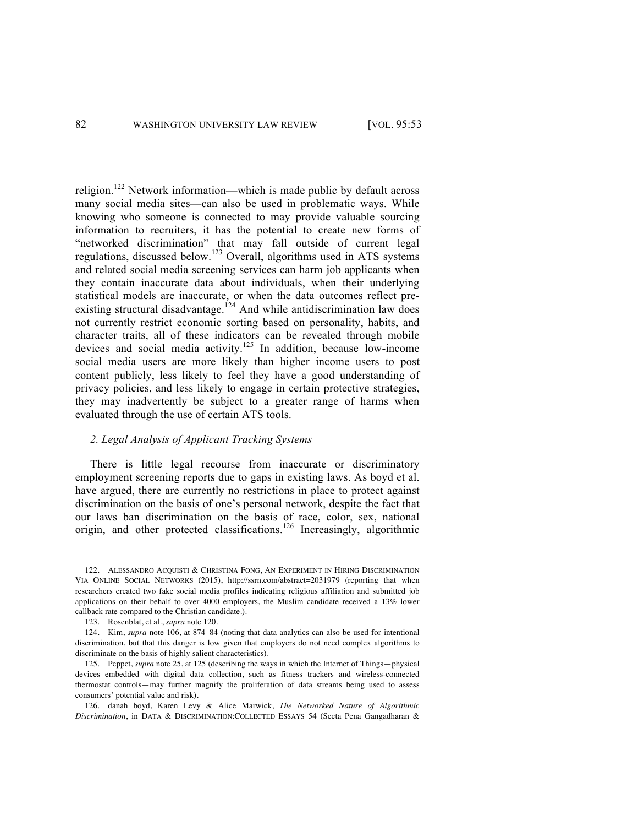religion.<sup>122</sup> Network information—which is made public by default across many social media sites—can also be used in problematic ways. While knowing who someone is connected to may provide valuable sourcing information to recruiters, it has the potential to create new forms of "networked discrimination" that may fall outside of current legal regulations, discussed below.<sup>123</sup> Overall, algorithms used in ATS systems and related social media screening services can harm job applicants when they contain inaccurate data about individuals, when their underlying statistical models are inaccurate, or when the data outcomes reflect preexisting structural disadvantage.<sup>124</sup> And while antidiscrimination law does not currently restrict economic sorting based on personality, habits, and character traits, all of these indicators can be revealed through mobile devices and social media activity.<sup>125</sup> In addition, because low-income social media users are more likely than higher income users to post content publicly, less likely to feel they have a good understanding of privacy policies, and less likely to engage in certain protective strategies, they may inadvertently be subject to a greater range of harms when evaluated through the use of certain ATS tools.

### *2. Legal Analysis of Applicant Tracking Systems*

There is little legal recourse from inaccurate or discriminatory employment screening reports due to gaps in existing laws. As boyd et al. have argued, there are currently no restrictions in place to protect against discrimination on the basis of one's personal network, despite the fact that our laws ban discrimination on the basis of race, color, sex, national origin, and other protected classifications.<sup>126</sup> Increasingly, algorithmic

<sup>122.</sup> ALESSANDRO ACQUISTI & CHRISTINA FONG, AN EXPERIMENT IN HIRING DISCRIMINATION VIA ONLINE SOCIAL NETWORKS (2015), http://ssrn.com/abstract=2031979 (reporting that when researchers created two fake social media profiles indicating religious affiliation and submitted job applications on their behalf to over 4000 employers, the Muslim candidate received a 13% lower callback rate compared to the Christian candidate.).

<sup>123.</sup> Rosenblat, et al., *supra* note 120.

<sup>124.</sup> Kim, *supra* note 106, at 874–84 (noting that data analytics can also be used for intentional discrimination, but that this danger is low given that employers do not need complex algorithms to discriminate on the basis of highly salient characteristics).

<sup>125.</sup> Peppet, *supra* note 25, at 125 (describing the ways in which the Internet of Things—physical devices embedded with digital data collection, such as fitness trackers and wireless-connected thermostat controls—may further magnify the proliferation of data streams being used to assess consumers' potential value and risk).

<sup>126.</sup> danah boyd, Karen Levy & Alice Marwick, *The Networked Nature of Algorithmic Discrimination*, in DATA & DISCRIMINATION:COLLECTED ESSAYS 54 (Seeta Pena Gangadharan &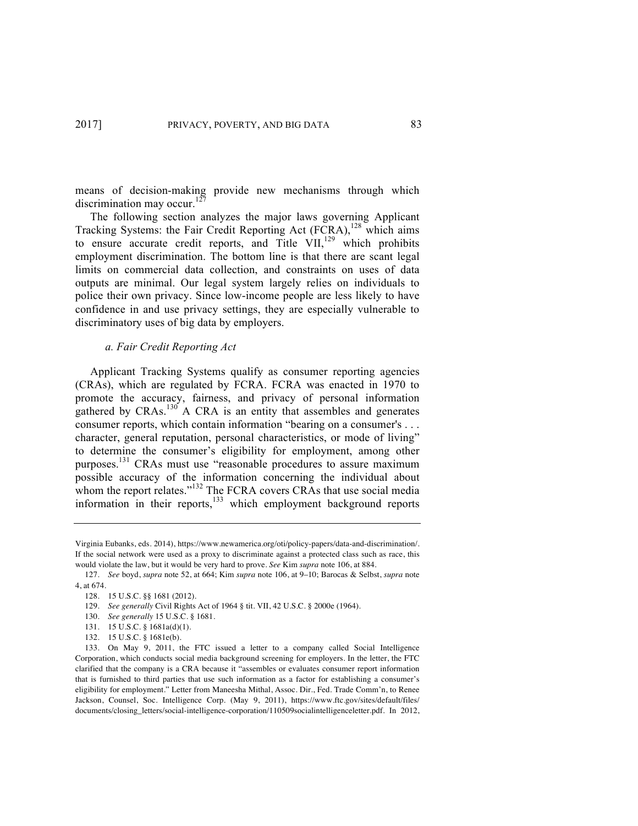means of decision-making provide new mechanisms through which discrimination may occur.<sup>127</sup>

The following section analyzes the major laws governing Applicant Tracking Systems: the Fair Credit Reporting Act  $(FCRA)$ ,<sup>128</sup> which aims to ensure accurate credit reports, and Title VII, $^{129}$  which prohibits employment discrimination. The bottom line is that there are scant legal limits on commercial data collection, and constraints on uses of data outputs are minimal. Our legal system largely relies on individuals to police their own privacy. Since low-income people are less likely to have confidence in and use privacy settings, they are especially vulnerable to discriminatory uses of big data by employers.

### *a. Fair Credit Reporting Act*

Applicant Tracking Systems qualify as consumer reporting agencies (CRAs), which are regulated by FCRA. FCRA was enacted in 1970 to promote the accuracy, fairness, and privacy of personal information gathered by CRAs.<sup>130</sup> A CRA is an entity that assembles and generates consumer reports, which contain information "bearing on a consumer's . . . character, general reputation, personal characteristics, or mode of living" to determine the consumer's eligibility for employment, among other purposes.<sup>131</sup> CRAs must use "reasonable procedures to assure maximum possible accuracy of the information concerning the individual about whom the report relates."<sup>132</sup> The FCRA covers CRAs that use social media information in their reports, $133$  which employment background reports

Virginia Eubanks, eds. 2014), https://www.newamerica.org/oti/policy-papers/data-and-discrimination/. If the social network were used as a proxy to discriminate against a protected class such as race, this would violate the law, but it would be very hard to prove. *See* Kim *supra* note 106, at 884.

<sup>127.</sup> *See* boyd, *supra* note 52, at 664; Kim *supra* note 106, at 9–10; Barocas & Selbst, *supra* note 4, at 674.

<sup>128.</sup> 15 U.S.C. §§ 1681 (2012).

<sup>129.</sup> *See generally* Civil Rights Act of 1964 § tit. VII, 42 U.S.C. § 2000e (1964).

<sup>130.</sup> *See generally* 15 U.S.C. § 1681.

<sup>131.</sup> 15 U.S.C. § 1681a(d)(1).

<sup>132.</sup> 15 U.S.C. § 1681e(b).

<sup>133.</sup> On May 9, 2011, the FTC issued a letter to a company called Social Intelligence Corporation, which conducts social media background screening for employers. In the letter, the FTC clarified that the company is a CRA because it "assembles or evaluates consumer report information that is furnished to third parties that use such information as a factor for establishing a consumer's eligibility for employment." Letter from Maneesha Mithal, Assoc. Dir., Fed. Trade Comm'n, to Renee Jackson, Counsel, Soc. Intelligence Corp. (May 9, 2011), https://www.ftc.gov/sites/default/files/ documents/closing\_letters/social-intelligence-corporation/110509socialintelligenceletter.pdf. In 2012,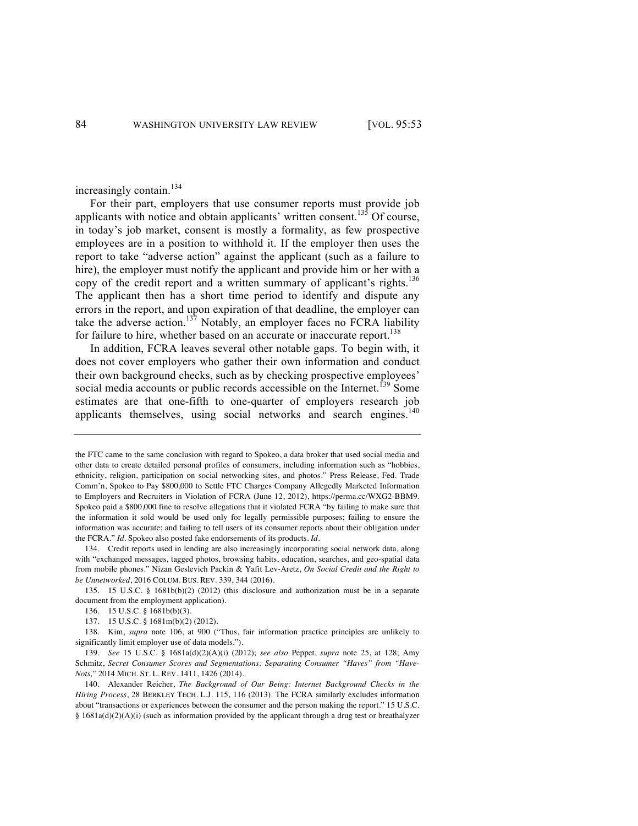increasingly contain.<sup>134</sup>

For their part, employers that use consumer reports must provide job applicants with notice and obtain applicants' written consent.<sup>135</sup> Of course, in today's job market, consent is mostly a formality, as few prospective employees are in a position to withhold it. If the employer then uses the report to take "adverse action" against the applicant (such as a failure to hire), the employer must notify the applicant and provide him or her with a copy of the credit report and a written summary of applicant's rights.<sup>136</sup> The applicant then has a short time period to identify and dispute any errors in the report, and upon expiration of that deadline, the employer can take the adverse action.<sup>137</sup> Notably, an employer faces no FCRA liability for failure to hire, whether based on an accurate or inaccurate report.<sup>138</sup>

In addition, FCRA leaves several other notable gaps. To begin with, it does not cover employers who gather their own information and conduct their own background checks, such as by checking prospective employees' social media accounts or public records accessible on the Internet.<sup>139</sup> Some estimates are that one-fifth to one-quarter of employers research job applicants themselves, using social networks and search engines.<sup>140</sup>

the FTC came to the same conclusion with regard to Spokeo, a data broker that used social media and other data to create detailed personal profiles of consumers, including information such as "hobbies, ethnicity, religion, participation on social networking sites, and photos." Press Release, Fed. Trade Comm'n, Spokeo to Pay \$800,000 to Settle FTC Charges Company Allegedly Marketed Information to Employers and Recruiters in Violation of FCRA (June 12, 2012), https://perma.cc/WXG2-BBM9. Spokeo paid a \$800,000 fine to resolve allegations that it violated FCRA "by failing to make sure that the information it sold would be used only for legally permissible purposes; failing to ensure the information was accurate; and failing to tell users of its consumer reports about their obligation under the FCRA." *Id*. Spokeo also posted fake endorsements of its products. *Id*.

<sup>134.</sup> Credit reports used in lending are also increasingly incorporating social network data, along with "exchanged messages, tagged photos, browsing habits, education, searches, and geo-spatial data from mobile phones." Nizan Geslevich Packin & Yafit Lev-Aretz, *On Social Credit and the Right to be Unnetworked*, 2016 COLUM. BUS. REV. 339, 344 (2016).

<sup>135.</sup> 15 U.S.C. § 1681b(b)(2) (2012) (this disclosure and authorization must be in a separate document from the employment application).

<sup>136.</sup> 15 U.S.C. § 1681b(b)(3).

<sup>137.</sup> 15 U.S.C. § 1681m(b)(2) (2012).

<sup>138.</sup> Kim, *supra* note 106, at 900 ("Thus, fair information practice principles are unlikely to significantly limit employer use of data models.").

<sup>139.</sup> *See* 15 U.S.C. § 1681a(d)(2)(A)(i) (2012); *see also* Peppet, *supra* note 25, at 128; Amy Schmitz, *Secret Consumer Scores and Segmentations: Separating Consumer "Haves" from "Have-Nots,*" 2014 MICH. ST. L. REV. 1411, 1426 (2014).

<sup>140.</sup> Alexander Reicher, *The Background of Our Being: Internet Background Checks in the Hiring Process*, 28 BERKLEY TECH. L.J. 115, 116 (2013). The FCRA similarly excludes information about "transactions or experiences between the consumer and the person making the report." 15 U.S.C. § 1681a(d)(2)(A)(i) (such as information provided by the applicant through a drug test or breathalyzer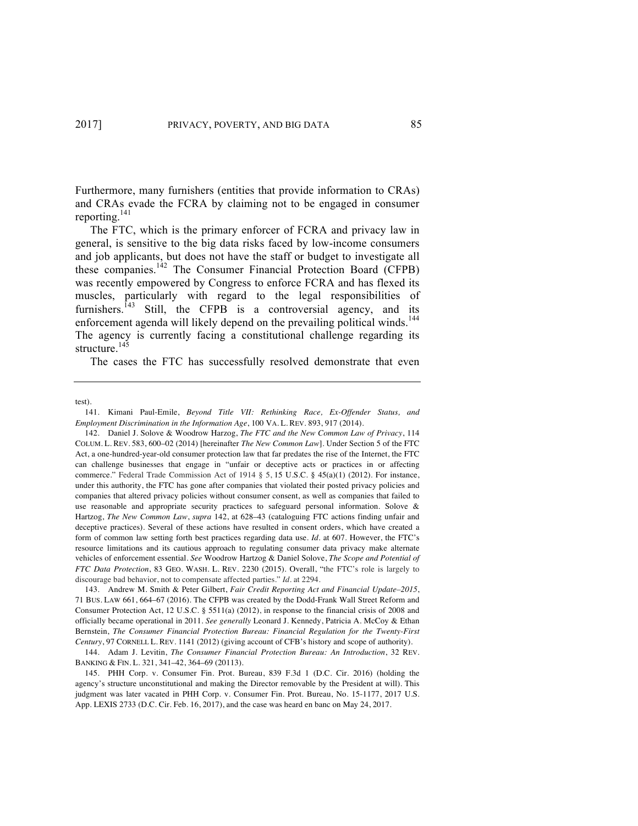Furthermore, many furnishers (entities that provide information to CRAs) and CRAs evade the FCRA by claiming not to be engaged in consumer reporting.141

The FTC, which is the primary enforcer of FCRA and privacy law in general, is sensitive to the big data risks faced by low-income consumers and job applicants, but does not have the staff or budget to investigate all these companies.<sup>142</sup> The Consumer Financial Protection Board (CFPB) was recently empowered by Congress to enforce FCRA and has flexed its muscles, particularly with regard to the legal responsibilities of furnishers.<sup>143</sup> Still, the CFPB is a controversial agency, and its enforcement agenda will likely depend on the prevailing political winds.<sup>144</sup> The agency is currently facing a constitutional challenge regarding its structure.<sup>145</sup>

The cases the FTC has successfully resolved demonstrate that even

test).

<sup>141.</sup> Kimani Paul-Emile, *Beyond Title VII: Rethinking Race, Ex-Offender Status, and Employment Discrimination in the Information Age*, 100 VA. L. REV. 893, 917 (2014).

<sup>142.</sup> Daniel J. Solove & Woodrow Harzog, *The FTC and the New Common Law of Privacy*, 114 COLUM. L. REV. 583, 600–02 (2014) [hereinafter *The New Common Law*]. Under Section 5 of the FTC Act, a one-hundred-year-old consumer protection law that far predates the rise of the Internet, the FTC can challenge businesses that engage in "unfair or deceptive acts or practices in or affecting commerce." Federal Trade Commission Act of 1914 § 5, 15 U.S.C. § 45(a)(1) (2012). For instance, under this authority, the FTC has gone after companies that violated their posted privacy policies and companies that altered privacy policies without consumer consent, as well as companies that failed to use reasonable and appropriate security practices to safeguard personal information. Solove & Hartzog, *The New Common Law*, *supra* 142, at 628–43 (cataloguing FTC actions finding unfair and deceptive practices). Several of these actions have resulted in consent orders, which have created a form of common law setting forth best practices regarding data use. *Id*. at 607. However, the FTC's resource limitations and its cautious approach to regulating consumer data privacy make alternate vehicles of enforcement essential. *See* Woodrow Hartzog & Daniel Solove, *The Scope and Potential of FTC Data Protection*, 83 GEO. WASH. L. REV. 2230 (2015). Overall, "the FTC's role is largely to discourage bad behavior, not to compensate affected parties." *Id*. at 2294.

<sup>143.</sup> Andrew M. Smith & Peter Gilbert, *Fair Credit Reporting Act and Financial Update*–*2015*, 71 BUS. LAW 661, 664–67 (2016). The CFPB was created by the Dodd-Frank Wall Street Reform and Consumer Protection Act, 12 U.S.C. § 5511(a) (2012), in response to the financial crisis of 2008 and officially became operational in 2011. *See generally* Leonard J. Kennedy, Patricia A. McCoy & Ethan Bernstein, *The Consumer Financial Protection Bureau: Financial Regulation for the Twenty-First Century*, 97 CORNELL L. REV. 1141 (2012) (giving account of CFB's history and scope of authority).

<sup>144.</sup> Adam J. Levitin, *The Consumer Financial Protection Bureau: An Introduction*, 32 REV. BANKING & FIN. L. 321, 341–42, 364–69 (20113).

<sup>145.</sup> PHH Corp. v. Consumer Fin. Prot. Bureau, 839 F.3d 1 (D.C. Cir. 2016) (holding the agency's structure unconstitutional and making the Director removable by the President at will). This judgment was later vacated in PHH Corp. v. Consumer Fin. Prot. Bureau, No. 15-1177, 2017 U.S. App. LEXIS 2733 (D.C. Cir. Feb. 16, 2017), and the case was heard en banc on May 24, 2017.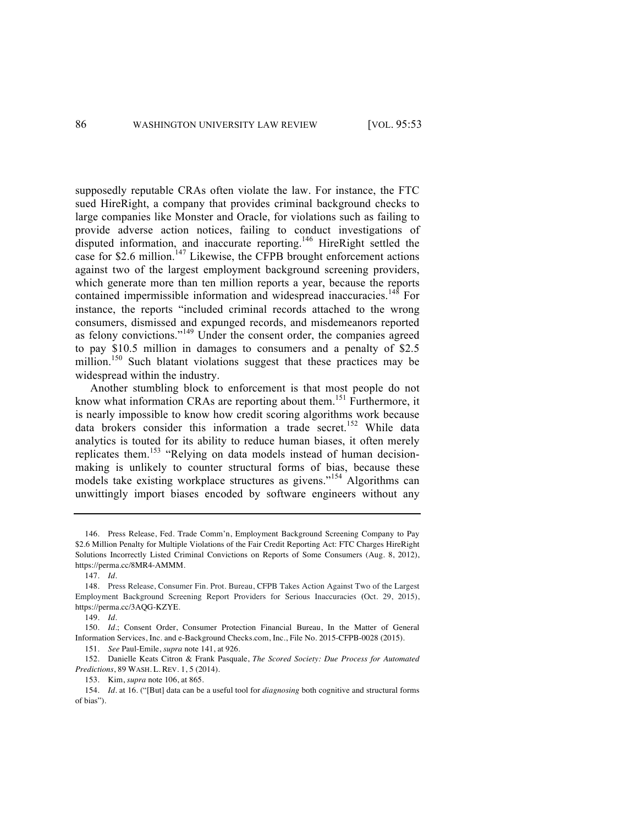supposedly reputable CRAs often violate the law. For instance, the FTC sued HireRight, a company that provides criminal background checks to large companies like Monster and Oracle, for violations such as failing to provide adverse action notices, failing to conduct investigations of disputed information, and inaccurate reporting.146 HireRight settled the case for \$2.6 million.<sup>147</sup> Likewise, the CFPB brought enforcement actions against two of the largest employment background screening providers, which generate more than ten million reports a year, because the reports contained impermissible information and widespread inaccuracies.<sup>148</sup> For instance, the reports "included criminal records attached to the wrong consumers, dismissed and expunged records, and misdemeanors reported as felony convictions."<sup>149</sup> Under the consent order, the companies agreed to pay \$10.5 million in damages to consumers and a penalty of \$2.5 million.<sup>150</sup> Such blatant violations suggest that these practices may be widespread within the industry.

Another stumbling block to enforcement is that most people do not know what information CRAs are reporting about them.<sup>151</sup> Furthermore, it is nearly impossible to know how credit scoring algorithms work because data brokers consider this information a trade secret.<sup>152</sup> While data analytics is touted for its ability to reduce human biases, it often merely replicates them.<sup>153</sup> "Relying on data models instead of human decisionmaking is unlikely to counter structural forms of bias, because these models take existing workplace structures as givens."<sup>154</sup> Algorithms can unwittingly import biases encoded by software engineers without any

147. *Id.*

<sup>146.</sup> Press Release, Fed. Trade Comm'n, Employment Background Screening Company to Pay \$2.6 Million Penalty for Multiple Violations of the Fair Credit Reporting Act: FTC Charges HireRight Solutions Incorrectly Listed Criminal Convictions on Reports of Some Consumers (Aug. 8, 2012), https://perma.cc/8MR4-AMMM.

<sup>148.</sup> Press Release, Consumer Fin. Prot. Bureau, CFPB Takes Action Against Two of the Largest Employment Background Screening Report Providers for Serious Inaccuracies **(**Oct. 29, 2015), https://perma.cc/3AQG-KZYE.

<sup>149.</sup> *Id.*

<sup>150.</sup> *Id.*; Consent Order, Consumer Protection Financial Bureau, In the Matter of General Information Services, Inc. and e-Background Checks.com, Inc., File No. 2015-CFPB-0028 (2015).

<sup>151.</sup> *See* Paul-Emile, *supra* note 141, at 926.

<sup>152.</sup> Danielle Keats Citron & Frank Pasquale, *The Scored Society: Due Process for Automated Predictions*, 89 WASH. L. REV. 1, 5 (2014).

<sup>153.</sup> Kim, *supra* note 106, at 865.

<sup>154.</sup> *Id*. at 16. ("[But] data can be a useful tool for *diagnosing* both cognitive and structural forms of bias").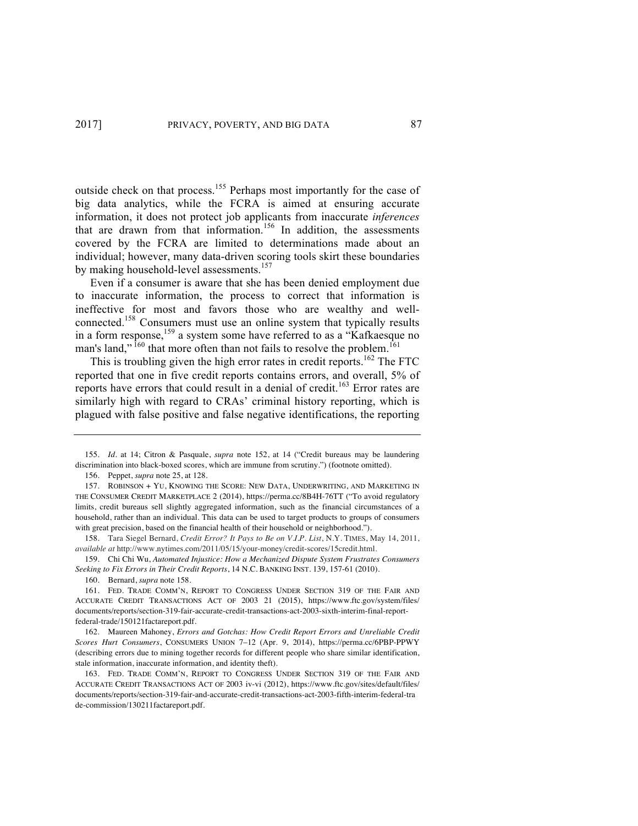outside check on that process.<sup>155</sup> Perhaps most importantly for the case of big data analytics, while the FCRA is aimed at ensuring accurate information, it does not protect job applicants from inaccurate *inferences* that are drawn from that information.<sup>156</sup> In addition, the assessments covered by the FCRA are limited to determinations made about an individual; however, many data-driven scoring tools skirt these boundaries by making household-level assessments.<sup>157</sup>

Even if a consumer is aware that she has been denied employment due to inaccurate information, the process to correct that information is ineffective for most and favors those who are wealthy and wellconnected.158 Consumers must use an online system that typically results in a form response,<sup>159</sup> a system some have referred to as a "Kafkaesque no man's land,"  $^{160}$  that more often than not fails to resolve the problem.<sup>161</sup>

This is troubling given the high error rates in credit reports.<sup>162</sup> The FTC reported that one in five credit reports contains errors, and overall, 5% of reports have errors that could result in a denial of credit.<sup>163</sup> Error rates are similarly high with regard to CRAs' criminal history reporting, which is plagued with false positive and false negative identifications, the reporting

160. Bernard, *supra* note 158.

<sup>155.</sup> *Id*. at 14; Citron & Pasquale, *supra* note 152, at 14 ("Credit bureaus may be laundering discrimination into black-boxed scores, which are immune from scrutiny.") (footnote omitted).

<sup>156.</sup> Peppet, *supra* note 25, at 128.

<sup>157.</sup> ROBINSON + YU, KNOWING THE SCORE: NEW DATA, UNDERWRITING, AND MARKETING IN THE CONSUMER CREDIT MARKETPLACE 2 (2014), https://perma.cc/8B4H-76TT ("To avoid regulatory limits, credit bureaus sell slightly aggregated information, such as the financial circumstances of a household, rather than an individual. This data can be used to target products to groups of consumers with great precision, based on the financial health of their household or neighborhood.").

<sup>158.</sup> Tara Siegel Bernard, *Credit Error? It Pays to Be on V.I.P. List*, N.Y. TIMES, May 14, 2011, *available at* http://www.nytimes.com/2011/05/15/your-money/credit-scores/15credit.html.

<sup>159.</sup> Chi Chi Wu, *Automated Injustice: How a Mechanized Dispute System Frustrates Consumers Seeking to Fix Errors in Their Credit Reports*, 14 N.C. BANKING INST. 139, 157-61 (2010).

<sup>161.</sup> FED. TRADE COMM'N, REPORT TO CONGRESS UNDER SECTION 319 OF THE FAIR AND ACCURATE CREDIT TRANSACTIONS ACT OF 2003 21 (2015), https://www.ftc.gov/system/files/ documents/reports/section-319-fair-accurate-credit-transactions-act-2003-sixth-interim-final-reportfederal-trade/150121factareport.pdf.

<sup>162.</sup> Maureen Mahoney, *Errors and Gotchas: How Credit Report Errors and Unreliable Credit Scores Hurt Consumers*, CONSUMERS UNION 7–12 (Apr. 9, 2014), https://perma.cc/6PBP-PPWY (describing errors due to mining together records for different people who share similar identification, stale information, inaccurate information, and identity theft).

<sup>163.</sup> FED. TRADE COMM'N, REPORT TO CONGRESS UNDER SECTION 319 OF THE FAIR AND ACCURATE CREDIT TRANSACTIONS ACT OF 2003 iv-vi (2012), https://www.ftc.gov/sites/default/files/ documents/reports/section-319-fair-and-accurate-credit-transactions-act-2003-fifth-interim-federal-tra de-commission/130211factareport.pdf.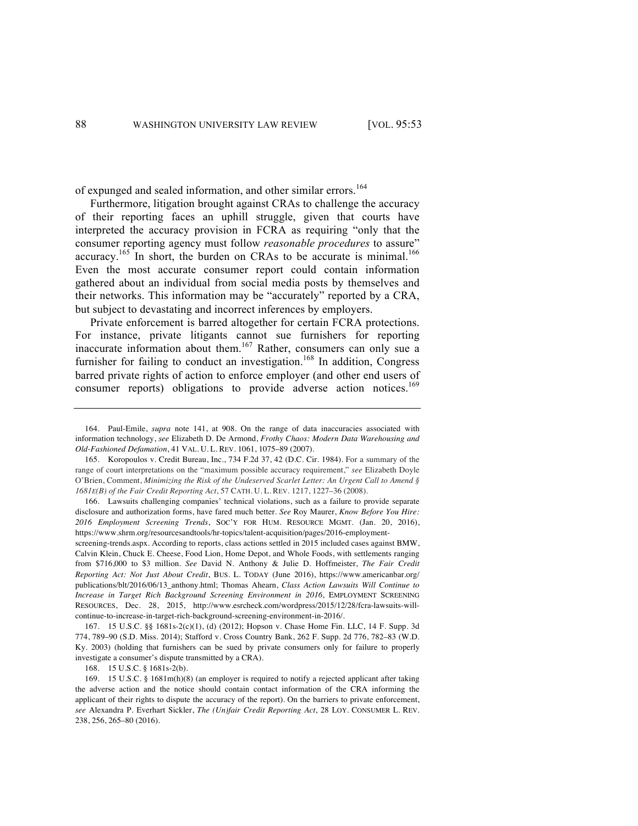of expunged and sealed information, and other similar errors.<sup>164</sup>

Furthermore, litigation brought against CRAs to challenge the accuracy of their reporting faces an uphill struggle, given that courts have interpreted the accuracy provision in FCRA as requiring "only that the consumer reporting agency must follow *reasonable procedures* to assure" accuracy.<sup>165</sup> In short, the burden on CRAs to be accurate is minimal.<sup>166</sup> Even the most accurate consumer report could contain information gathered about an individual from social media posts by themselves and their networks. This information may be "accurately" reported by a CRA, but subject to devastating and incorrect inferences by employers.

Private enforcement is barred altogether for certain FCRA protections. For instance, private litigants cannot sue furnishers for reporting inaccurate information about them.<sup>167</sup> Rather, consumers can only sue a furnisher for failing to conduct an investigation.<sup>168</sup> In addition, Congress barred private rights of action to enforce employer (and other end users of consumer reports) obligations to provide adverse action notices.<sup>169</sup>

166. Lawsuits challenging companies' technical violations, such as a failure to provide separate disclosure and authorization forms, have fared much better. *See* Roy Maurer, *Know Before You Hire: 2016 Employment Screening Trends*, SOC'Y FOR HUM. RESOURCE MGMT. (Jan. 20, 2016), https://www.shrm.org/resourcesandtools/hr-topics/talent-acquisition/pages/2016-employment-

screening-trends.aspx. According to reports, class actions settled in 2015 included cases against BMW, Calvin Klein, Chuck E. Cheese, Food Lion, Home Depot, and Whole Foods, with settlements ranging from \$716,000 to \$3 million. *See* David N. Anthony & Julie D. Hoffmeister, *The Fair Credit Reporting Act: Not Just About Credit*, BUS. L. TODAY (June 2016), https://www.americanbar.org/ publications/blt/2016/06/13\_anthony.html; Thomas Ahearn, *Class Action Lawsuits Will Continue to Increase in Target Rich Background Screening Environment in 2016*, EMPLOYMENT SCREENING RESOURCES, Dec. 28, 2015, http://www.esrcheck.com/wordpress/2015/12/28/fcra-lawsuits-willcontinue-to-increase-in-target-rich-background-screening-environment-in-2016/.

167. 15 U.S.C. §§ 1681s-2(c)(1), (d) (2012); Hopson v. Chase Home Fin. LLC, 14 F. Supp. 3d 774, 789–90 (S.D. Miss. 2014); Stafford v. Cross Country Bank, 262 F. Supp. 2d 776, 782–83 (W.D. Ky. 2003) (holding that furnishers can be sued by private consumers only for failure to properly investigate a consumer's dispute transmitted by a CRA).

168. 15 U.S.C. § 1681s-2(b).

169. 15 U.S.C. § 1681m(h)(8) (an employer is required to notify a rejected applicant after taking the adverse action and the notice should contain contact information of the CRA informing the applicant of their rights to dispute the accuracy of the report). On the barriers to private enforcement, *see* Alexandra P. Everhart Sickler, *The (Un)fair Credit Reporting Act*, 28 LOY. CONSUMER L. REV. 238, 256, 265–80 (2016).

<sup>164.</sup> Paul-Emile, *supra* note 141, at 908. On the range of data inaccuracies associated with information technology, *see* Elizabeth D. De Armond, *Frothy Chaos: Modern Data Warehousing and Old-Fashioned Defamation*, 41 VAL. U. L. REV. 1061, 1075–89 (2007).

<sup>165.</sup> Koropoulos v. Credit Bureau, Inc., 734 F.2d 37, 42 (D.C. Cir. 1984). For a summary of the range of court interpretations on the "maximum possible accuracy requirement," *see* Elizabeth Doyle O'Brien, Comment, *Minimizing the Risk of the Undeserved Scarlet Letter: An Urgent Call to Amend § 1681E(B) of the Fair Credit Reporting Act*, 57 CATH. U. L. REV. 1217, 1227–36 (2008).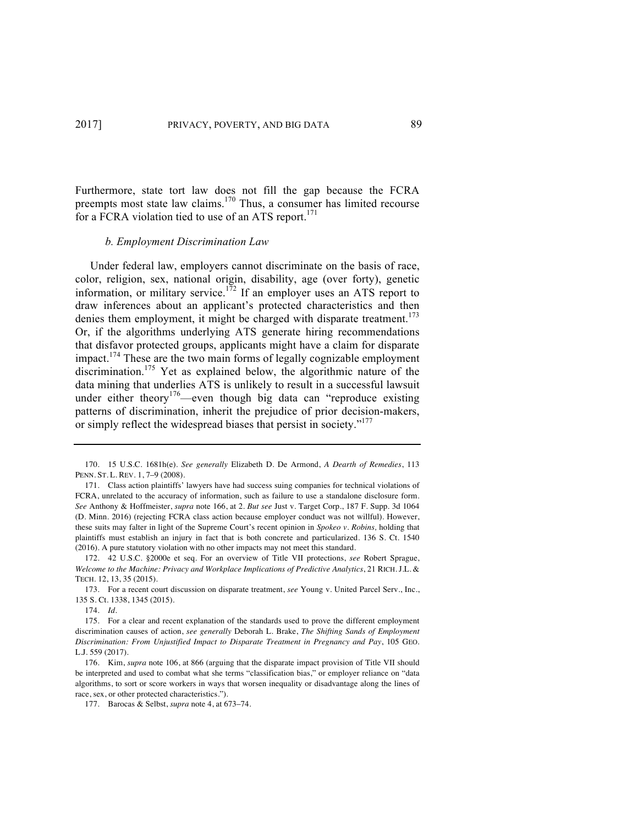Furthermore, state tort law does not fill the gap because the FCRA preempts most state law claims.<sup>170</sup> Thus, a consumer has limited recourse for a FCRA violation tied to use of an ATS report. $171$ 

### *b. Employment Discrimination Law*

Under federal law, employers cannot discriminate on the basis of race, color, religion, sex, national origin, disability, age (over forty), genetic information, or military service.<sup>172</sup> If an employer uses an ATS report to draw inferences about an applicant's protected characteristics and then denies them employment, it might be charged with disparate treatment.<sup>173</sup> Or, if the algorithms underlying ATS generate hiring recommendations that disfavor protected groups, applicants might have a claim for disparate impact.<sup>174</sup> These are the two main forms of legally cognizable employment discrimination.<sup>175</sup> Yet as explained below, the algorithmic nature of the data mining that underlies ATS is unlikely to result in a successful lawsuit under either theory<sup>176</sup>—even though big data can "reproduce existing patterns of discrimination, inherit the prejudice of prior decision-makers, or simply reflect the widespread biases that persist in society."<sup>177</sup>

<sup>170.</sup> 15 U.S.C. 1681h(e). *See generally* Elizabeth D. De Armond, *A Dearth of Remedies*, 113 PENN. ST. L. REV. 1, 7–9 (2008).

<sup>171.</sup> Class action plaintiffs' lawyers have had success suing companies for technical violations of FCRA, unrelated to the accuracy of information, such as failure to use a standalone disclosure form. *See* Anthony & Hoffmeister, *supra* note 166, at 2. *But see* Just v. Target Corp., 187 F. Supp. 3d 1064 (D. Minn. 2016) (rejecting FCRA class action because employer conduct was not willful). However, these suits may falter in light of the Supreme Court's recent opinion in *Spokeo v. Robins,* holding that plaintiffs must establish an injury in fact that is both concrete and particularized. 136 S. Ct. 1540 (2016). A pure statutory violation with no other impacts may not meet this standard.

<sup>172.</sup> 42 U.S.C. §2000e et seq. For an overview of Title VII protections, *see* Robert Sprague, *Welcome to the Machine: Privacy and Workplace Implications of Predictive Analytics*, 21 RICH. J.L. & TECH. 12, 13, 35 (2015).

<sup>173.</sup> For a recent court discussion on disparate treatment, *see* Young v. United Parcel Serv., Inc., 135 S. Ct. 1338, 1345 (2015).

<sup>174.</sup> *Id*.

<sup>175.</sup> For a clear and recent explanation of the standards used to prove the different employment discrimination causes of action, *see generally* Deborah L. Brake, *The Shifting Sands of Employment Discrimination: From Unjustified Impact to Disparate Treatment in Pregnancy and Pay*, 105 GEO. L.J. 559 (2017).

<sup>176.</sup> Kim, *supra* note 106, at 866 (arguing that the disparate impact provision of Title VII should be interpreted and used to combat what she terms "classification bias," or employer reliance on "data algorithms, to sort or score workers in ways that worsen inequality or disadvantage along the lines of race, sex, or other protected characteristics.").

<sup>177.</sup> Barocas & Selbst, *supra* note 4, at 673–74.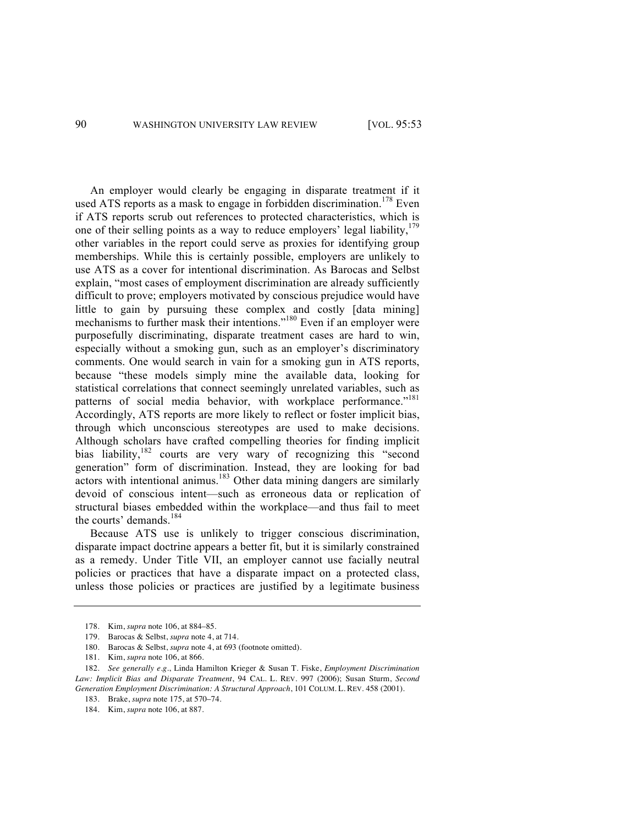An employer would clearly be engaging in disparate treatment if it used ATS reports as a mask to engage in forbidden discrimination.<sup>178</sup> Even if ATS reports scrub out references to protected characteristics, which is one of their selling points as a way to reduce employers' legal liability,  $179$ other variables in the report could serve as proxies for identifying group memberships. While this is certainly possible, employers are unlikely to use ATS as a cover for intentional discrimination. As Barocas and Selbst explain, "most cases of employment discrimination are already sufficiently difficult to prove; employers motivated by conscious prejudice would have little to gain by pursuing these complex and costly [data mining] mechanisms to further mask their intentions."<sup>180</sup> Even if an employer were purposefully discriminating, disparate treatment cases are hard to win, especially without a smoking gun, such as an employer's discriminatory comments. One would search in vain for a smoking gun in ATS reports, because "these models simply mine the available data, looking for statistical correlations that connect seemingly unrelated variables, such as patterns of social media behavior, with workplace performance."<sup>181</sup> Accordingly, ATS reports are more likely to reflect or foster implicit bias, through which unconscious stereotypes are used to make decisions. Although scholars have crafted compelling theories for finding implicit bias liability,<sup>182</sup> courts are very wary of recognizing this "second generation" form of discrimination. Instead, they are looking for bad  $\alpha$  actors with intentional animus.<sup>183</sup> Other data mining dangers are similarly devoid of conscious intent—such as erroneous data or replication of structural biases embedded within the workplace—and thus fail to meet the courts' demands.<sup>184</sup>

Because ATS use is unlikely to trigger conscious discrimination, disparate impact doctrine appears a better fit, but it is similarly constrained as a remedy. Under Title VII, an employer cannot use facially neutral policies or practices that have a disparate impact on a protected class, unless those policies or practices are justified by a legitimate business

<sup>178.</sup> Kim, *supra* note 106, at 884–85.

<sup>179.</sup> Barocas & Selbst, *supra* note 4, at 714.

<sup>180.</sup> Barocas & Selbst, *supra* note 4, at 693 (footnote omitted).

<sup>181.</sup> Kim, *supra* note 106, at 866.

<sup>182.</sup> *See generally e.g.*, Linda Hamilton Krieger & Susan T. Fiske, *Employment Discrimination Law: Implicit Bias and Disparate Treatment*, 94 CAL. L. REV. 997 (2006); Susan Sturm, *Second Generation Employment Discrimination: A Structural Approach*, 101 COLUM. L. REV. 458 (2001).

<sup>183.</sup> Brake, *supra* note 175, at 570–74.

<sup>184.</sup> Kim, *supra* note 106, at 887.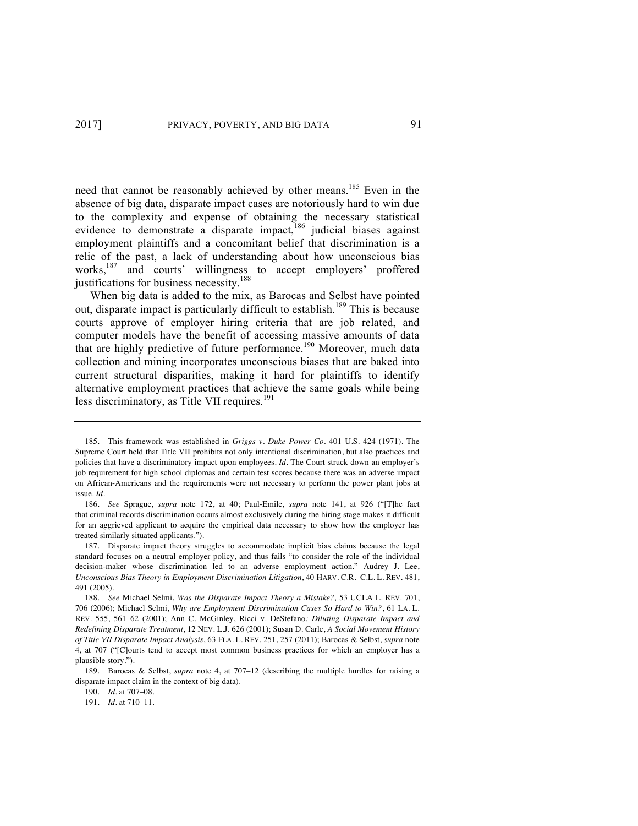need that cannot be reasonably achieved by other means.<sup>185</sup> Even in the absence of big data, disparate impact cases are notoriously hard to win due to the complexity and expense of obtaining the necessary statistical evidence to demonstrate a disparate impact,<sup>186</sup> judicial biases against employment plaintiffs and a concomitant belief that discrimination is a relic of the past, a lack of understanding about how unconscious bias works,<sup>187</sup> and courts' willingness to accept employers' proffered justifications for business necessity.<sup>188</sup>

When big data is added to the mix, as Barocas and Selbst have pointed out, disparate impact is particularly difficult to establish.<sup>189</sup> This is because courts approve of employer hiring criteria that are job related, and computer models have the benefit of accessing massive amounts of data that are highly predictive of future performance.<sup>190</sup> Moreover, much data collection and mining incorporates unconscious biases that are baked into current structural disparities, making it hard for plaintiffs to identify alternative employment practices that achieve the same goals while being less discriminatory, as Title VII requires. $191$ 

<sup>185.</sup> This framework was established in *Griggs v. Duke Power Co*. 401 U.S. 424 (1971). The Supreme Court held that Title VII prohibits not only intentional discrimination, but also practices and policies that have a discriminatory impact upon employees. *Id.* The Court struck down an employer's job requirement for high school diplomas and certain test scores because there was an adverse impact on African-Americans and the requirements were not necessary to perform the power plant jobs at issue. *Id.* 

<sup>186.</sup> *See* Sprague, *supra* note 172, at 40; Paul-Emile, *supra* note 141, at 926 ("[T]he fact that criminal records discrimination occurs almost exclusively during the hiring stage makes it difficult for an aggrieved applicant to acquire the empirical data necessary to show how the employer has treated similarly situated applicants.").

<sup>187.</sup> Disparate impact theory struggles to accommodate implicit bias claims because the legal standard focuses on a neutral employer policy, and thus fails "to consider the role of the individual decision-maker whose discrimination led to an adverse employment action." Audrey J. Lee, *Unconscious Bias Theory in Employment Discrimination Litigation*, 40 HARV. C.R.–C.L. L. REV. 481, 491 (2005).

<sup>188.</sup> *See* Michael Selmi, *Was the Disparate Impact Theory a Mistake?,* 53 UCLA L. REV. 701, 706 (2006); Michael Selmi, *Why are Employment Discrimination Cases So Hard to Win?*, 61 LA. L. REV. 555, 561–62 (2001); Ann C. McGinley, Ricci v. DeStefano*: Diluting Disparate Impact and Redefining Disparate Treatment*, 12 NEV. L.J. 626 (2001); Susan D. Carle, *A Social Movement History of Title VII Disparate Impact Analysis*, 63 FLA. L. REV. 251, 257 (2011); Barocas & Selbst, *supra* note 4, at 707 ("[C]ourts tend to accept most common business practices for which an employer has a plausible story.").

<sup>189.</sup> Barocas & Selbst, *supra* note 4, at 707–12 (describing the multiple hurdles for raising a disparate impact claim in the context of big data).

<sup>190.</sup> *Id.* at 707–08.

<sup>191.</sup> *Id*. at 710–11.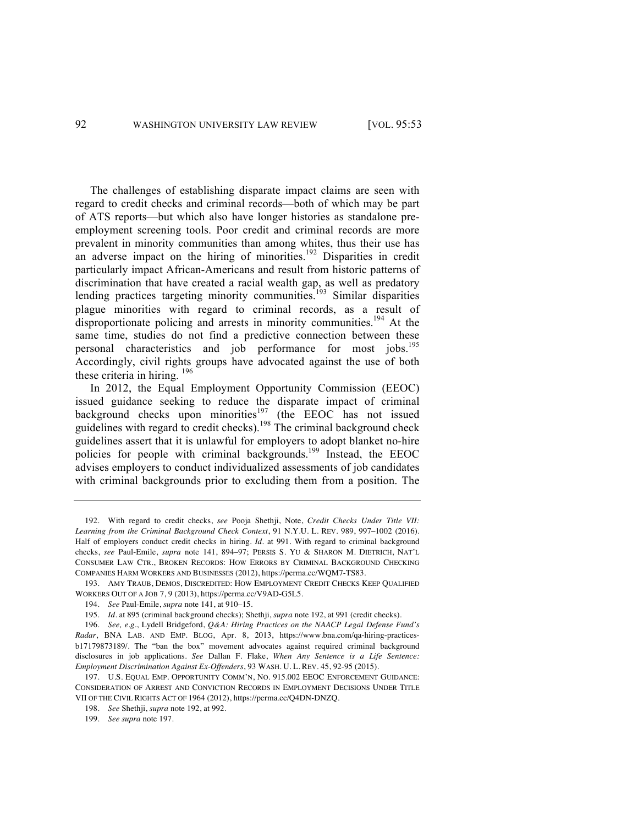The challenges of establishing disparate impact claims are seen with regard to credit checks and criminal records—both of which may be part of ATS reports—but which also have longer histories as standalone preemployment screening tools. Poor credit and criminal records are more prevalent in minority communities than among whites, thus their use has an adverse impact on the hiring of minorities.<sup>192</sup> Disparities in credit particularly impact African-Americans and result from historic patterns of discrimination that have created a racial wealth gap, as well as predatory lending practices targeting minority communities.<sup>193</sup> Similar disparities plague minorities with regard to criminal records, as a result of disproportionate policing and arrests in minority communities.<sup>194</sup> At the same time, studies do not find a predictive connection between these personal characteristics and job performance for most jobs.195 Accordingly, civil rights groups have advocated against the use of both these criteria in hiring.  $196$ 

In 2012, the Equal Employment Opportunity Commission (EEOC) issued guidance seeking to reduce the disparate impact of criminal background checks upon minorities<sup>197</sup> (the EEOC has not issued guidelines with regard to credit checks).<sup>198</sup> The criminal background check guidelines assert that it is unlawful for employers to adopt blanket no-hire policies for people with criminal backgrounds.<sup>199</sup> Instead, the EEOC advises employers to conduct individualized assessments of job candidates with criminal backgrounds prior to excluding them from a position. The

<sup>192.</sup> With regard to credit checks, *see* Pooja Shethji, Note, *Credit Checks Under Title VII: Learning from the Criminal Background Check Context*, 91 N.Y.U. L. REV. 989, 997–1002 (2016). Half of employers conduct credit checks in hiring. *Id.* at 991. With regard to criminal background checks, *see* Paul-Emile, *supra* note 141, 894–97; PERSIS S. YU & SHARON M. DIETRICH, NAT'L CONSUMER LAW CTR., BROKEN RECORDS: HOW ERRORS BY CRIMINAL BACKGROUND CHECKING COMPANIES HARM WORKERS AND BUSINESSES (2012), https://perma.cc/WQM7-TS83.

<sup>193.</sup> AMY TRAUB, DEMOS, DISCREDITED: HOW EMPLOYMENT CREDIT CHECKS KEEP QUALIFIED WORKERS OUT OF A JOB 7, 9 (2013), https://perma.cc/V9AD-G5L5.

<sup>194.</sup> *See* Paul-Emile, *supra* note 141, at 910–15.

<sup>195.</sup> *Id.* at 895 (criminal background checks); Shethji, *supra* note 192, at 991 (credit checks).

<sup>196.</sup> *See, e.g.*, Lydell Bridgeford, *Q&A: Hiring Practices on the NAACP Legal Defense Fund's Radar*, BNA LAB. AND EMP. BLOG, Apr. 8, 2013, https://www.bna.com/qa-hiring-practicesb17179873189/. The "ban the box" movement advocates against required criminal background disclosures in job applications. *See* Dallan F. Flake, *When Any Sentence is a Life Sentence: Employment Discrimination Against Ex-Offenders*, 93 WASH. U. L. REV. 45, 92-95 (2015).

<sup>197.</sup> U.S. EQUAL EMP. OPPORTUNITY COMM'N, NO. 915.002 EEOC ENFORCEMENT GUIDANCE: CONSIDERATION OF ARREST AND CONVICTION RECORDS IN EMPLOYMENT DECISIONS UNDER TITLE VII OF THE CIVIL RIGHTS ACT OF 1964 (2012), https://perma.cc/Q4DN-DNZQ.

<sup>198.</sup> *See* Shethji, *supra* note 192, at 992.

<sup>199.</sup> *See supra* note 197.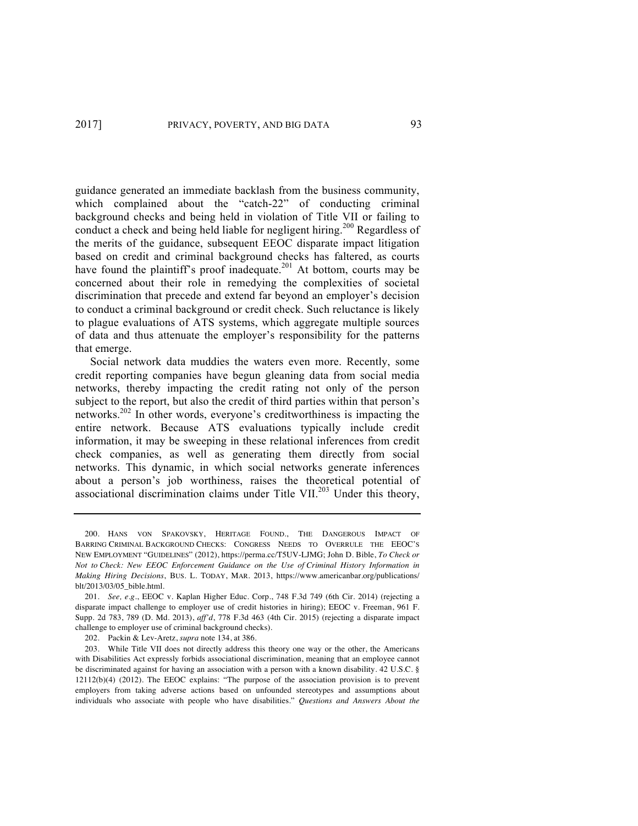guidance generated an immediate backlash from the business community, which complained about the "catch-22" of conducting criminal background checks and being held in violation of Title VII or failing to conduct a check and being held liable for negligent hiring.<sup>200</sup> Regardless of the merits of the guidance, subsequent EEOC disparate impact litigation based on credit and criminal background checks has faltered, as courts have found the plaintiff's proof inadequate.<sup>201</sup> At bottom, courts may be concerned about their role in remedying the complexities of societal discrimination that precede and extend far beyond an employer's decision to conduct a criminal background or credit check. Such reluctance is likely to plague evaluations of ATS systems, which aggregate multiple sources of data and thus attenuate the employer's responsibility for the patterns that emerge.

Social network data muddies the waters even more. Recently, some credit reporting companies have begun gleaning data from social media networks, thereby impacting the credit rating not only of the person subject to the report, but also the credit of third parties within that person's networks.202 In other words, everyone's creditworthiness is impacting the entire network. Because ATS evaluations typically include credit information, it may be sweeping in these relational inferences from credit check companies, as well as generating them directly from social networks. This dynamic, in which social networks generate inferences about a person's job worthiness, raises the theoretical potential of associational discrimination claims under Title VII.<sup>203</sup> Under this theory,

202. Packin & Lev-Aretz, *supra* note 134, at 386.

<sup>200.</sup> HANS VON SPAKOVSKY, HERITAGE FOUND., THE DANGEROUS IMPACT OF BARRING CRIMINAL BACKGROUND CHECKS: CONGRESS NEEDS TO OVERRULE THE EEOC'S NEW EMPLOYMENT "GUIDELINES" (2012), https://perma.cc/T5UV-LJMG; John D. Bible, *To Check or Not to Check: New EEOC Enforcement Guidance on the Use of Criminal History Information in Making Hiring Decisions*, BUS. L. TODAY, MAR. 2013, https://www.americanbar.org/publications/ blt/2013/03/05\_bible.html.

<sup>201.</sup> *See, e.g*., EEOC v. Kaplan Higher Educ. Corp., 748 F.3d 749 (6th Cir. 2014) (rejecting a disparate impact challenge to employer use of credit histories in hiring); EEOC v. Freeman, 961 F. Supp. 2d 783, 789 (D. Md. 2013), *aff'd*, 778 F.3d 463 (4th Cir. 2015) (rejecting a disparate impact challenge to employer use of criminal background checks).

<sup>203.</sup> While Title VII does not directly address this theory one way or the other, the Americans with Disabilities Act expressly forbids associational discrimination, meaning that an employee cannot be discriminated against for having an association with a person with a known disability. 42 U.S.C. § 12112(b)(4) (2012). The EEOC explains: "The purpose of the association provision is to prevent employers from taking adverse actions based on unfounded stereotypes and assumptions about individuals who associate with people who have disabilities." *Questions and Answers About the*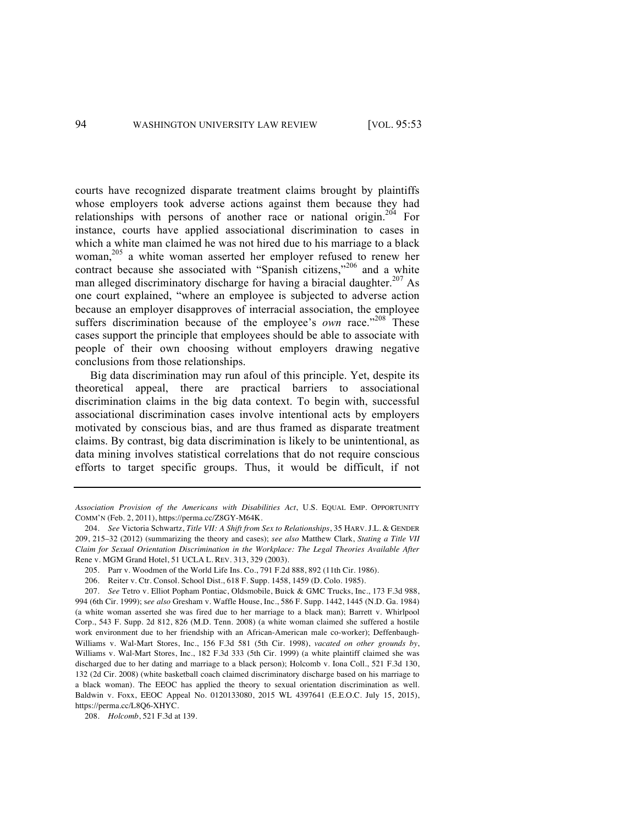courts have recognized disparate treatment claims brought by plaintiffs whose employers took adverse actions against them because they had relationships with persons of another race or national origin.<sup>204</sup> For instance, courts have applied associational discrimination to cases in which a white man claimed he was not hired due to his marriage to a black woman,<sup>205</sup> a white woman asserted her employer refused to renew her contract because she associated with "Spanish citizens,"<sup>206</sup> and a white man alleged discriminatory discharge for having a biracial daughter.<sup>207</sup> As one court explained, "where an employee is subjected to adverse action because an employer disapproves of interracial association, the employee suffers discrimination because of the employee's *own* race."<sup>208</sup> These cases support the principle that employees should be able to associate with people of their own choosing without employers drawing negative conclusions from those relationships.

Big data discrimination may run afoul of this principle. Yet, despite its theoretical appeal, there are practical barriers to associational discrimination claims in the big data context. To begin with, successful associational discrimination cases involve intentional acts by employers motivated by conscious bias, and are thus framed as disparate treatment claims. By contrast, big data discrimination is likely to be unintentional, as data mining involves statistical correlations that do not require conscious efforts to target specific groups. Thus, it would be difficult, if not

208. *Holcomb*, 521 F.3d at 139.

*Association Provision of the Americans with Disabilities Act*, U.S. EQUAL EMP. OPPORTUNITY COMM'N (Feb. 2, 2011), https://perma.cc/Z8GY-M64K.

<sup>204.</sup> *See* Victoria Schwartz, *Title VII: A Shift from Sex to Relationships*, 35 HARV. J.L. & GENDER 209, 215–32 (2012) (summarizing the theory and cases); *see also* Matthew Clark, *Stating a Title VII Claim for Sexual Orientation Discrimination in the Workplace: The Legal Theories Available After*  Rene v. MGM Grand Hotel, 51 UCLA L. REV. 313, 329 (2003).

<sup>205.</sup> Parr v. Woodmen of the World Life Ins. Co., 791 F.2d 888, 892 (11th Cir. 1986).

<sup>206.</sup> Reiter v. Ctr. Consol. School Dist., 618 F. Supp. 1458, 1459 (D. Colo. 1985).

<sup>207.</sup> *See* Tetro v. Elliot Popham Pontiac, Oldsmobile, Buick & GMC Trucks, Inc., 173 F.3d 988, 994 (6th Cir. 1999); s*ee also* Gresham v. Waffle House, Inc., 586 F. Supp. 1442, 1445 (N.D. Ga. 1984) (a white woman asserted she was fired due to her marriage to a black man); Barrett v. Whirlpool Corp., 543 F. Supp. 2d 812, 826 (M.D. Tenn. 2008) (a white woman claimed she suffered a hostile work environment due to her friendship with an African-American male co-worker); Deffenbaugh-Williams v. Wal-Mart Stores, Inc., 156 F.3d 581 (5th Cir. 1998), *vacated on other grounds by*, Williams v. Wal-Mart Stores, Inc., 182 F.3d 333 (5th Cir. 1999) (a white plaintiff claimed she was discharged due to her dating and marriage to a black person); Holcomb v. Iona Coll., 521 F.3d 130, 132 (2d Cir. 2008) (white basketball coach claimed discriminatory discharge based on his marriage to a black woman). The EEOC has applied the theory to sexual orientation discrimination as well. Baldwin v. Foxx, EEOC Appeal No. 0120133080, 2015 WL 4397641 (E.E.O.C. July 15, 2015), https://perma.cc/L8Q6-XHYC.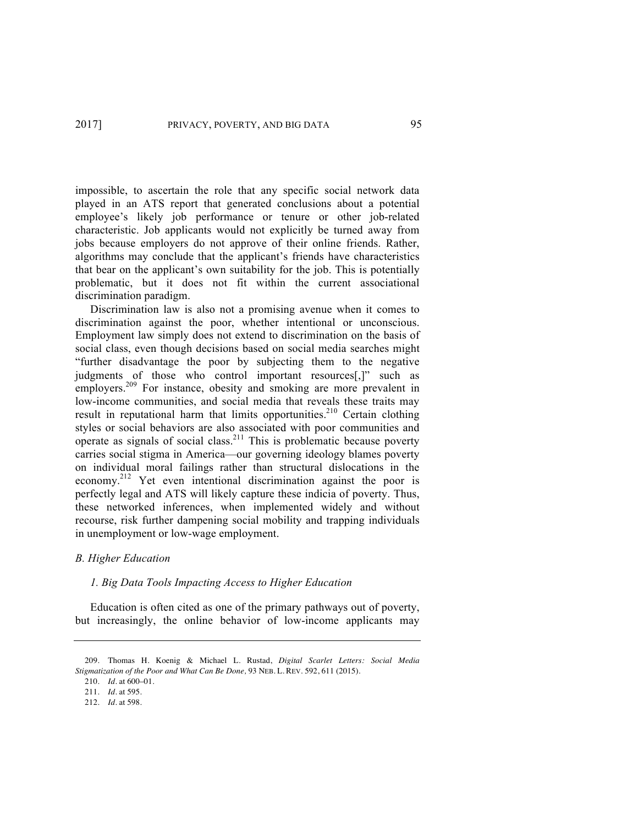impossible, to ascertain the role that any specific social network data played in an ATS report that generated conclusions about a potential employee's likely job performance or tenure or other job-related characteristic. Job applicants would not explicitly be turned away from jobs because employers do not approve of their online friends. Rather, algorithms may conclude that the applicant's friends have characteristics that bear on the applicant's own suitability for the job. This is potentially problematic, but it does not fit within the current associational discrimination paradigm.

Discrimination law is also not a promising avenue when it comes to discrimination against the poor, whether intentional or unconscious. Employment law simply does not extend to discrimination on the basis of social class, even though decisions based on social media searches might "further disadvantage the poor by subjecting them to the negative judgments of those who control important resources[,]" such as employers.<sup>209</sup> For instance, obesity and smoking are more prevalent in low-income communities, and social media that reveals these traits may result in reputational harm that limits opportunities.<sup>210</sup> Certain clothing styles or social behaviors are also associated with poor communities and operate as signals of social class.<sup>211</sup> This is problematic because poverty carries social stigma in America—our governing ideology blames poverty on individual moral failings rather than structural dislocations in the economy.<sup>212</sup> Yet even intentional discrimination against the poor is perfectly legal and ATS will likely capture these indicia of poverty. Thus, these networked inferences, when implemented widely and without recourse, risk further dampening social mobility and trapping individuals in unemployment or low-wage employment.

### *B. Higher Education*

#### *1. Big Data Tools Impacting Access to Higher Education*

Education is often cited as one of the primary pathways out of poverty, but increasingly, the online behavior of low-income applicants may

210. *Id*. at 600–01.

<sup>209.</sup> Thomas H. Koenig & Michael L. Rustad, *Digital Scarlet Letters: Social Media Stigmatization of the Poor and What Can Be Done,* 93 NEB. L. REV. 592, 611 (2015).

<sup>211.</sup> *Id*. at 595.

<sup>212.</sup> *Id*. at 598.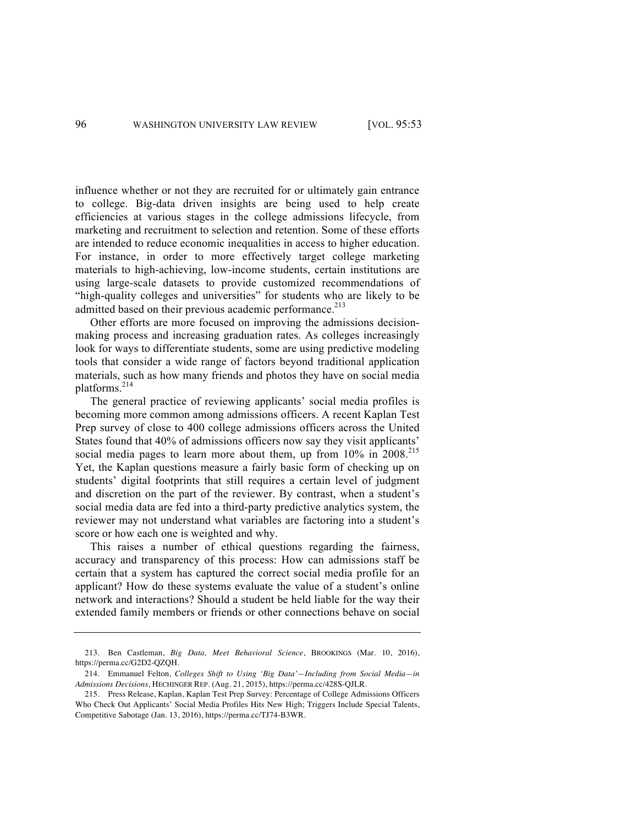influence whether or not they are recruited for or ultimately gain entrance to college. Big-data driven insights are being used to help create efficiencies at various stages in the college admissions lifecycle, from marketing and recruitment to selection and retention. Some of these efforts are intended to reduce economic inequalities in access to higher education. For instance, in order to more effectively target college marketing materials to high-achieving, low-income students, certain institutions are using large-scale datasets to provide customized recommendations of "high-quality colleges and universities" for students who are likely to be admitted based on their previous academic performance.<sup>213</sup>

Other efforts are more focused on improving the admissions decisionmaking process and increasing graduation rates. As colleges increasingly look for ways to differentiate students, some are using predictive modeling tools that consider a wide range of factors beyond traditional application materials, such as how many friends and photos they have on social media platforms.<sup>214</sup>

The general practice of reviewing applicants' social media profiles is becoming more common among admissions officers. A recent Kaplan Test Prep survey of close to 400 college admissions officers across the United States found that 40% of admissions officers now say they visit applicants' social media pages to learn more about them, up from 10% in 2008.<sup>215</sup> Yet, the Kaplan questions measure a fairly basic form of checking up on students' digital footprints that still requires a certain level of judgment and discretion on the part of the reviewer. By contrast, when a student's social media data are fed into a third-party predictive analytics system, the reviewer may not understand what variables are factoring into a student's score or how each one is weighted and why.

This raises a number of ethical questions regarding the fairness, accuracy and transparency of this process: How can admissions staff be certain that a system has captured the correct social media profile for an applicant? How do these systems evaluate the value of a student's online network and interactions? Should a student be held liable for the way their extended family members or friends or other connections behave on social

<sup>213.</sup> Ben Castleman, *Big Data, Meet Behavioral Science*, BROOKINGS (Mar. 10, 2016), https://perma.cc/G2D2-QZQH.

<sup>214.</sup> Emmanuel Felton, *Colleges Shift to Using 'Big Data'—Including from Social Media—in Admissions Decisions*, HECHINGER REP. (Aug. 21, 2015), https://perma.cc/428S-QJLR.

<sup>215.</sup> Press Release, Kaplan, Kaplan Test Prep Survey: Percentage of College Admissions Officers Who Check Out Applicants' Social Media Profiles Hits New High; Triggers Include Special Talents, Competitive Sabotage (Jan. 13, 2016), https://perma.cc/TJ74-B3WR.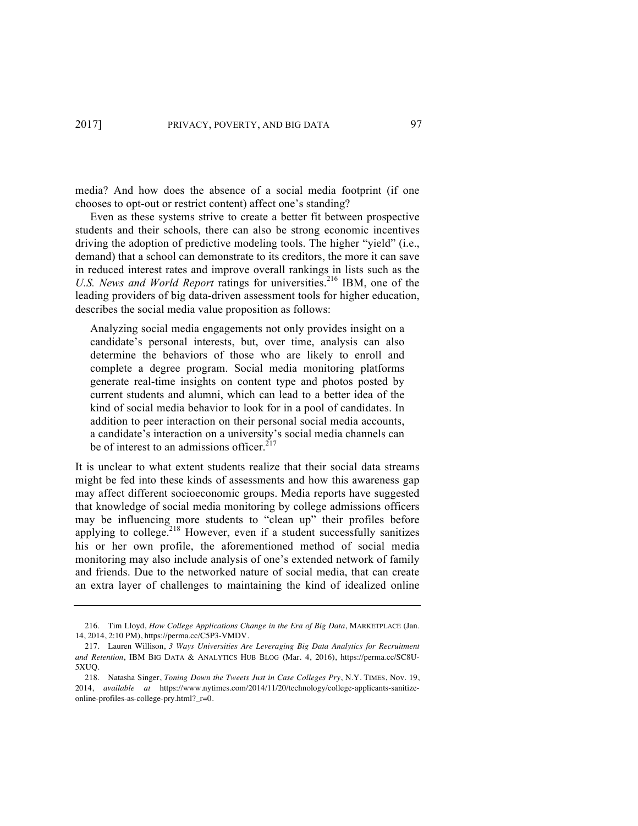media? And how does the absence of a social media footprint (if one chooses to opt-out or restrict content) affect one's standing?

Even as these systems strive to create a better fit between prospective students and their schools, there can also be strong economic incentives driving the adoption of predictive modeling tools. The higher "yield" (i.e., demand) that a school can demonstrate to its creditors, the more it can save in reduced interest rates and improve overall rankings in lists such as the U.S. News and World Report ratings for universities.<sup>216</sup> IBM, one of the leading providers of big data-driven assessment tools for higher education, describes the social media value proposition as follows:

Analyzing social media engagements not only provides insight on a candidate's personal interests, but, over time, analysis can also determine the behaviors of those who are likely to enroll and complete a degree program. Social media monitoring platforms generate real-time insights on content type and photos posted by current students and alumni, which can lead to a better idea of the kind of social media behavior to look for in a pool of candidates. In addition to peer interaction on their personal social media accounts, a candidate's interaction on a university's social media channels can be of interest to an admissions officer. $2^{17}$ 

It is unclear to what extent students realize that their social data streams might be fed into these kinds of assessments and how this awareness gap may affect different socioeconomic groups. Media reports have suggested that knowledge of social media monitoring by college admissions officers may be influencing more students to "clean up" their profiles before applying to college.<sup>218</sup> However, even if a student successfully sanitizes his or her own profile, the aforementioned method of social media monitoring may also include analysis of one's extended network of family and friends. Due to the networked nature of social media, that can create an extra layer of challenges to maintaining the kind of idealized online

<sup>216.</sup> Tim Lloyd, *How College Applications Change in the Era of Big Data*, MARKETPLACE (Jan. 14, 2014, 2:10 PM), https://perma.cc/C5P3-VMDV.

<sup>217.</sup> Lauren Willison, *3 Ways Universities Are Leveraging Big Data Analytics for Recruitment and Retention*, IBM BIG DATA & ANALYTICS HUB BLOG (Mar. 4, 2016), https://perma.cc/SC8U-5XUQ.

<sup>218.</sup> Natasha Singer, *Toning Down the Tweets Just in Case Colleges Pry*, N.Y. TIMES, Nov. 19, 2014, *available at* https://www.nytimes.com/2014/11/20/technology/college-applicants-sanitizeonline-profiles-as-college-pry.html?\_r=0.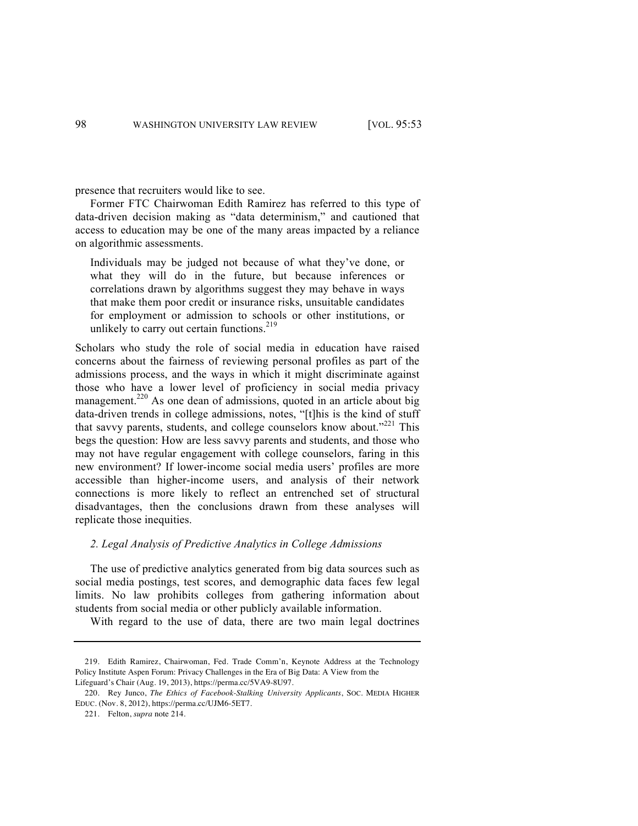presence that recruiters would like to see.

Former FTC Chairwoman Edith Ramirez has referred to this type of data-driven decision making as "data determinism," and cautioned that access to education may be one of the many areas impacted by a reliance on algorithmic assessments.

Individuals may be judged not because of what they've done, or what they will do in the future, but because inferences or correlations drawn by algorithms suggest they may behave in ways that make them poor credit or insurance risks, unsuitable candidates for employment or admission to schools or other institutions, or unlikely to carry out certain functions. $2^{19}$ 

Scholars who study the role of social media in education have raised concerns about the fairness of reviewing personal profiles as part of the admissions process, and the ways in which it might discriminate against those who have a lower level of proficiency in social media privacy management.<sup>220</sup> As one dean of admissions, quoted in an article about big data-driven trends in college admissions, notes, "[t]his is the kind of stuff that savvy parents, students, and college counselors know about."<sup>221</sup> This begs the question: How are less savvy parents and students, and those who may not have regular engagement with college counselors, faring in this new environment? If lower-income social media users' profiles are more accessible than higher-income users, and analysis of their network connections is more likely to reflect an entrenched set of structural disadvantages, then the conclusions drawn from these analyses will replicate those inequities.

# *2. Legal Analysis of Predictive Analytics in College Admissions*

The use of predictive analytics generated from big data sources such as social media postings, test scores, and demographic data faces few legal limits. No law prohibits colleges from gathering information about students from social media or other publicly available information.

With regard to the use of data, there are two main legal doctrines

<sup>219.</sup> Edith Ramirez, Chairwoman, Fed. Trade Comm'n, Keynote Address at the Technology Policy Institute Aspen Forum: Privacy Challenges in the Era of Big Data: A View from the Lifeguard's Chair (Aug. 19, 2013), https://perma.cc/5VA9-8U97.

<sup>220.</sup> Rey Junco, *The Ethics of Facebook-Stalking University Applicants*, SOC. MEDIA HIGHER EDUC. (Nov. 8, 2012), https://perma.cc/UJM6-5ET7.

<sup>221.</sup> Felton, *supra* note 214.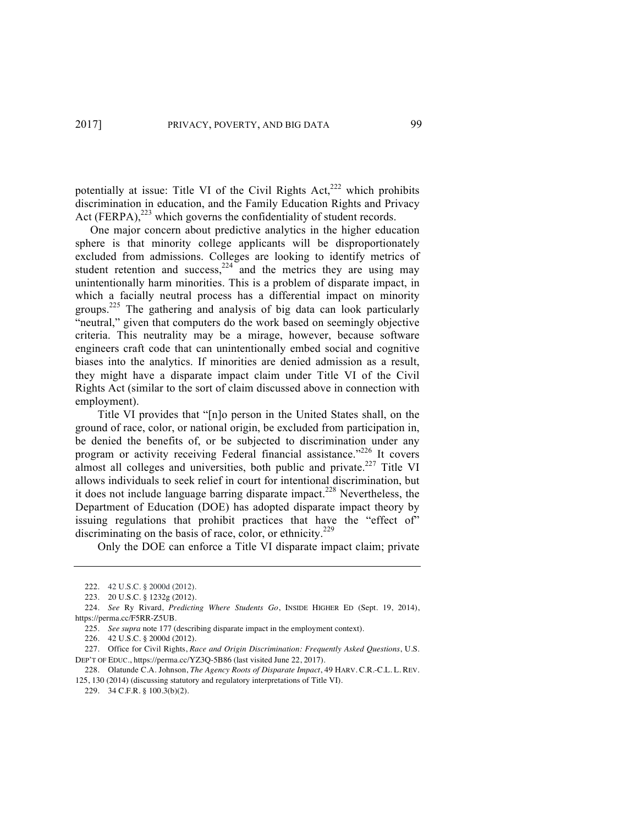potentially at issue: Title VI of the Civil Rights  $Act<sub>222</sub>$  which prohibits discrimination in education, and the Family Education Rights and Privacy Act  $(FERPA)$ ,<sup>223</sup> which governs the confidentiality of student records.

One major concern about predictive analytics in the higher education sphere is that minority college applicants will be disproportionately excluded from admissions. Colleges are looking to identify metrics of student retention and success,  $224$  and the metrics they are using may unintentionally harm minorities. This is a problem of disparate impact, in which a facially neutral process has a differential impact on minority groups.225 The gathering and analysis of big data can look particularly "neutral," given that computers do the work based on seemingly objective criteria. This neutrality may be a mirage, however, because software engineers craft code that can unintentionally embed social and cognitive biases into the analytics. If minorities are denied admission as a result, they might have a disparate impact claim under Title VI of the Civil Rights Act (similar to the sort of claim discussed above in connection with employment).

Title VI provides that "[n]o person in the United States shall, on the ground of race, color, or national origin, be excluded from participation in, be denied the benefits of, or be subjected to discrimination under any program or activity receiving Federal financial assistance."<sup>226</sup> It covers almost all colleges and universities, both public and private.<sup>227</sup> Title VI allows individuals to seek relief in court for intentional discrimination, but it does not include language barring disparate impact.<sup>228</sup> Nevertheless, the Department of Education (DOE) has adopted disparate impact theory by issuing regulations that prohibit practices that have the "effect of" discriminating on the basis of race, color, or ethnicity.<sup>229</sup>

Only the DOE can enforce a Title VI disparate impact claim; private

229. 34 C.F.R. § 100.3(b)(2).

<sup>222.</sup> 42 U.S.C. § 2000d (2012).

<sup>223.</sup> 20 U.S.C. § 1232g (2012).

<sup>224.</sup> *See* Ry Rivard, *Predicting Where Students Go*, INSIDE HIGHER ED (Sept. 19, 2014), https://perma.cc/F5RR-Z5UB.

<sup>225.</sup> *See supra* note 177 (describing disparate impact in the employment context).

<sup>226.</sup> 42 U.S.C. § 2000d (2012).

<sup>227.</sup> Office for Civil Rights, *Race and Origin Discrimination: Frequently Asked Questions*, U.S. DEP'T OF EDUC., https://perma.cc/YZ3Q-5B86 (last visited June 22, 2017).

<sup>228.</sup> Olatunde C.A. Johnson, *The Agency Roots of Disparate Impact*, 49 HARV. C.R.-C.L. L. REV. 125, 130 (2014) (discussing statutory and regulatory interpretations of Title VI).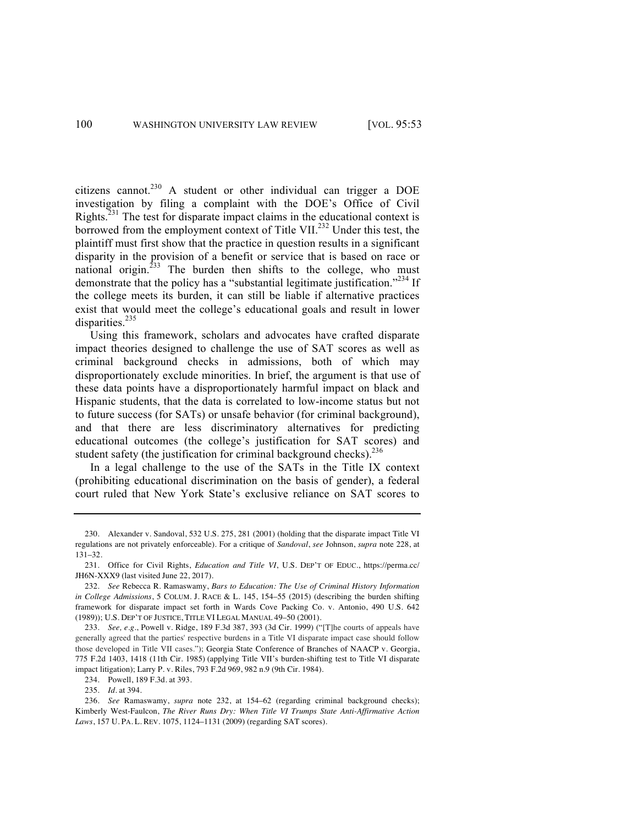citizens cannot.<sup>230</sup> A student or other individual can trigger a DOE investigation by filing a complaint with the DOE's Office of Civil Rights.<sup>231</sup> The test for disparate impact claims in the educational context is borrowed from the employment context of Title VII.<sup>232</sup> Under this test, the plaintiff must first show that the practice in question results in a significant disparity in the provision of a benefit or service that is based on race or national origin.<sup>233</sup> The burden then shifts to the college, who must demonstrate that the policy has a "substantial legitimate justification."<sup>234</sup> If the college meets its burden, it can still be liable if alternative practices exist that would meet the college's educational goals and result in lower disparities.<sup>235</sup>

Using this framework, scholars and advocates have crafted disparate impact theories designed to challenge the use of SAT scores as well as criminal background checks in admissions, both of which may disproportionately exclude minorities. In brief, the argument is that use of these data points have a disproportionately harmful impact on black and Hispanic students, that the data is correlated to low-income status but not to future success (for SATs) or unsafe behavior (for criminal background), and that there are less discriminatory alternatives for predicting educational outcomes (the college's justification for SAT scores) and student safety (the justification for criminal background checks).<sup>236</sup>

In a legal challenge to the use of the SATs in the Title IX context (prohibiting educational discrimination on the basis of gender), a federal court ruled that New York State's exclusive reliance on SAT scores to

<sup>230.</sup> Alexander v. Sandoval, 532 U.S. 275, 281 (2001) (holding that the disparate impact Title VI regulations are not privately enforceable). For a critique of *Sandoval*, *see* Johnson, *supra* note 228, at 131–32.

<sup>231.</sup> Office for Civil Rights, *Education and Title VI*, U.S. DEP'T OF EDUC., https://perma.cc/ JH6N-XXX9 (last visited June 22, 2017).

<sup>232.</sup> *See* Rebecca R. Ramaswamy, *Bars to Education: The Use of Criminal History Information in College Admissions*, 5 COLUM. J. RACE & L. 145, 154–55 (2015) (describing the burden shifting framework for disparate impact set forth in Wards Cove Packing Co. v. Antonio, 490 U.S. 642 (1989)); U.S. DEP'T OF JUSTICE, TITLE VI LEGAL MANUAL 49–50 (2001).

<sup>233.</sup> *See, e.g.*, Powell v. Ridge, 189 F.3d 387, 393 (3d Cir. 1999) ("[T]he courts of appeals have generally agreed that the parties' respective burdens in a Title VI disparate impact case should follow those developed in Title VII cases."); Georgia State Conference of Branches of NAACP v. Georgia, 775 F.2d 1403, 1418 (11th Cir. 1985) (applying Title VII's burden-shifting test to Title VI disparate impact litigation); Larry P. v. Riles, 793 F.2d 969, 982 n.9 (9th Cir. 1984).

<sup>234.</sup> Powell, 189 F.3d. at 393.

<sup>235.</sup> *Id*. at 394.

<sup>236.</sup> *See* Ramaswamy, *supra* note 232, at 154–62 (regarding criminal background checks); Kimberly West-Faulcon, *The River Runs Dry: When Title VI Trumps State Anti-Affirmative Action Laws*, 157 U. PA. L. REV. 1075, 1124–1131 (2009) (regarding SAT scores).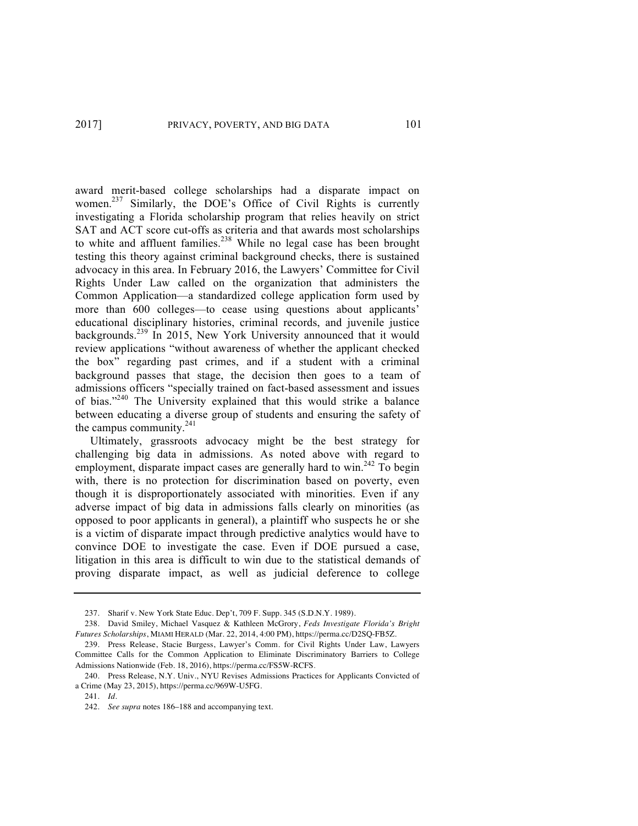award merit-based college scholarships had a disparate impact on women.<sup>237</sup> Similarly, the DOE's Office of Civil Rights is currently investigating a Florida scholarship program that relies heavily on strict SAT and ACT score cut-offs as criteria and that awards most scholarships to white and affluent families.<sup>238</sup> While no legal case has been brought testing this theory against criminal background checks, there is sustained advocacy in this area. In February 2016, the Lawyers' Committee for Civil Rights Under Law called on the organization that administers the Common Application—a standardized college application form used by more than 600 colleges—to cease using questions about applicants' educational disciplinary histories, criminal records, and juvenile justice backgrounds.<sup>239</sup> In 2015, New York University announced that it would review applications "without awareness of whether the applicant checked the box" regarding past crimes, and if a student with a criminal background passes that stage, the decision then goes to a team of admissions officers "specially trained on fact-based assessment and issues of bias."<sup>240</sup> The University explained that this would strike a balance between educating a diverse group of students and ensuring the safety of the campus community. $^{241}$ 

Ultimately, grassroots advocacy might be the best strategy for challenging big data in admissions. As noted above with regard to employment, disparate impact cases are generally hard to win.<sup>242</sup> To begin with, there is no protection for discrimination based on poverty, even though it is disproportionately associated with minorities. Even if any adverse impact of big data in admissions falls clearly on minorities (as opposed to poor applicants in general), a plaintiff who suspects he or she is a victim of disparate impact through predictive analytics would have to convince DOE to investigate the case. Even if DOE pursued a case, litigation in this area is difficult to win due to the statistical demands of proving disparate impact, as well as judicial deference to college

<sup>237.</sup> Sharif v. New York State Educ. Dep't, 709 F. Supp. 345 (S.D.N.Y. 1989).

<sup>238.</sup> David Smiley, Michael Vasquez & Kathleen McGrory, *Feds Investigate Florida's Bright Futures Scholarships*, MIAMI HERALD (Mar. 22, 2014, 4:00 PM), https://perma.cc/D2SQ-FB5Z.

<sup>239.</sup> Press Release, Stacie Burgess, Lawyer's Comm. for Civil Rights Under Law, Lawyers Committee Calls for the Common Application to Eliminate Discriminatory Barriers to College Admissions Nationwide (Feb. 18, 2016), https://perma.cc/FS5W-RCFS.

<sup>240.</sup> Press Release, N.Y. Univ., NYU Revises Admissions Practices for Applicants Convicted of a Crime (May 23, 2015), https://perma.cc/969W-U5FG.

<sup>241.</sup> *Id.*

<sup>242.</sup> *See supra* notes 186–188 and accompanying text.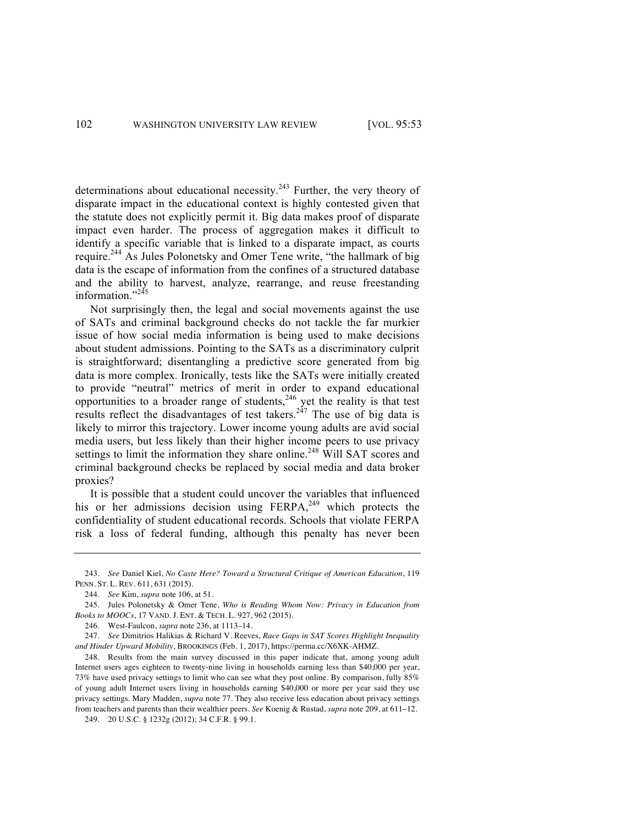determinations about educational necessity. $243$  Further, the very theory of disparate impact in the educational context is highly contested given that the statute does not explicitly permit it. Big data makes proof of disparate impact even harder. The process of aggregation makes it difficult to identify a specific variable that is linked to a disparate impact, as courts require.<sup>244</sup> As Jules Polonetsky and Omer Tene write, "the hallmark of big data is the escape of information from the confines of a structured database and the ability to harvest, analyze, rearrange, and reuse freestanding information."<sup>245</sup>

Not surprisingly then, the legal and social movements against the use of SATs and criminal background checks do not tackle the far murkier issue of how social media information is being used to make decisions about student admissions. Pointing to the SATs as a discriminatory culprit is straightforward; disentangling a predictive score generated from big data is more complex. Ironically, tests like the SATs were initially created to provide "neutral" metrics of merit in order to expand educational opportunities to a broader range of students,<sup>246</sup> yet the reality is that test results reflect the disadvantages of test takers.<sup>247</sup> The use of big data is likely to mirror this trajectory. Lower income young adults are avid social media users, but less likely than their higher income peers to use privacy settings to limit the information they share online.<sup>248</sup> Will SAT scores and criminal background checks be replaced by social media and data broker proxies?

It is possible that a student could uncover the variables that influenced his or her admissions decision using  $FERPA<sub>249</sub>$  which protects the confidentiality of student educational records. Schools that violate FERPA risk a loss of federal funding, although this penalty has never been

<sup>243.</sup> *See* Daniel Kiel, *No Caste Here? Toward a Structural Critique of American Education*, 119 PENN. ST. L. REV. 611, 631 (2015).

<sup>244.</sup> *See* Kim, *supra* note 106, at 51.

<sup>245.</sup> Jules Polonetsky & Omer Tene, *Who is Reading Whom Now: Privacy in Education from Books to MOOCs*, 17 VAND. J. ENT. & TECH. L. 927, 962 (2015).

<sup>246.</sup> West-Faulcon, *supra* note 236, at 1113–14.

<sup>247.</sup> *See* Dimitrios Halikias & Richard V. Reeves, *Race Gaps in SAT Scores Highlight Inequality and Hinder Upward Mobility*, BROOKINGS (Feb. 1, 2017), https://perma.cc/X6XK-AHMZ.

<sup>248.</sup> Results from the main survey discussed in this paper indicate that, among young adult Internet users ages eighteen to twenty-nine living in households earning less than \$40,000 per year, 73% have used privacy settings to limit who can see what they post online. By comparison, fully 85% of young adult Internet users living in households earning \$40,000 or more per year said they use privacy settings. Mary Madden, *supra* note 77. They also receive less education about privacy settings from teachers and parents than their wealthier peers. *See* Koenig & Rustad, *supra* note 209, at 611–12.

<sup>249.</sup> 20 U.S.C. § 1232g (2012); 34 C.F.R. § 99.1.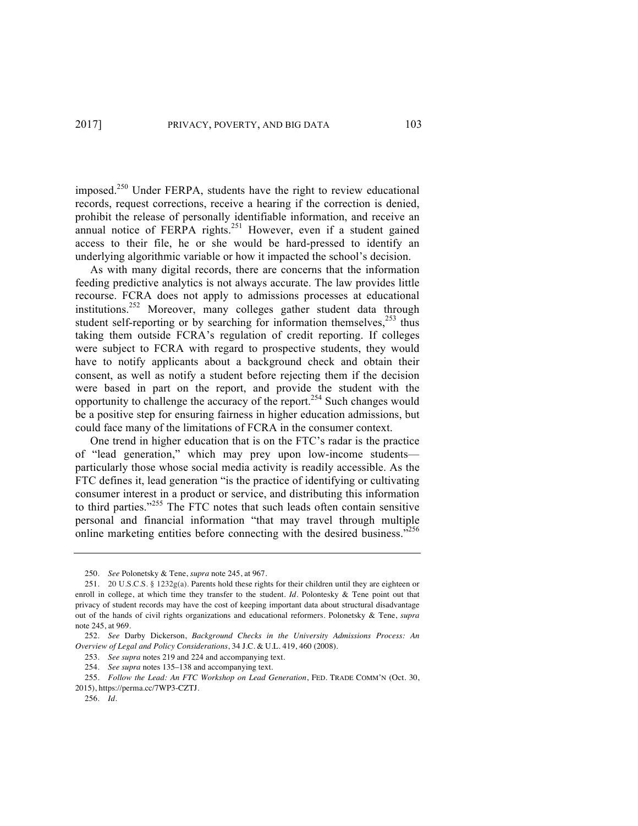imposed.<sup>250</sup> Under FERPA, students have the right to review educational records, request corrections, receive a hearing if the correction is denied, prohibit the release of personally identifiable information, and receive an annual notice of FERPA rights.<sup>251</sup> However, even if a student gained access to their file, he or she would be hard-pressed to identify an underlying algorithmic variable or how it impacted the school's decision.

As with many digital records, there are concerns that the information feeding predictive analytics is not always accurate. The law provides little recourse. FCRA does not apply to admissions processes at educational institutions.<sup>252</sup> Moreover, many colleges gather student data through student self-reporting or by searching for information themselves, $253$  thus taking them outside FCRA's regulation of credit reporting. If colleges were subject to FCRA with regard to prospective students, they would have to notify applicants about a background check and obtain their consent, as well as notify a student before rejecting them if the decision were based in part on the report, and provide the student with the opportunity to challenge the accuracy of the report.254 Such changes would be a positive step for ensuring fairness in higher education admissions, but could face many of the limitations of FCRA in the consumer context.

One trend in higher education that is on the FTC's radar is the practice of "lead generation," which may prey upon low-income students particularly those whose social media activity is readily accessible. As the FTC defines it, lead generation "is the practice of identifying or cultivating consumer interest in a product or service, and distributing this information to third parties."<sup>255</sup> The FTC notes that such leads often contain sensitive personal and financial information "that may travel through multiple online marketing entities before connecting with the desired business."<sup>256</sup>

<sup>250.</sup> *See* Polonetsky & Tene, *supra* note 245, at 967.

<sup>251.</sup> 20 U.S.C.S. § 1232g(a). Parents hold these rights for their children until they are eighteen or enroll in college, at which time they transfer to the student. *Id*. Polontesky & Tene point out that privacy of student records may have the cost of keeping important data about structural disadvantage out of the hands of civil rights organizations and educational reformers. Polonetsky & Tene, *supra* note 245, at 969.

<sup>252.</sup> *See* Darby Dickerson, *Background Checks in the University Admissions Process: An Overview of Legal and Policy Considerations*, 34 J.C. & U.L. 419, 460 (2008).

<sup>253.</sup> *See supra* notes 219 and 224 and accompanying text.

<sup>254.</sup> *See supra* notes 135–138 and accompanying text.

<sup>255.</sup> *Follow the Lead: An FTC Workshop on Lead Generation*, FED. TRADE COMM'N (Oct. 30, 2015), https://perma.cc/7WP3-CZTJ.

<sup>256.</sup> *Id.*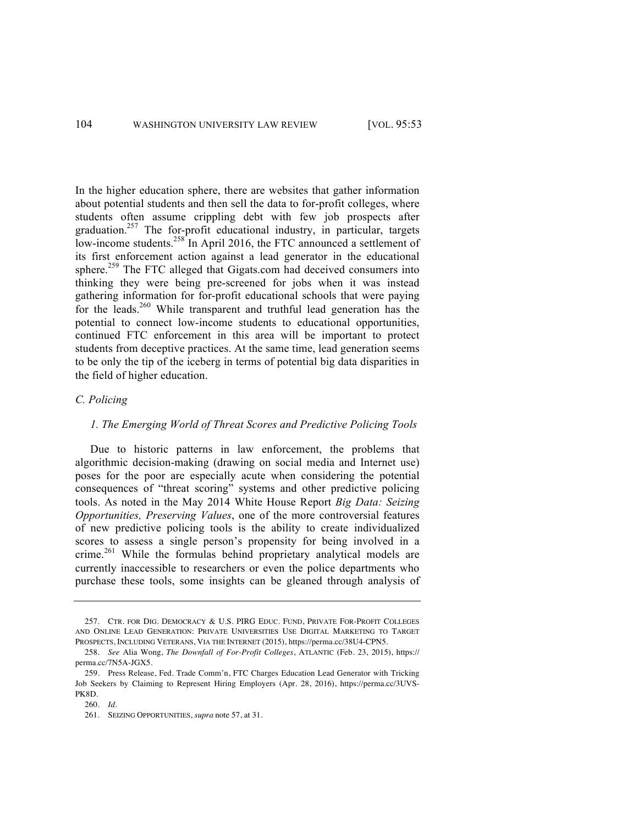In the higher education sphere, there are websites that gather information about potential students and then sell the data to for-profit colleges, where students often assume crippling debt with few job prospects after graduation.<sup>257</sup> The for-profit educational industry, in particular, targets low-income students.<sup>258</sup> In April 2016, the FTC announced a settlement of its first enforcement action against a lead generator in the educational sphere.<sup>259</sup> The FTC alleged that Gigats.com had deceived consumers into thinking they were being pre-screened for jobs when it was instead gathering information for for-profit educational schools that were paying for the leads.<sup>260</sup> While transparent and truthful lead generation has the potential to connect low-income students to educational opportunities, continued FTC enforcement in this area will be important to protect students from deceptive practices. At the same time, lead generation seems to be only the tip of the iceberg in terms of potential big data disparities in the field of higher education.

### *C. Policing*

# *1. The Emerging World of Threat Scores and Predictive Policing Tools*

Due to historic patterns in law enforcement, the problems that algorithmic decision-making (drawing on social media and Internet use) poses for the poor are especially acute when considering the potential consequences of "threat scoring" systems and other predictive policing tools. As noted in the May 2014 White House Report *Big Data: Seizing Opportunities, Preserving Values*, one of the more controversial features of new predictive policing tools is the ability to create individualized scores to assess a single person's propensity for being involved in a crime.<sup>261</sup> While the formulas behind proprietary analytical models are currently inaccessible to researchers or even the police departments who purchase these tools, some insights can be gleaned through analysis of

<sup>257.</sup> CTR. FOR DIG. DEMOCRACY & U.S. PIRG EDUC. FUND, PRIVATE FOR-PROFIT COLLEGES AND ONLINE LEAD GENERATION: PRIVATE UNIVERSITIES USE DIGITAL MARKETING TO TARGET PROSPECTS, INCLUDING VETERANS, VIA THE INTERNET (2015), https://perma.cc/38U4-CPN5.

<sup>258.</sup> *See* Alia Wong, *The Downfall of For-Profit Colleges*, ATLANTIC (Feb. 23, 2015), https:// perma.cc/7N5A-JGX5.

<sup>259.</sup> Press Release, Fed. Trade Comm'n, FTC Charges Education Lead Generator with Tricking Job Seekers by Claiming to Represent Hiring Employers (Apr. 28, 2016), https://perma.cc/3UVS-PK8D.

<sup>260.</sup> *Id*.

<sup>261.</sup> SEIZING OPPORTUNITIES, *supra* note 57, at 31.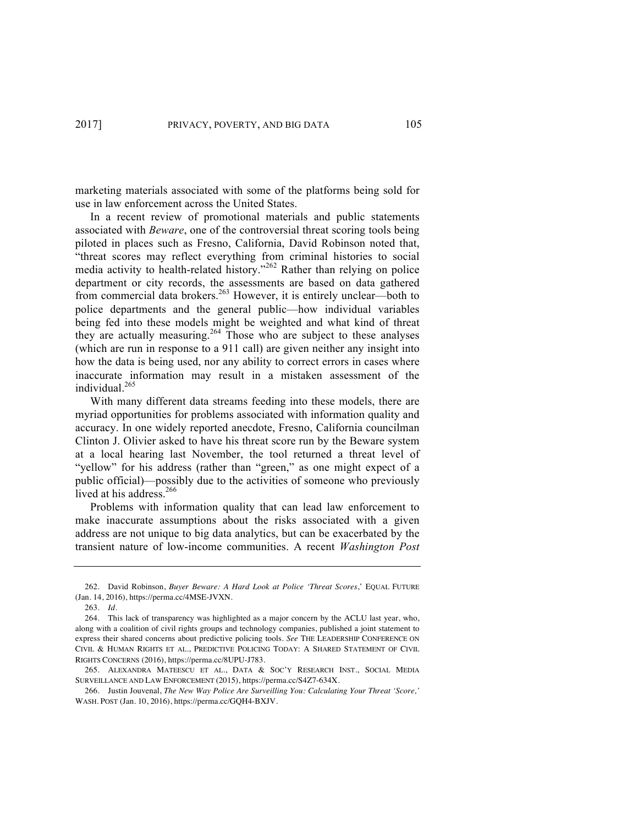marketing materials associated with some of the platforms being sold for use in law enforcement across the United States.

In a recent review of promotional materials and public statements associated with *Beware*, one of the controversial threat scoring tools being piloted in places such as Fresno, California, David Robinson noted that, "threat scores may reflect everything from criminal histories to social media activity to health-related history."<sup>262</sup> Rather than relying on police department or city records, the assessments are based on data gathered from commercial data brokers.<sup>263</sup> However, it is entirely unclear—both to police departments and the general public—how individual variables being fed into these models might be weighted and what kind of threat they are actually measuring.<sup>264</sup> Those who are subject to these analyses (which are run in response to a 911 call) are given neither any insight into how the data is being used, nor any ability to correct errors in cases where inaccurate information may result in a mistaken assessment of the individual.<sup>265</sup>

With many different data streams feeding into these models, there are myriad opportunities for problems associated with information quality and accuracy. In one widely reported anecdote, Fresno, California councilman Clinton J. Olivier asked to have his threat score run by the Beware system at a local hearing last November, the tool returned a threat level of "yellow" for his address (rather than "green," as one might expect of a public official)—possibly due to the activities of someone who previously lived at his address.<sup>266</sup>

Problems with information quality that can lead law enforcement to make inaccurate assumptions about the risks associated with a given address are not unique to big data analytics, but can be exacerbated by the transient nature of low-income communities. A recent *Washington Post* 

<sup>262.</sup> David Robinson, *Buyer Beware: A Hard Look at Police 'Threat Scores*,' EQUAL FUTURE (Jan. 14, 2016), https://perma.cc/4MSE-JVXN.

<sup>263.</sup> *Id.*

<sup>264.</sup> This lack of transparency was highlighted as a major concern by the ACLU last year, who, along with a coalition of civil rights groups and technology companies, published a joint statement to express their shared concerns about predictive policing tools. *See* THE LEADERSHIP CONFERENCE ON CIVIL & HUMAN RIGHTS ET AL., PREDICTIVE POLICING TODAY: A SHARED STATEMENT OF CIVIL RIGHTS CONCERNS (2016), https://perma.cc/8UPU-J783.

<sup>265.</sup> ALEXANDRA MATEESCU ET AL., DATA & SOC'Y RESEARCH INST., SOCIAL MEDIA SURVEILLANCE AND LAW ENFORCEMENT (2015), https://perma.cc/S4Z7-634X.

<sup>266.</sup> Justin Jouvenal, *The New Way Police Are Surveilling You: Calculating Your Threat 'Score,'* WASH. POST (Jan. 10, 2016), https://perma.cc/GQH4-BXJV.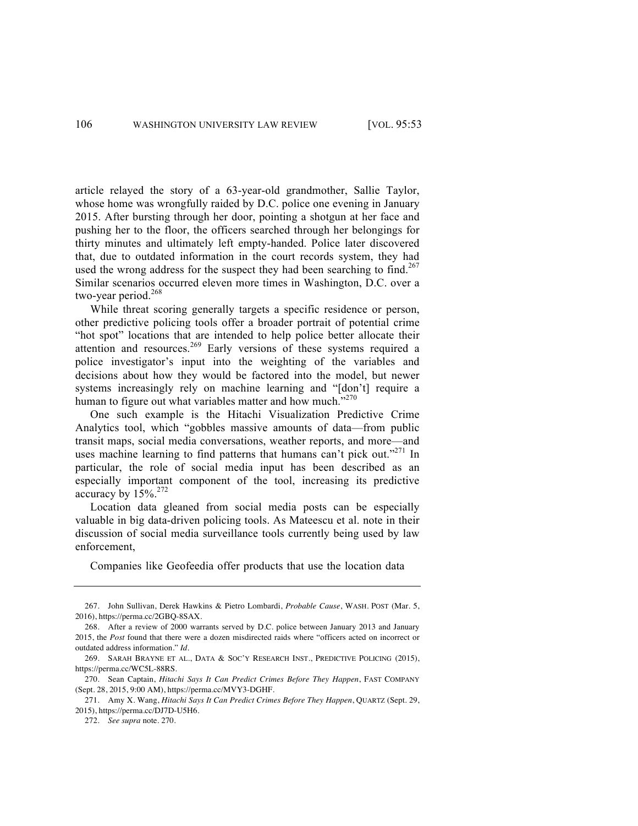article relayed the story of a 63-year-old grandmother, Sallie Taylor, whose home was wrongfully raided by D.C. police one evening in January 2015. After bursting through her door, pointing a shotgun at her face and pushing her to the floor, the officers searched through her belongings for thirty minutes and ultimately left empty-handed. Police later discovered that, due to outdated information in the court records system, they had used the wrong address for the suspect they had been searching to find.<sup>267</sup> Similar scenarios occurred eleven more times in Washington, D.C. over a two-year period.<sup>268</sup>

While threat scoring generally targets a specific residence or person, other predictive policing tools offer a broader portrait of potential crime "hot spot" locations that are intended to help police better allocate their attention and resources.<sup>269</sup> Early versions of these systems required a police investigator's input into the weighting of the variables and decisions about how they would be factored into the model, but newer systems increasingly rely on machine learning and "[don't] require a human to figure out what variables matter and how much."<sup>270</sup>

One such example is the Hitachi Visualization Predictive Crime Analytics tool, which "gobbles massive amounts of data—from public transit maps, social media conversations, weather reports, and more—and uses machine learning to find patterns that humans can't pick out."<sup>271</sup> In particular, the role of social media input has been described as an especially important component of the tool, increasing its predictive accuracy by  $15\%^{272}$ 

Location data gleaned from social media posts can be especially valuable in big data-driven policing tools. As Mateescu et al. note in their discussion of social media surveillance tools currently being used by law enforcement,

Companies like Geofeedia offer products that use the location data

<sup>267.</sup> John Sullivan, Derek Hawkins & Pietro Lombardi, *Probable Cause*, WASH. POST (Mar. 5, 2016), https://perma.cc/2GBQ-8SAX.

<sup>268.</sup> After a review of 2000 warrants served by D.C. police between January 2013 and January 2015, the *Post* found that there were a dozen misdirected raids where "officers acted on incorrect or outdated address information." *Id.*

<sup>269.</sup> SARAH BRAYNE ET AL., DATA & SOC'Y RESEARCH INST., PREDICTIVE POLICING (2015), https://perma.cc/WC5L-88RS.

<sup>270.</sup> Sean Captain, *Hitachi Says It Can Predict Crimes Before They Happen*, FAST COMPANY (Sept. 28, 2015, 9:00 AM), https://perma.cc/MVY3-DGHF.

<sup>271.</sup> Amy X. Wang, *Hitachi Says It Can Predict Crimes Before They Happen*, QUARTZ (Sept. 29, 2015), https://perma.cc/DJ7D-U5H6.

<sup>272.</sup> *See supra* note*.* 270.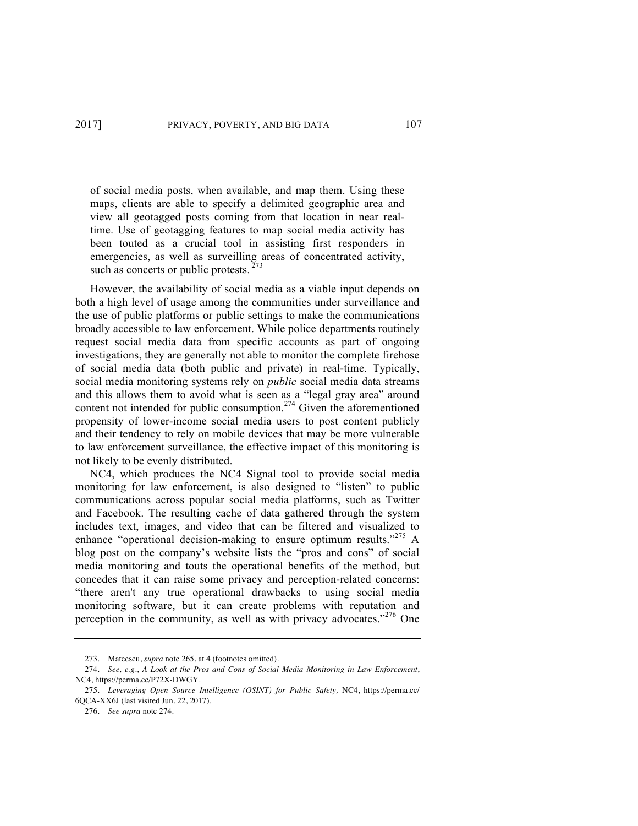of social media posts, when available, and map them. Using these maps, clients are able to specify a delimited geographic area and view all geotagged posts coming from that location in near realtime. Use of geotagging features to map social media activity has been touted as a crucial tool in assisting first responders in emergencies, as well as surveilling areas of concentrated activity, such as concerts or public protests.  $273$ 

However, the availability of social media as a viable input depends on both a high level of usage among the communities under surveillance and the use of public platforms or public settings to make the communications broadly accessible to law enforcement. While police departments routinely request social media data from specific accounts as part of ongoing investigations, they are generally not able to monitor the complete firehose of social media data (both public and private) in real-time. Typically, social media monitoring systems rely on *public* social media data streams and this allows them to avoid what is seen as a "legal gray area" around content not intended for public consumption.<sup>274</sup> Given the aforementioned propensity of lower-income social media users to post content publicly and their tendency to rely on mobile devices that may be more vulnerable to law enforcement surveillance, the effective impact of this monitoring is not likely to be evenly distributed.

NC4, which produces the NC4 Signal tool to provide social media monitoring for law enforcement, is also designed to "listen" to public communications across popular social media platforms, such as Twitter and Facebook. The resulting cache of data gathered through the system includes text, images, and video that can be filtered and visualized to enhance "operational decision-making to ensure optimum results."<sup>275</sup> A blog post on the company's website lists the "pros and cons" of social media monitoring and touts the operational benefits of the method, but concedes that it can raise some privacy and perception-related concerns: "there aren't any true operational drawbacks to using social media monitoring software, but it can create problems with reputation and perception in the community, as well as with privacy advocates."<sup>276</sup> One

<sup>273.</sup> Mateescu, *supra* note 265, at 4 (footnotes omitted).

<sup>274.</sup> *See, e.g.*, *A Look at the Pros and Cons of Social Media Monitoring in Law Enforcement*, NC4, https://perma.cc/P72X-DWGY.

<sup>275.</sup> *Leveraging Open Source Intelligence (OSINT) for Public Safety,* NC4, https://perma.cc/ 6QCA-XX6J (last visited Jun. 22, 2017).

<sup>276.</sup> *See supra* note 274*.*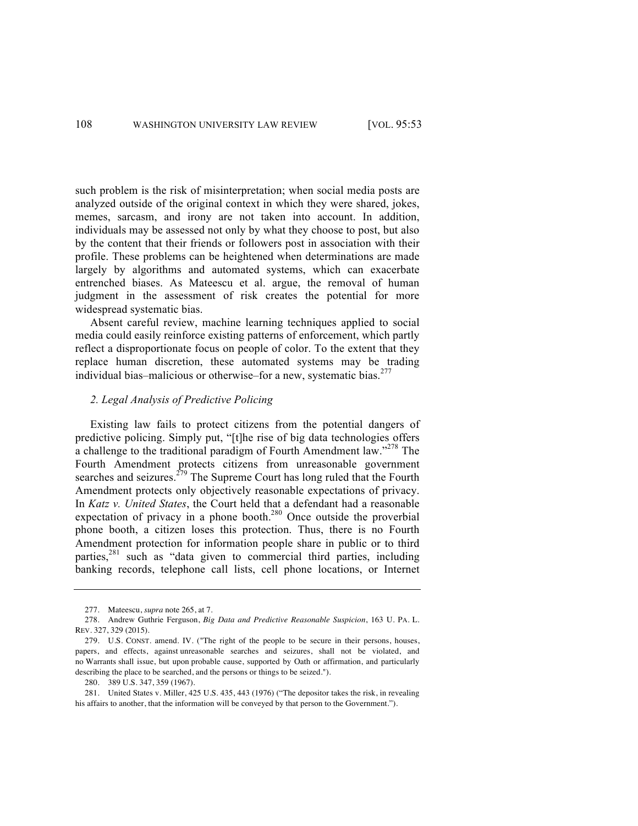such problem is the risk of misinterpretation; when social media posts are analyzed outside of the original context in which they were shared, jokes, memes, sarcasm, and irony are not taken into account. In addition, individuals may be assessed not only by what they choose to post, but also by the content that their friends or followers post in association with their profile. These problems can be heightened when determinations are made largely by algorithms and automated systems, which can exacerbate entrenched biases. As Mateescu et al. argue, the removal of human judgment in the assessment of risk creates the potential for more widespread systematic bias.

Absent careful review, machine learning techniques applied to social media could easily reinforce existing patterns of enforcement, which partly reflect a disproportionate focus on people of color. To the extent that they replace human discretion, these automated systems may be trading individual bias–malicious or otherwise–for a new, systematic bias.<sup>277</sup>

## *2. Legal Analysis of Predictive Policing*

Existing law fails to protect citizens from the potential dangers of predictive policing. Simply put, "[t]he rise of big data technologies offers a challenge to the traditional paradigm of Fourth Amendment law."<sup>278</sup> The Fourth Amendment protects citizens from unreasonable government searches and seizures.<sup> $279$ </sup> The Supreme Court has long ruled that the Fourth Amendment protects only objectively reasonable expectations of privacy. In *Katz v. United States*, the Court held that a defendant had a reasonable expectation of privacy in a phone booth.<sup>280</sup> Once outside the proverbial phone booth, a citizen loses this protection. Thus, there is no Fourth Amendment protection for information people share in public or to third parties, $281$  such as "data given to commercial third parties, including banking records, telephone call lists, cell phone locations, or Internet

<sup>277.</sup> Mateescu, *supra* note 265, at 7.

<sup>278.</sup> Andrew Guthrie Ferguson, *Big Data and Predictive Reasonable Suspicion*, 163 U. PA. L. REV. 327, 329 (2015).

<sup>279.</sup> U.S. CONST. amend. IV. ("The right of the people to be secure in their persons, houses, papers, and effects, against unreasonable searches and seizures, shall not be violated, and no Warrants shall issue, but upon probable cause, supported by Oath or affirmation, and particularly describing the place to be searched, and the persons or things to be seized.").

<sup>280.</sup> 389 U.S. 347, 359 (1967).

<sup>281.</sup> United States v. Miller, 425 U.S. 435, 443 (1976) ("The depositor takes the risk, in revealing his affairs to another, that the information will be conveyed by that person to the Government.").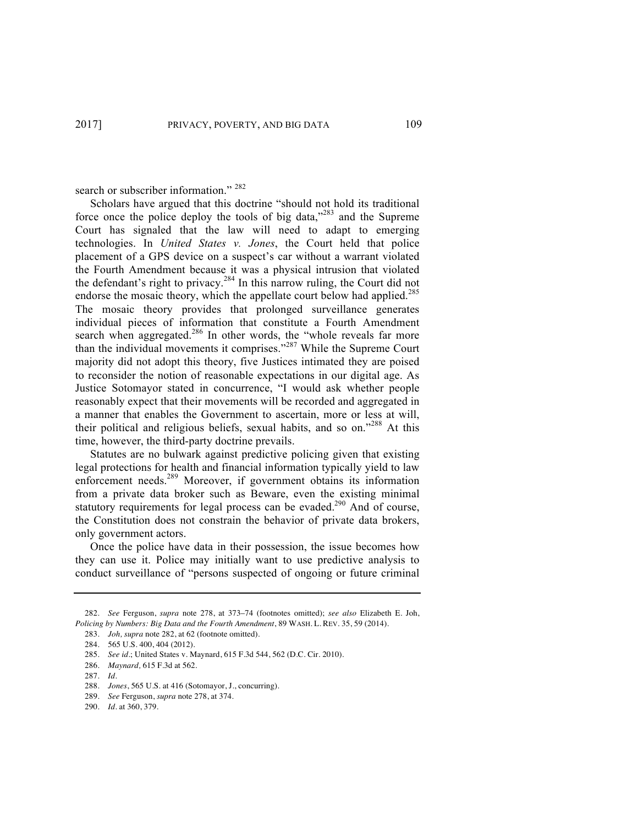search or subscriber information." <sup>282</sup>

Scholars have argued that this doctrine "should not hold its traditional force once the police deploy the tools of big data, $^{283}$  and the Supreme Court has signaled that the law will need to adapt to emerging technologies. In *United States v. Jones*, the Court held that police placement of a GPS device on a suspect's car without a warrant violated the Fourth Amendment because it was a physical intrusion that violated the defendant's right to privacy.<sup>284</sup> In this narrow ruling, the Court did not endorse the mosaic theory, which the appellate court below had applied.<sup>285</sup> The mosaic theory provides that prolonged surveillance generates individual pieces of information that constitute a Fourth Amendment search when aggregated.<sup>286</sup> In other words, the "whole reveals far more than the individual movements it comprises."<sup>287</sup> While the Supreme Court majority did not adopt this theory, five Justices intimated they are poised to reconsider the notion of reasonable expectations in our digital age. As Justice Sotomayor stated in concurrence, "I would ask whether people reasonably expect that their movements will be recorded and aggregated in a manner that enables the Government to ascertain, more or less at will, their political and religious beliefs, sexual habits, and so on."<sup>288</sup> At this time, however, the third-party doctrine prevails.

Statutes are no bulwark against predictive policing given that existing legal protections for health and financial information typically yield to law enforcement needs.<sup>289</sup> Moreover, if government obtains its information from a private data broker such as Beware, even the existing minimal statutory requirements for legal process can be evaded.<sup>290</sup> And of course, the Constitution does not constrain the behavior of private data brokers, only government actors.

Once the police have data in their possession, the issue becomes how they can use it. Police may initially want to use predictive analysis to conduct surveillance of "persons suspected of ongoing or future criminal

<sup>282.</sup> *See* Ferguson, *supra* note 278, at 373–74 (footnotes omitted); *see also* Elizabeth E. Joh, *Policing by Numbers: Big Data and the Fourth Amendment*, 89 WASH. L. REV. 35, 59 (2014).

<sup>283.</sup> *Joh, supra* note 282, at 62 (footnote omitted).

<sup>284.</sup> 565 U.S. 400, 404 (2012).

<sup>285.</sup> *See id.*; United States v. Maynard, 615 F.3d 544, 562 (D.C. Cir. 2010).

<sup>286.</sup> *Maynard,* 615 F.3d at 562.

<sup>287.</sup> *Id*.

<sup>288.</sup> *Jones*, 565 U.S. at 416 (Sotomayor, J., concurring).

<sup>289.</sup> *See* Ferguson, *supra* note 278, at 374.

<sup>290.</sup> *Id.* at 360, 379.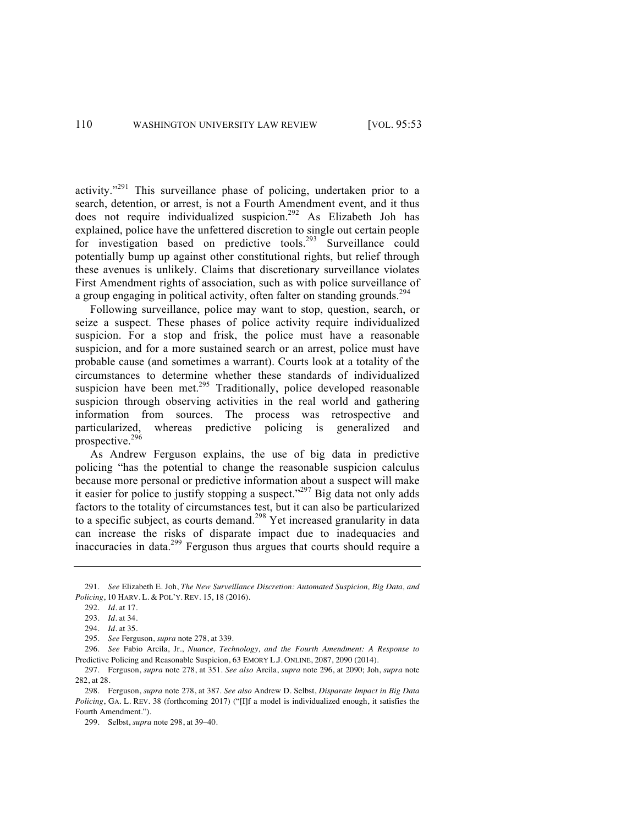activity."<sup>291</sup> This surveillance phase of policing, undertaken prior to a search, detention, or arrest, is not a Fourth Amendment event, and it thus does not require individualized suspicion.<sup>292</sup> As Elizabeth Joh has explained, police have the unfettered discretion to single out certain people for investigation based on predictive tools.<sup>293</sup> Surveillance could potentially bump up against other constitutional rights, but relief through these avenues is unlikely. Claims that discretionary surveillance violates First Amendment rights of association, such as with police surveillance of a group engaging in political activity, often falter on standing grounds.<sup>294</sup>

Following surveillance, police may want to stop, question, search, or seize a suspect. These phases of police activity require individualized suspicion. For a stop and frisk, the police must have a reasonable suspicion, and for a more sustained search or an arrest, police must have probable cause (and sometimes a warrant). Courts look at a totality of the circumstances to determine whether these standards of individualized suspicion have been met.<sup>295</sup> Traditionally, police developed reasonable suspicion through observing activities in the real world and gathering information from sources. The process was retrospective and particularized, whereas predictive policing is generalized and prospective.296

As Andrew Ferguson explains, the use of big data in predictive policing "has the potential to change the reasonable suspicion calculus because more personal or predictive information about a suspect will make it easier for police to justify stopping a suspect."<sup>297</sup> Big data not only adds factors to the totality of circumstances test, but it can also be particularized to a specific subject, as courts demand.<sup>298</sup> Yet increased granularity in data can increase the risks of disparate impact due to inadequacies and inaccuracies in data.<sup>299</sup> Ferguson thus argues that courts should require a

<sup>291.</sup> *See* Elizabeth E. Joh, *The New Surveillance Discretion: Automated Suspicion, Big Data, and Policing*, 10 HARV. L. & POL'Y. REV. 15, 18 (2016).

<sup>292.</sup> *Id.* at 17.

<sup>293.</sup> *Id*. at 34.

<sup>294.</sup> *Id*. at 35.

<sup>295.</sup> *See* Ferguson, *supra* note 278, at 339.

<sup>296.</sup> *See* Fabio Arcila, Jr., *Nuance, Technology, and the Fourth Amendment: A Response to*  Predictive Policing and Reasonable Suspicion, 63 EMORY L.J. ONLINE, 2087, 2090 (2014).

<sup>297.</sup> Ferguson, *supra* note 278, at 351. *See also* Arcila, *supra* note 296, at 2090; Joh, *supra* note 282, at 28.

<sup>298.</sup> Ferguson, *supra* note 278, at 387. *See also* Andrew D. Selbst, *Disparate Impact in Big Data Policing*, GA. L. REV. 38 (forthcoming 2017) ("[I]f a model is individualized enough, it satisfies the Fourth Amendment.").

<sup>299.</sup> Selbst, *supra* note 298, at 39–40.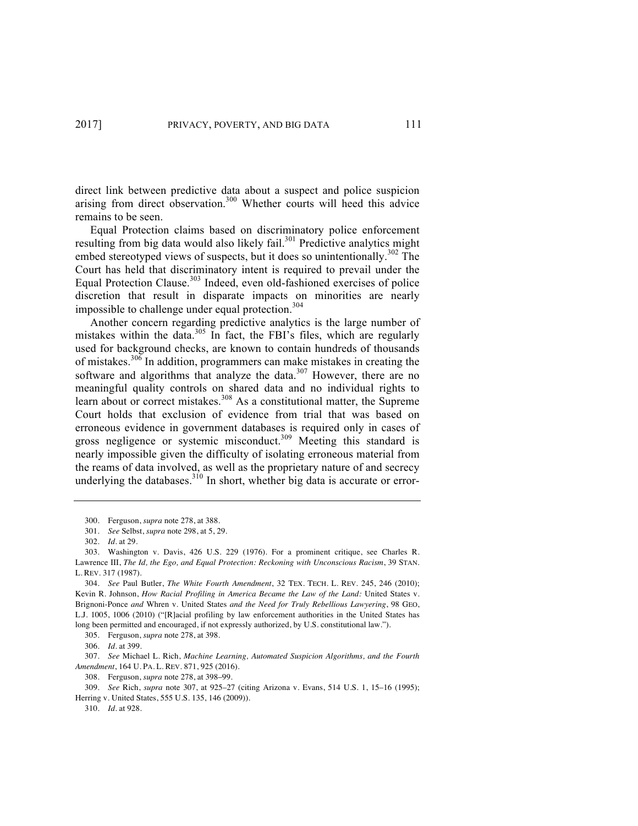direct link between predictive data about a suspect and police suspicion arising from direct observation.<sup>300</sup> Whether courts will heed this advice remains to be seen.

Equal Protection claims based on discriminatory police enforcement resulting from big data would also likely fail. $301$  Predictive analytics might embed stereotyped views of suspects, but it does so unintentionally.<sup>302</sup> The Court has held that discriminatory intent is required to prevail under the Equal Protection Clause. $303$  Indeed, even old-fashioned exercises of police discretion that result in disparate impacts on minorities are nearly impossible to challenge under equal protection.<sup>304</sup>

Another concern regarding predictive analytics is the large number of mistakes within the data. $305$  In fact, the FBI's files, which are regularly used for background checks, are known to contain hundreds of thousands of mistakes.<sup>306</sup> In addition, programmers can make mistakes in creating the software and algorithms that analyze the data.<sup>307</sup> However, there are no meaningful quality controls on shared data and no individual rights to learn about or correct mistakes.<sup>308</sup> As a constitutional matter, the Supreme Court holds that exclusion of evidence from trial that was based on erroneous evidence in government databases is required only in cases of gross negligence or systemic misconduct.<sup>309</sup> Meeting this standard is nearly impossible given the difficulty of isolating erroneous material from the reams of data involved, as well as the proprietary nature of and secrecy underlying the databases.<sup>310</sup> In short, whether big data is accurate or error-

305. Ferguson, *supra* note 278, at 398.

306. *Id*. at 399.

307. *See* Michael L. Rich, *Machine Learning, Automated Suspicion Algorithms, and the Fourth Amendment*, 164 U. PA. L. REV. 871, 925 (2016).

308. Ferguson, *supra* note 278, at 398–99.

309. *See* Rich, *supra* note 307, at 925–27 (citing Arizona v. Evans, 514 U.S. 1, 15–16 (1995); Herring v. United States, 555 U.S. 135, 146 (2009)).

310. *Id.* at 928.

<sup>300.</sup> Ferguson, *supra* note 278, at 388.

<sup>301.</sup> *See* Selbst, *supra* note 298, at 5, 29.

<sup>302.</sup> *Id*. at 29.

<sup>303.</sup> Washington v. Davis, 426 U.S. 229 (1976). For a prominent critique, see Charles R. Lawrence III, *The Id, the Ego, and Equal Protection: Reckoning with Unconscious Racism*, 39 STAN. L. REV. 317 (1987).

<sup>304.</sup> *See* Paul Butler, *The White Fourth Amendment*, 32 TEX. TECH. L. REV. 245, 246 (2010); Kevin R. Johnson, *How Racial Profiling in America Became the Law of the Land:* United States v. Brignoni-Ponce *and* Whren v. United States *and the Need for Truly Rebellious Lawyering*, 98 GEO, L.J. 1005, 1006 (2010) ("[R]acial profiling by law enforcement authorities in the United States has long been permitted and encouraged, if not expressly authorized, by U.S. constitutional law.").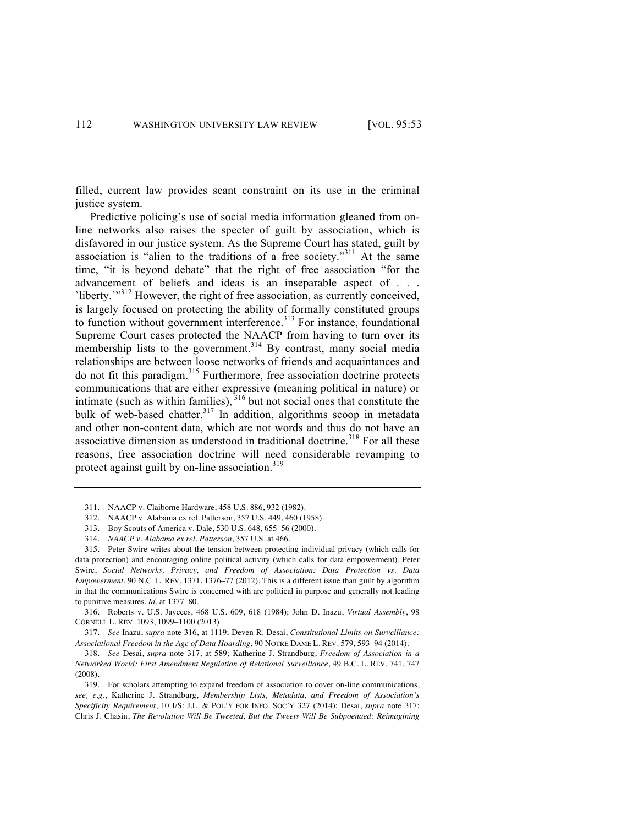filled, current law provides scant constraint on its use in the criminal justice system.

Predictive policing's use of social media information gleaned from online networks also raises the specter of guilt by association, which is disfavored in our justice system. As the Supreme Court has stated, guilt by association is "alien to the traditions of a free society."<sup>311</sup> At the same time, "it is beyond debate" that the right of free association "for the advancement of beliefs and ideas is an inseparable aspect of . . . `liberty.'"<sup>312</sup> However, the right of free association, as currently conceived, is largely focused on protecting the ability of formally constituted groups to function without government interference.<sup>313</sup> For instance, foundational Supreme Court cases protected the NAACP from having to turn over its membership lists to the government.<sup>314</sup> By contrast, many social media relationships are between loose networks of friends and acquaintances and do not fit this paradigm.<sup>315</sup> Furthermore, free association doctrine protects communications that are either expressive (meaning political in nature) or intimate (such as within families),  $316$  but not social ones that constitute the bulk of web-based chatter.<sup>317</sup> In addition, algorithms scoop in metadata and other non-content data, which are not words and thus do not have an associative dimension as understood in traditional doctrine.<sup>318</sup> For all these reasons, free association doctrine will need considerable revamping to protect against guilt by on-line association. $319$ 

- 313. Boy Scouts of America v. Dale, 530 U.S. 648, 655–56 (2000).
- 314. *NAACP v. Alabama ex rel. Patterson*, 357 U.S. at 466.

315. Peter Swire writes about the tension between protecting individual privacy (which calls for data protection) and encouraging online political activity (which calls for data empowerment). Peter Swire, *Social Networks, Privacy, and Freedom of Association: Data Protection vs. Data Empowerment*, 90 N.C. L. REV. 1371, 1376–77 (2012). This is a different issue than guilt by algorithm in that the communications Swire is concerned with are political in purpose and generally not leading to punitive measures. *Id*. at 1377–80.

316. Roberts v. U.S. Jaycees, 468 U.S. 609, 618 (1984); John D. Inazu, *Virtual Assembly*, 98 CORNELL L. REV. 1093, 1099–1100 (2013).

317. *See* Inazu, *supra* note 316, at 1119; Deven R. Desai, *Constitutional Limits on Surveillance: Associational Freedom in the Age of Data Hoarding,* 90 NOTRE DAME L. REV. 579, 593–94 (2014).

318. *See* Desai, *supra* note 317, at 589; Katherine J. Strandburg, *Freedom of Association in a Networked World: First Amendment Regulation of Relational Surveillance*, 49 B.C. L. REV. 741, 747 (2008).

319. For scholars attempting to expand freedom of association to cover on-line communications, *see, e.g.*, Katherine J. Strandburg, *Membership Lists, Metadata, and Freedom of Association's Specificity Requirement*, 10 I/S: J.L. & POL'Y FOR INFO. SOC'Y 327 (2014); Desai, *supra* note 317; Chris J. Chasin, *The Revolution Will Be Tweeted, But the Tweets Will Be Subpoenaed: Reimagining* 

<sup>311.</sup> NAACP v. Claiborne Hardware, 458 U.S. 886, 932 (1982).

<sup>312.</sup> NAACP v. Alabama ex rel. Patterson, 357 U.S. 449, 460 (1958).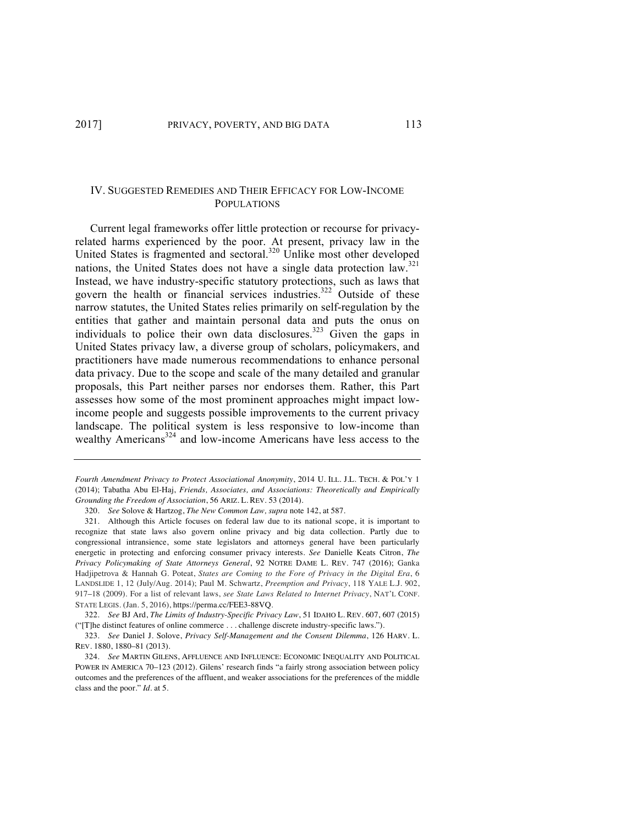# IV. SUGGESTED REMEDIES AND THEIR EFFICACY FOR LOW-INCOME POPULATIONS

Current legal frameworks offer little protection or recourse for privacyrelated harms experienced by the poor. At present, privacy law in the United States is fragmented and sectoral.<sup>320</sup> Unlike most other developed nations, the United States does not have a single data protection law.<sup>321</sup> Instead, we have industry-specific statutory protections, such as laws that govern the health or financial services industries.<sup>322</sup> Outside of these narrow statutes, the United States relies primarily on self-regulation by the entities that gather and maintain personal data and puts the onus on individuals to police their own data disclosures.<sup>323</sup> Given the gaps in United States privacy law, a diverse group of scholars, policymakers, and practitioners have made numerous recommendations to enhance personal data privacy. Due to the scope and scale of the many detailed and granular proposals, this Part neither parses nor endorses them. Rather, this Part assesses how some of the most prominent approaches might impact lowincome people and suggests possible improvements to the current privacy landscape. The political system is less responsive to low-income than wealthy Americans<sup>324</sup> and low-income Americans have less access to the

*Fourth Amendment Privacy to Protect Associational Anonymity*, 2014 U. ILL. J.L. TECH. & POL'Y 1 (2014); Tabatha Abu El-Haj, *Friends, Associates, and Associations: Theoretically and Empirically Grounding the Freedom of Association*, 56 ARIZ. L. REV. 53 (2014).

320. *See* Solove & Hartzog, *The New Common Law, supra* note 142, at 587.

321. Although this Article focuses on federal law due to its national scope, it is important to recognize that state laws also govern online privacy and big data collection. Partly due to congressional intransience, some state legislators and attorneys general have been particularly energetic in protecting and enforcing consumer privacy interests. *See* Danielle Keats Citron, *The Privacy Policymaking of State Attorneys General*, 92 NOTRE DAME L. REV. 747 (2016); Ganka Hadjipetrova & Hannah G. Poteat, *States are Coming to the Fore of Privacy in the Digital Era*, 6 LANDSLIDE 1, 12 (July/Aug. 2014); Paul M. Schwartz, *Preemption and Privacy*, 118 YALE L.J. 902, 917–18 (2009). For a list of relevant laws, *see State Laws Related to Internet Privacy*, NAT'L CONF. STATE LEGIS. (Jan. 5, 2016), https://perma.cc/FEE3-88VQ.

322. *See* BJ Ard, *The Limits of Industry-Specific Privacy Law*, 51 IDAHO L. REV. 607, 607 (2015) ("[T]he distinct features of online commerce . . . challenge discrete industry-specific laws.").

323. *See* Daniel J. Solove, *Privacy Self-Management and the Consent Dilemma*, 126 HARV. L. REV. 1880, 1880–81 (2013).

324. *See* MARTIN GILENS, AFFLUENCE AND INFLUENCE: ECONOMIC INEQUALITY AND POLITICAL POWER IN AMERICA 70–123 (2012). Gilens' research finds "a fairly strong association between policy outcomes and the preferences of the affluent, and weaker associations for the preferences of the middle class and the poor." *Id*. at 5.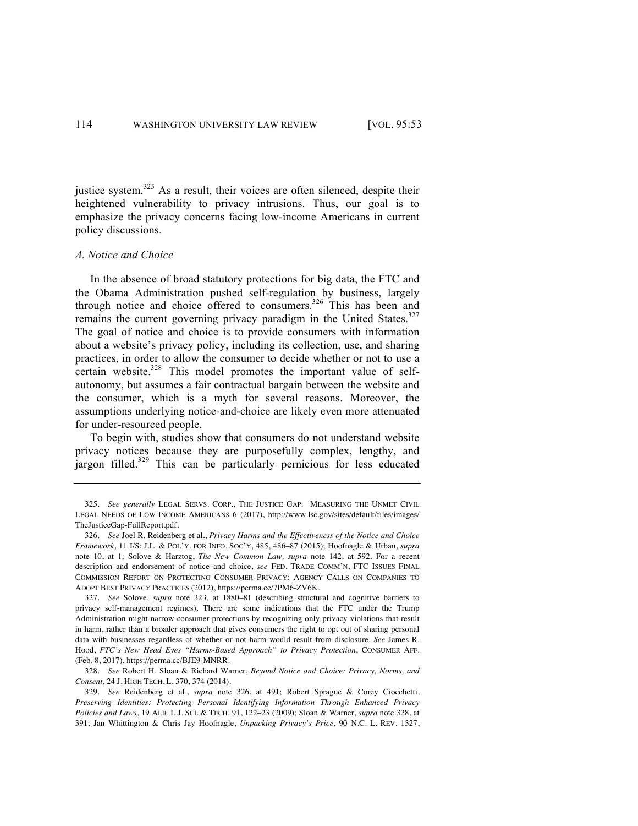justice system.<sup>325</sup> As a result, their voices are often silenced, despite their heightened vulnerability to privacy intrusions. Thus, our goal is to emphasize the privacy concerns facing low-income Americans in current policy discussions.

### *A. Notice and Choice*

In the absence of broad statutory protections for big data, the FTC and the Obama Administration pushed self-regulation by business, largely through notice and choice offered to consumers.<sup>326</sup> This has been and remains the current governing privacy paradigm in the United States.<sup>327</sup> The goal of notice and choice is to provide consumers with information about a website's privacy policy, including its collection, use, and sharing practices, in order to allow the consumer to decide whether or not to use a certain website.<sup>328</sup> This model promotes the important value of selfautonomy, but assumes a fair contractual bargain between the website and the consumer, which is a myth for several reasons. Moreover, the assumptions underlying notice-and-choice are likely even more attenuated for under-resourced people.

To begin with, studies show that consumers do not understand website privacy notices because they are purposefully complex, lengthy, and jargon filled.<sup>329</sup> This can be particularly pernicious for less educated

<sup>325.</sup> *See generally* LEGAL SERVS. CORP., THE JUSTICE GAP: MEASURING THE UNMET CIVIL LEGAL NEEDS OF LOW-INCOME AMERICANS 6 (2017), http://www.lsc.gov/sites/default/files/images/ TheJusticeGap-FullReport.pdf.

<sup>326.</sup> *See* Joel R. Reidenberg et al., *Privacy Harms and the Effectiveness of the Notice and Choice Framework*, 11 I/S: J.L. & POL'Y. FOR INFO. SOC'Y, 485, 486–87 (2015); Hoofnagle & Urban, *supra* note 10, at 1; Solove & Harztog, *The New Common Law, supra* note 142, at 592. For a recent description and endorsement of notice and choice, *see* FED. TRADE COMM'N, FTC ISSUES FINAL COMMISSION REPORT ON PROTECTING CONSUMER PRIVACY: AGENCY CALLS ON COMPANIES TO ADOPT BEST PRIVACY PRACTICES (2012), https://perma.cc/7PM6-ZV6K.

<sup>327.</sup> *See* Solove, *supra* note 323, at 1880–81 (describing structural and cognitive barriers to privacy self-management regimes). There are some indications that the FTC under the Trump Administration might narrow consumer protections by recognizing only privacy violations that result in harm, rather than a broader approach that gives consumers the right to opt out of sharing personal data with businesses regardless of whether or not harm would result from disclosure. *See* James R. Hood, *FTC's New Head Eyes "Harms-Based Approach" to Privacy Protection*, CONSUMER AFF. (Feb. 8, 2017), https://perma.cc/BJE9-MNRR.

<sup>328.</sup> *See* Robert H. Sloan & Richard Warner, *Beyond Notice and Choice: Privacy, Norms, and Consent*, 24 J. HIGH TECH. L. 370, 374 (2014).

<sup>329.</sup> *See* Reidenberg et al., *supra* note 326, at 491; Robert Sprague & Corey Ciocchetti, *Preserving Identities: Protecting Personal Identifying Information Through Enhanced Privacy Policies and Laws*, 19 ALB. L.J. SCI. & TECH. 91, 122–23 (2009); Sloan & Warner, *supra* note 328, at 391; Jan Whittington & Chris Jay Hoofnagle, *Unpacking Privacy's Price*, 90 N.C. L. REV. 1327,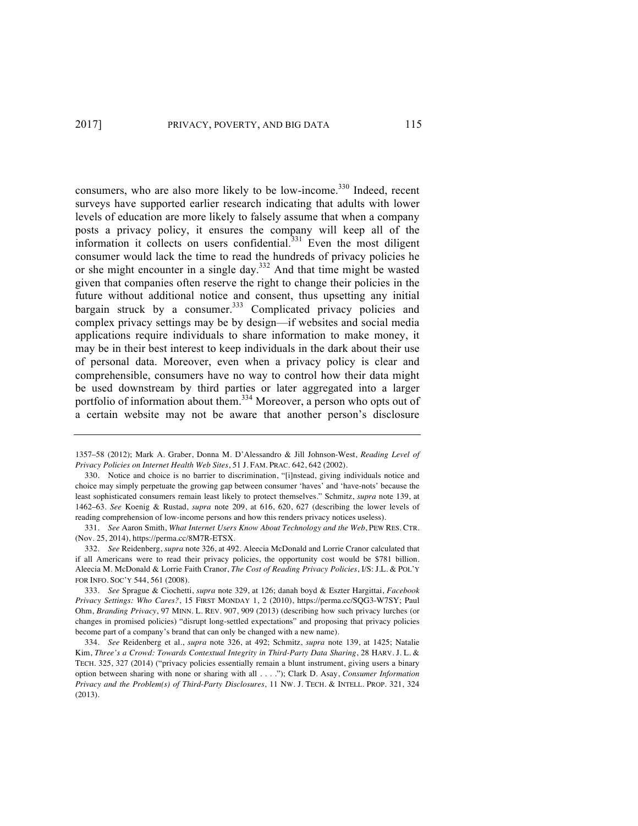consumers, who are also more likely to be low-income.<sup>330</sup> Indeed, recent surveys have supported earlier research indicating that adults with lower levels of education are more likely to falsely assume that when a company posts a privacy policy, it ensures the company will keep all of the information it collects on users confidential.<sup>331</sup> Even the most diligent consumer would lack the time to read the hundreds of privacy policies he or she might encounter in a single day.<sup>332</sup> And that time might be wasted given that companies often reserve the right to change their policies in the future without additional notice and consent, thus upsetting any initial bargain struck by a consumer. $333$  Complicated privacy policies and complex privacy settings may be by design—if websites and social media applications require individuals to share information to make money, it may be in their best interest to keep individuals in the dark about their use of personal data. Moreover, even when a privacy policy is clear and comprehensible, consumers have no way to control how their data might be used downstream by third parties or later aggregated into a larger portfolio of information about them.334 Moreover, a person who opts out of a certain website may not be aware that another person's disclosure

<sup>1357–58 (2012);</sup> Mark A. Graber, Donna M. D'Alessandro & Jill Johnson-West, *Reading Level of Privacy Policies on Internet Health Web Sites*, 51 J. FAM. PRAC. 642, 642 (2002).

<sup>330.</sup> Notice and choice is no barrier to discrimination, "[i]nstead, giving individuals notice and choice may simply perpetuate the growing gap between consumer 'haves' and 'have-nots' because the least sophisticated consumers remain least likely to protect themselves." Schmitz, *supra* note 139, at 1462–63. *See* Koenig & Rustad, *supra* note 209, at 616, 620, 627 (describing the lower levels of reading comprehension of low-income persons and how this renders privacy notices useless).

<sup>331.</sup> *See* Aaron Smith, *What Internet Users Know About Technology and the Web*, PEW RES. CTR. (Nov. 25, 2014), https://perma.cc/8M7R-ETSX.

<sup>332.</sup> *See* Reidenberg, *supra* note 326, at 492. Aleecia McDonald and Lorrie Cranor calculated that if all Americans were to read their privacy policies, the opportunity cost would be \$781 billion. Aleecia M. McDonald & Lorrie Faith Cranor, *The Cost of Reading Privacy Policies*, I/S: J.L. & POL'Y FOR INFO. SOC'Y 544, 561 (2008).

<sup>333.</sup> *See* Sprague & Ciochetti, *supra* note 329, at 126; danah boyd & Eszter Hargittai, *Facebook Privacy Settings: Who Cares?*, 15 FIRST MONDAY 1, 2 (2010), https://perma.cc/SQG3-W7SY; Paul Ohm, *Branding Privacy*, 97 MINN. L. REV. 907, 909 (2013) (describing how such privacy lurches (or changes in promised policies) "disrupt long-settled expectations" and proposing that privacy policies become part of a company's brand that can only be changed with a new name).

<sup>334.</sup> *See* Reidenberg et al., *supra* note 326, at 492; Schmitz, *supra* note 139, at 1425; Natalie Kim, *Three's a Crowd: Towards Contextual Integrity in Third-Party Data Sharing*, 28 HARV. J. L. & TECH. 325, 327 (2014) ("privacy policies essentially remain a blunt instrument, giving users a binary option between sharing with none or sharing with all . . . ."); Clark D. Asay, *Consumer Information Privacy and the Problem(s) of Third-Party Disclosures*, 11 NW. J. TECH. & INTELL. PROP. 321, 324 (2013).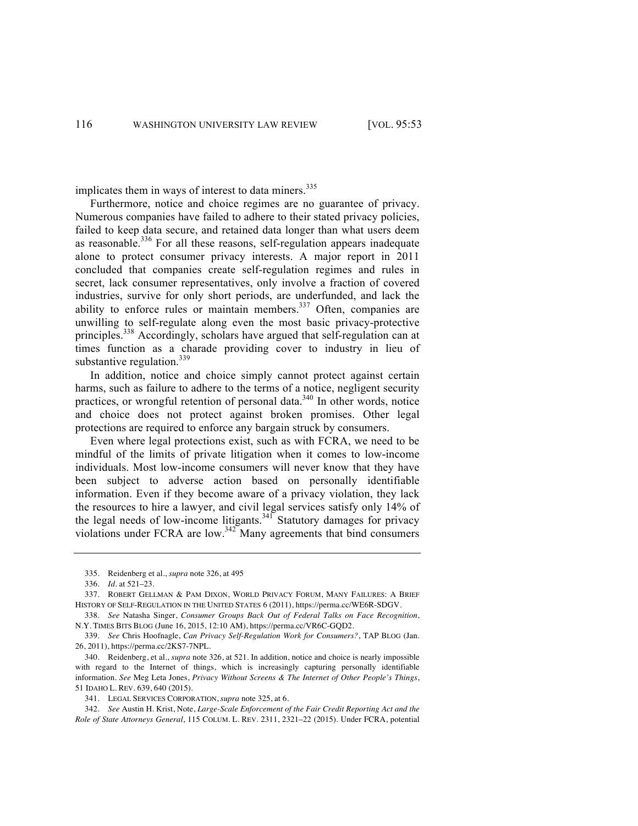implicates them in ways of interest to data miners.<sup>335</sup>

Furthermore, notice and choice regimes are no guarantee of privacy. Numerous companies have failed to adhere to their stated privacy policies, failed to keep data secure, and retained data longer than what users deem as reasonable.<sup>336</sup> For all these reasons, self-regulation appears inadequate alone to protect consumer privacy interests. A major report in 2011 concluded that companies create self-regulation regimes and rules in secret, lack consumer representatives, only involve a fraction of covered industries, survive for only short periods, are underfunded, and lack the ability to enforce rules or maintain members.<sup>337</sup> Often, companies are unwilling to self-regulate along even the most basic privacy-protective principles.338 Accordingly, scholars have argued that self-regulation can at times function as a charade providing cover to industry in lieu of substantive regulation. $339$ 

In addition, notice and choice simply cannot protect against certain harms, such as failure to adhere to the terms of a notice, negligent security practices, or wrongful retention of personal data.<sup>340</sup> In other words, notice and choice does not protect against broken promises. Other legal protections are required to enforce any bargain struck by consumers.

Even where legal protections exist, such as with FCRA, we need to be mindful of the limits of private litigation when it comes to low-income individuals. Most low-income consumers will never know that they have been subject to adverse action based on personally identifiable information. Even if they become aware of a privacy violation, they lack the resources to hire a lawyer, and civil legal services satisfy only 14% of the legal needs of low-income litigants.<sup>341</sup> Statutory damages for privacy violations under FCRA are low.<sup>342</sup> Many agreements that bind consumers

<sup>335.</sup> Reidenberg et al., *supra* note 326, at 495

<sup>336.</sup> *Id.* at 521–23.

<sup>337.</sup> ROBERT GELLMAN & PAM DIXON, WORLD PRIVACY FORUM, MANY FAILURES: A BRIEF HISTORY OF SELF-REGULATION IN THE UNITED STATES 6 (2011), https://perma.cc/WE6R-SDGV.

<sup>338.</sup> *See* Natasha Singer, *Consumer Groups Back Out of Federal Talks on Face Recognition*, N.Y. TIMES BITS BLOG (June 16, 2015, 12:10 AM), https://perma.cc/VR6C-GQD2.

<sup>339.</sup> *See* Chris Hoofnagle, *Can Privacy Self-Regulation Work for Consumers?*, TAP BLOG (Jan. 26, 2011), https://perma.cc/2KS7-7NPL.

<sup>340.</sup> Reidenberg, et al., *supra* note 326, at 521. In addition, notice and choice is nearly impossible with regard to the Internet of things, which is increasingly capturing personally identifiable information. *See* Meg Leta Jones, *Privacy Without Screens & The Internet of Other People's Things*, 51 IDAHO L. REV. 639, 640 (2015).

<sup>341.</sup> LEGAL SERVICES CORPORATION, *supra* note 325, at 6.

<sup>342.</sup> *See* Austin H. Krist, Note, *Large-Scale Enforcement of the Fair Credit Reporting Act and the Role of State Attorneys General*, 115 COLUM. L. REV. 2311, 2321–22 (2015). Under FCRA, potential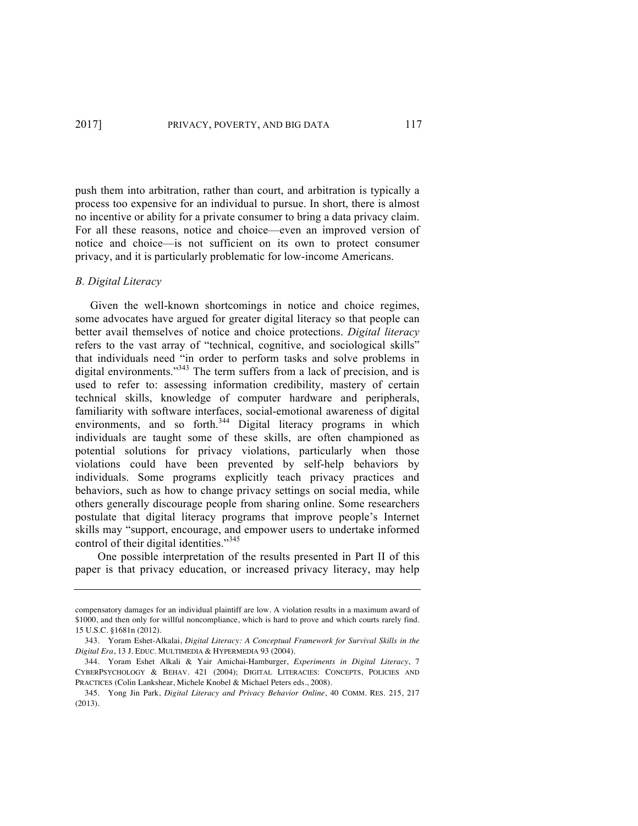push them into arbitration, rather than court, and arbitration is typically a process too expensive for an individual to pursue. In short, there is almost no incentive or ability for a private consumer to bring a data privacy claim. For all these reasons, notice and choice—even an improved version of notice and choice—is not sufficient on its own to protect consumer privacy, and it is particularly problematic for low-income Americans.

## *B. Digital Literacy*

Given the well-known shortcomings in notice and choice regimes, some advocates have argued for greater digital literacy so that people can better avail themselves of notice and choice protections. *Digital literacy* refers to the vast array of "technical, cognitive, and sociological skills" that individuals need "in order to perform tasks and solve problems in digital environments."<sup>343</sup> The term suffers from a lack of precision, and is used to refer to: assessing information credibility, mastery of certain technical skills, knowledge of computer hardware and peripherals, familiarity with software interfaces, social-emotional awareness of digital environments, and so forth.<sup>344</sup> Digital literacy programs in which individuals are taught some of these skills, are often championed as potential solutions for privacy violations, particularly when those violations could have been prevented by self-help behaviors by individuals. Some programs explicitly teach privacy practices and behaviors, such as how to change privacy settings on social media, while others generally discourage people from sharing online. Some researchers postulate that digital literacy programs that improve people's Internet skills may "support, encourage, and empower users to undertake informed control of their digital identities."<sup>345</sup>

One possible interpretation of the results presented in Part II of this paper is that privacy education, or increased privacy literacy, may help

compensatory damages for an individual plaintiff are low. A violation results in a maximum award of \$1000, and then only for willful noncompliance, which is hard to prove and which courts rarely find. 15 U.S.C. §1681n (2012).

<sup>343.</sup> Yoram Eshet-Alkalai, *Digital Literacy: A Conceptual Framework for Survival Skills in the Digital Era*, 13 J. EDUC. MULTIMEDIA & HYPERMEDIA 93 (2004).

<sup>344.</sup> Yoram Eshet Alkali & Yair Amichai-Hamburger, *Experiments in Digital Literacy*, 7 CYBERPSYCHOLOGY & BEHAV. 421 (2004); DIGITAL LITERACIES: CONCEPTS, POLICIES AND PRACTICES (Colin Lankshear, Michele Knobel & Michael Peters eds., 2008).

<sup>345.</sup> Yong Jin Park, *Digital Literacy and Privacy Behavior Online*, 40 COMM. RES. 215, 217 (2013).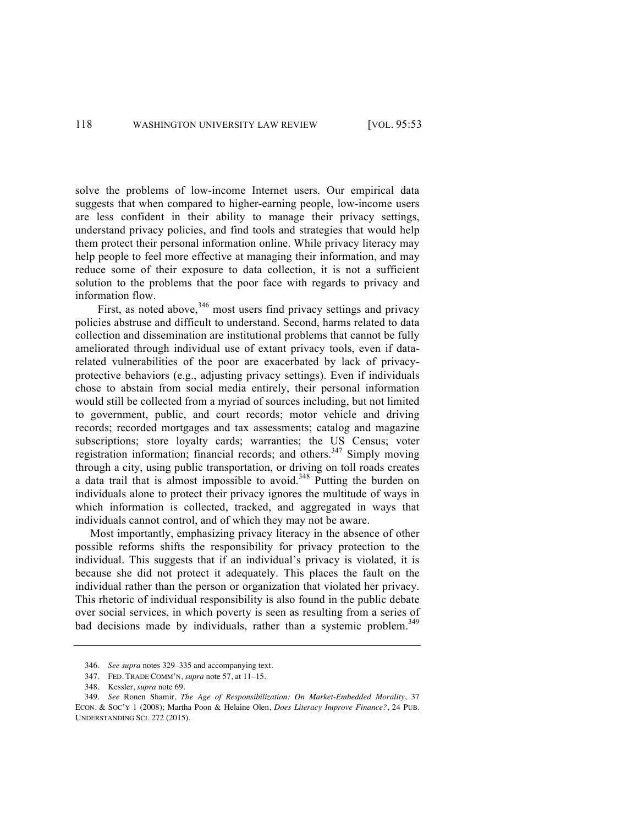solve the problems of low-income Internet users. Our empirical data suggests that when compared to higher-earning people, low-income users are less confident in their ability to manage their privacy settings, understand privacy policies, and find tools and strategies that would help them protect their personal information online. While privacy literacy may help people to feel more effective at managing their information, and may reduce some of their exposure to data collection, it is not a sufficient solution to the problems that the poor face with regards to privacy and information flow.

First, as noted above, $346$  most users find privacy settings and privacy policies abstruse and difficult to understand. Second, harms related to data collection and dissemination are institutional problems that cannot be fully ameliorated through individual use of extant privacy tools, even if datarelated vulnerabilities of the poor are exacerbated by lack of privacyprotective behaviors (e.g., adjusting privacy settings). Even if individuals chose to abstain from social media entirely, their personal information would still be collected from a myriad of sources including, but not limited to government, public, and court records; motor vehicle and driving records; recorded mortgages and tax assessments; catalog and magazine subscriptions; store loyalty cards; warranties; the US Census; voter registration information; financial records; and others.<sup>347</sup> Simply moving through a city, using public transportation, or driving on toll roads creates a data trail that is almost impossible to avoid.<sup>348</sup> Putting the burden on individuals alone to protect their privacy ignores the multitude of ways in which information is collected, tracked, and aggregated in ways that individuals cannot control, and of which they may not be aware.

Most importantly, emphasizing privacy literacy in the absence of other possible reforms shifts the responsibility for privacy protection to the individual. This suggests that if an individual's privacy is violated, it is because she did not protect it adequately. This places the fault on the individual rather than the person or organization that violated her privacy. This rhetoric of individual responsibility is also found in the public debate over social services, in which poverty is seen as resulting from a series of bad decisions made by individuals, rather than a systemic problem.<sup>349</sup>

<sup>346.</sup> *See supra* notes 329–335 and accompanying text.

<sup>347.</sup> FED. TRADE COMM'N, *supra* note 57, at 11–15.

<sup>348.</sup> Kessler, *supra* note 69.

<sup>349.</sup> *See* Ronen Shamir, *The Age of Responsibilization: On Market-Embedded Morality*, 37 ECON. & SOC'Y 1 (2008); Martha Poon & Helaine Olen, *Does Literacy Improve Finance?*, 24 PUB. UNDERSTANDING SCI. 272 (2015).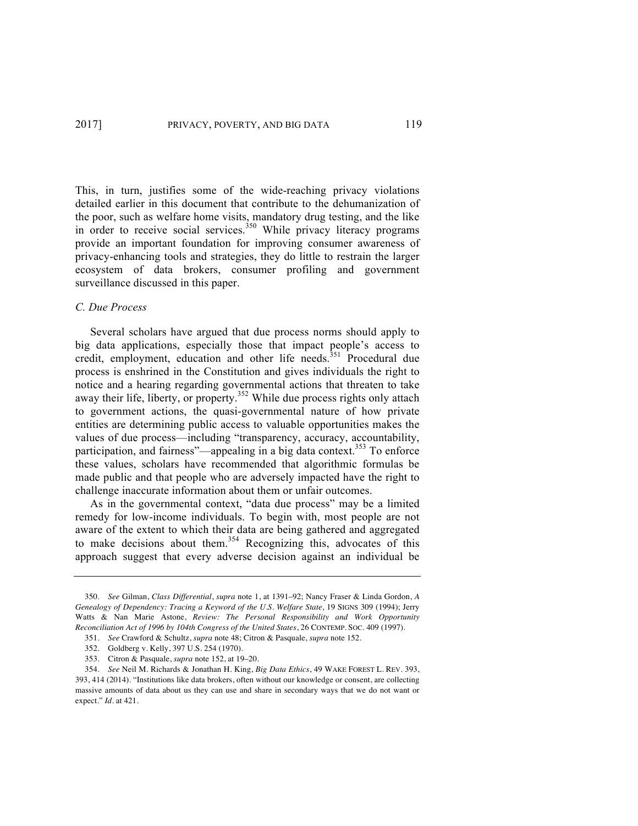This, in turn, justifies some of the wide-reaching privacy violations detailed earlier in this document that contribute to the dehumanization of the poor, such as welfare home visits, mandatory drug testing, and the like in order to receive social services.<sup>350</sup> While privacy literacy programs provide an important foundation for improving consumer awareness of privacy-enhancing tools and strategies, they do little to restrain the larger ecosystem of data brokers, consumer profiling and government surveillance discussed in this paper.

### *C. Due Process*

Several scholars have argued that due process norms should apply to big data applications, especially those that impact people's access to credit, employment, education and other life needs.<sup>351</sup> Procedural due process is enshrined in the Constitution and gives individuals the right to notice and a hearing regarding governmental actions that threaten to take away their life, liberty, or property.<sup>352</sup> While due process rights only attach to government actions, the quasi-governmental nature of how private entities are determining public access to valuable opportunities makes the values of due process—including "transparency, accuracy, accountability, participation, and fairness"—appealing in a big data context.<sup>353</sup> To enforce these values, scholars have recommended that algorithmic formulas be made public and that people who are adversely impacted have the right to challenge inaccurate information about them or unfair outcomes.

As in the governmental context, "data due process" may be a limited remedy for low-income individuals. To begin with, most people are not aware of the extent to which their data are being gathered and aggregated to make decisions about them.<sup>354</sup> Recognizing this, advocates of this approach suggest that every adverse decision against an individual be

<sup>350.</sup> *See* Gilman, *Class Differential*, *supra* note 1, at 1391–92; Nancy Fraser & Linda Gordon, *A Genealogy of Dependency: Tracing a Keyword of the U.S. Welfare State*, 19 SIGNS 309 (1994); Jerry Watts & Nan Marie Astone, *Review: The Personal Responsibility and Work Opportunity Reconciliation Act of 1996 by 104th Congress of the United States*, 26 CONTEMP. SOC. 409 (1997).

<sup>351.</sup> *See* Crawford & Schultz, *supra* note 48; Citron & Pasquale, *supra* note 152.

<sup>352.</sup> Goldberg v. Kelly, 397 U.S. 254 (1970).

<sup>353.</sup> Citron & Pasquale, *supra* note 152, at 19–20.

<sup>354.</sup> *See* Neil M. Richards & Jonathan H. King, *Big Data Ethics*, 49 WAKE FOREST L. REV. 393, 393, 414 (2014). "Institutions like data brokers, often without our knowledge or consent, are collecting massive amounts of data about us they can use and share in secondary ways that we do not want or expect." *Id*. at 421.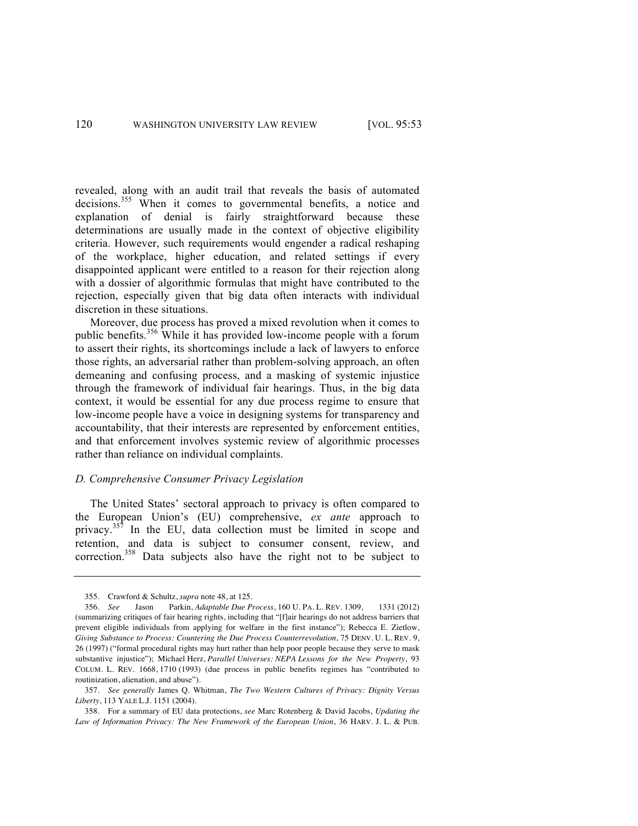revealed, along with an audit trail that reveals the basis of automated decisions.<sup>355</sup> When it comes to governmental benefits, a notice and explanation of denial is fairly straightforward because these determinations are usually made in the context of objective eligibility criteria. However, such requirements would engender a radical reshaping of the workplace, higher education, and related settings if every disappointed applicant were entitled to a reason for their rejection along with a dossier of algorithmic formulas that might have contributed to the rejection, especially given that big data often interacts with individual discretion in these situations.

Moreover, due process has proved a mixed revolution when it comes to public benefits.<sup>356</sup> While it has provided low-income people with a forum to assert their rights, its shortcomings include a lack of lawyers to enforce those rights, an adversarial rather than problem-solving approach, an often demeaning and confusing process, and a masking of systemic injustice through the framework of individual fair hearings. Thus, in the big data context, it would be essential for any due process regime to ensure that low-income people have a voice in designing systems for transparency and accountability, that their interests are represented by enforcement entities, and that enforcement involves systemic review of algorithmic processes rather than reliance on individual complaints.

### *D. Comprehensive Consumer Privacy Legislation*

The United States' sectoral approach to privacy is often compared to the European Union's (EU) comprehensive, *ex ante* approach to privacy.<sup>357</sup> In the EU, data collection must be limited in scope and retention, and data is subject to consumer consent, review, and correction.<sup>358</sup> Data subjects also have the right not to be subject to

<sup>355.</sup> Crawford & Schultz, *supra* note 48, at 125.

<sup>356.</sup> *See* Jason Parkin, *Adaptable Due Process*, 160 U. PA. L. REV. 1309, 1331 (2012) (summarizing critiques of fair hearing rights, including that "[f]air hearings do not address barriers that prevent eligible individuals from applying for welfare in the first instance"); Rebecca E. Zietlow, *Giving Substance to Process: Countering the Due Process Counterrevolution*, 75 DENV. U. L. REV. 9, 26 (1997) ("formal procedural rights may hurt rather than help poor people because they serve to mask substantive injustice"); Michael Herz, *Parallel Universes: NEPA Lessons for the New Property*, 93 COLUM. L. REV. 1668, 1710 (1993) (due process in public benefits regimes has "contributed to routinization, alienation, and abuse").

<sup>357.</sup> *See generally* James Q. Whitman, *The Two Western Cultures of Privacy: Dignity Versus Liberty*, 113 YALE L.J. 1151 (2004).

<sup>358.</sup> For a summary of EU data protections, *see* Marc Rotenberg & David Jacobs, *Updating the Law of Information Privacy: The New Framework of the European Union*, 36 HARV. J. L. & PUB.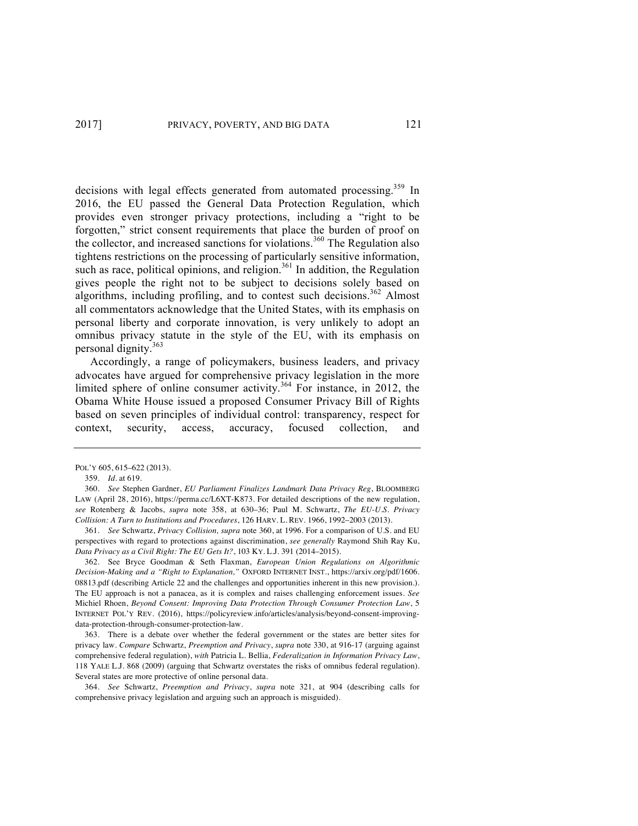decisions with legal effects generated from automated processing.<sup>359</sup> In 2016, the EU passed the General Data Protection Regulation, which provides even stronger privacy protections, including a "right to be forgotten," strict consent requirements that place the burden of proof on the collector, and increased sanctions for violations.<sup>360</sup> The Regulation also tightens restrictions on the processing of particularly sensitive information, such as race, political opinions, and religion. $361$  In addition, the Regulation gives people the right not to be subject to decisions solely based on algorithms, including profiling, and to contest such decisions.<sup>362</sup> Almost all commentators acknowledge that the United States, with its emphasis on personal liberty and corporate innovation, is very unlikely to adopt an omnibus privacy statute in the style of the EU, with its emphasis on personal dignity.363

Accordingly, a range of policymakers, business leaders, and privacy advocates have argued for comprehensive privacy legislation in the more limited sphere of online consumer activity.<sup>364</sup> For instance, in 2012, the Obama White House issued a proposed Consumer Privacy Bill of Rights based on seven principles of individual control: transparency, respect for context, security, access, accuracy, focused collection, and

361. *See* Schwartz, *Privacy Collision, supra* note 360, at 1996. For a comparison of U.S. and EU perspectives with regard to protections against discrimination, *see generally* Raymond Shih Ray Ku, *Data Privacy as a Civil Right: The EU Gets It?*, 103 KY. L.J. 391 (2014–2015).

362. See Bryce Goodman & Seth Flaxman, *European Union Regulations on Algorithmic Decision-Making and a "Right to Explanation,"* OXFORD INTERNET INST., https://arxiv.org/pdf/1606. 08813.pdf (describing Article 22 and the challenges and opportunities inherent in this new provision.). The EU approach is not a panacea, as it is complex and raises challenging enforcement issues. *See* Michiel Rhoen, *Beyond Consent: Improving Data Protection Through Consumer Protection Law*, 5 INTERNET POL'Y REV. (2016), https://policyreview.info/articles/analysis/beyond-consent-improvingdata-protection-through-consumer-protection-law.

363. There is a debate over whether the federal government or the states are better sites for privacy law. *Compare* Schwartz, *Preemption and Privacy*, *supra* note 330, at 916-17 (arguing against comprehensive federal regulation), *with* Patricia L. Bellia, *Federalization in Information Privacy Law*, 118 YALE L.J. 868 (2009) (arguing that Schwartz overstates the risks of omnibus federal regulation). Several states are more protective of online personal data.

364. *See* Schwartz, *Preemption and Privacy*, *supra* note 321, at 904 (describing calls for comprehensive privacy legislation and arguing such an approach is misguided).

POL'Y 605, 615–622 (2013).

<sup>359.</sup> *Id*. at 619.

<sup>360.</sup> *See* Stephen Gardner, *EU Parliament Finalizes Landmark Data Privacy Reg*, BLOOMBERG LAW (April 28, 2016), https://perma.cc/L6XT-K873. For detailed descriptions of the new regulation, *see* Rotenberg & Jacobs, *supra* note 358, at 630–36; Paul M. Schwartz, *The EU-U.S. Privacy Collision: A Turn to Institutions and Procedures*, 126 HARV. L. REV. 1966, 1992–2003 (2013).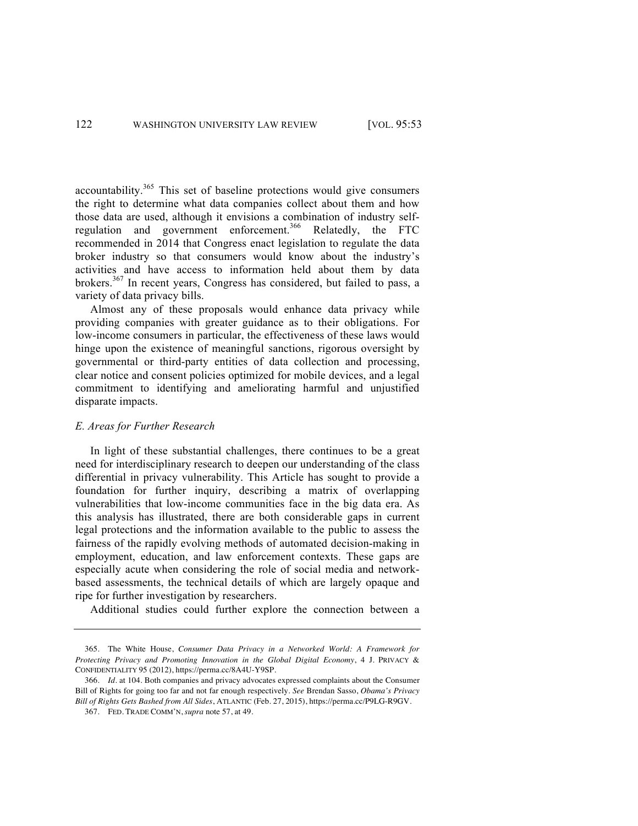accountability.<sup>365</sup> This set of baseline protections would give consumers the right to determine what data companies collect about them and how those data are used, although it envisions a combination of industry selfregulation and government enforcement.<sup>366</sup> Relatedly, the FTC recommended in 2014 that Congress enact legislation to regulate the data broker industry so that consumers would know about the industry's activities and have access to information held about them by data brokers.<sup>367</sup> In recent years, Congress has considered, but failed to pass, a variety of data privacy bills.

Almost any of these proposals would enhance data privacy while providing companies with greater guidance as to their obligations. For low-income consumers in particular, the effectiveness of these laws would hinge upon the existence of meaningful sanctions, rigorous oversight by governmental or third-party entities of data collection and processing, clear notice and consent policies optimized for mobile devices, and a legal commitment to identifying and ameliorating harmful and unjustified disparate impacts.

#### *E. Areas for Further Research*

In light of these substantial challenges, there continues to be a great need for interdisciplinary research to deepen our understanding of the class differential in privacy vulnerability. This Article has sought to provide a foundation for further inquiry, describing a matrix of overlapping vulnerabilities that low-income communities face in the big data era. As this analysis has illustrated, there are both considerable gaps in current legal protections and the information available to the public to assess the fairness of the rapidly evolving methods of automated decision-making in employment, education, and law enforcement contexts. These gaps are especially acute when considering the role of social media and networkbased assessments, the technical details of which are largely opaque and ripe for further investigation by researchers.

Additional studies could further explore the connection between a

<sup>365.</sup> The White House, *Consumer Data Privacy in a Networked World: A Framework for Protecting Privacy and Promoting Innovation in the Global Digital Economy*, 4 J. PRIVACY & CONFIDENTIALITY 95 (2012), https://perma.cc/8A4U-Y9SP.

<sup>366.</sup> *Id*. at 104. Both companies and privacy advocates expressed complaints about the Consumer Bill of Rights for going too far and not far enough respectively. *See* Brendan Sasso, *Obama's Privacy Bill of Rights Gets Bashed from All Sides*, ATLANTIC (Feb. 27, 2015), https://perma.cc/P9LG-R9GV.

<sup>367.</sup> FED. TRADE COMM'N, *supra* note 57, at 49.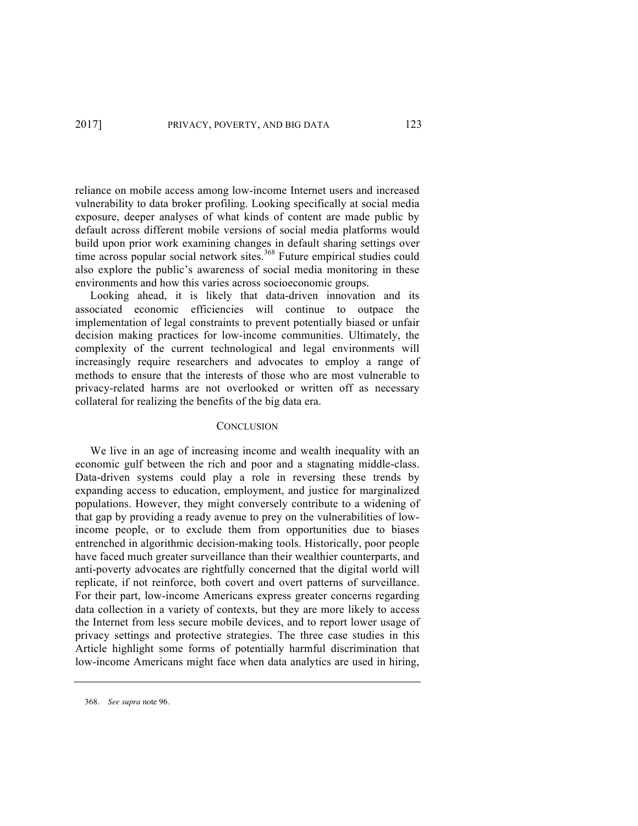reliance on mobile access among low-income Internet users and increased vulnerability to data broker profiling. Looking specifically at social media exposure, deeper analyses of what kinds of content are made public by default across different mobile versions of social media platforms would build upon prior work examining changes in default sharing settings over time across popular social network sites.<sup>368</sup> Future empirical studies could also explore the public's awareness of social media monitoring in these environments and how this varies across socioeconomic groups.

Looking ahead, it is likely that data-driven innovation and its associated economic efficiencies will continue to outpace the implementation of legal constraints to prevent potentially biased or unfair decision making practices for low-income communities. Ultimately, the complexity of the current technological and legal environments will increasingly require researchers and advocates to employ a range of methods to ensure that the interests of those who are most vulnerable to privacy-related harms are not overlooked or written off as necessary collateral for realizing the benefits of the big data era.

#### **CONCLUSION**

We live in an age of increasing income and wealth inequality with an economic gulf between the rich and poor and a stagnating middle-class. Data-driven systems could play a role in reversing these trends by expanding access to education, employment, and justice for marginalized populations. However, they might conversely contribute to a widening of that gap by providing a ready avenue to prey on the vulnerabilities of lowincome people, or to exclude them from opportunities due to biases entrenched in algorithmic decision-making tools. Historically, poor people have faced much greater surveillance than their wealthier counterparts, and anti-poverty advocates are rightfully concerned that the digital world will replicate, if not reinforce, both covert and overt patterns of surveillance. For their part, low-income Americans express greater concerns regarding data collection in a variety of contexts, but they are more likely to access the Internet from less secure mobile devices, and to report lower usage of privacy settings and protective strategies. The three case studies in this Article highlight some forms of potentially harmful discrimination that low-income Americans might face when data analytics are used in hiring,

<sup>368.</sup> *See supra* note 96.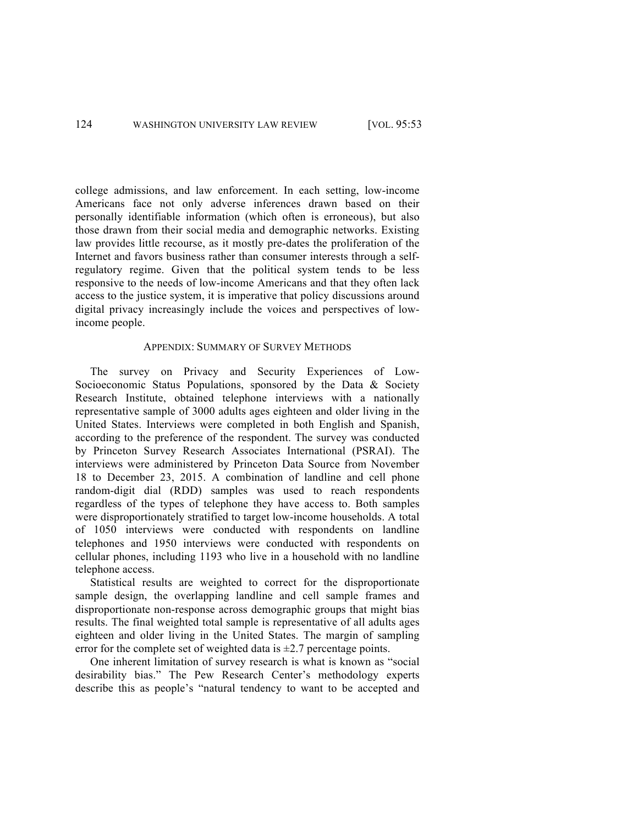college admissions, and law enforcement. In each setting, low-income Americans face not only adverse inferences drawn based on their personally identifiable information (which often is erroneous), but also those drawn from their social media and demographic networks. Existing law provides little recourse, as it mostly pre-dates the proliferation of the Internet and favors business rather than consumer interests through a selfregulatory regime. Given that the political system tends to be less responsive to the needs of low-income Americans and that they often lack access to the justice system, it is imperative that policy discussions around digital privacy increasingly include the voices and perspectives of lowincome people.

## APPENDIX: SUMMARY OF SURVEY METHODS

The survey on Privacy and Security Experiences of Low-Socioeconomic Status Populations, sponsored by the Data & Society Research Institute, obtained telephone interviews with a nationally representative sample of 3000 adults ages eighteen and older living in the United States. Interviews were completed in both English and Spanish, according to the preference of the respondent. The survey was conducted by Princeton Survey Research Associates International (PSRAI). The interviews were administered by Princeton Data Source from November 18 to December 23, 2015. A combination of landline and cell phone random-digit dial (RDD) samples was used to reach respondents regardless of the types of telephone they have access to. Both samples were disproportionately stratified to target low-income households. A total of 1050 interviews were conducted with respondents on landline telephones and 1950 interviews were conducted with respondents on cellular phones, including 1193 who live in a household with no landline telephone access.

Statistical results are weighted to correct for the disproportionate sample design, the overlapping landline and cell sample frames and disproportionate non-response across demographic groups that might bias results. The final weighted total sample is representative of all adults ages eighteen and older living in the United States. The margin of sampling error for the complete set of weighted data is  $\pm 2.7$  percentage points.

One inherent limitation of survey research is what is known as "social desirability bias." The Pew Research Center's methodology experts describe this as people's "natural tendency to want to be accepted and